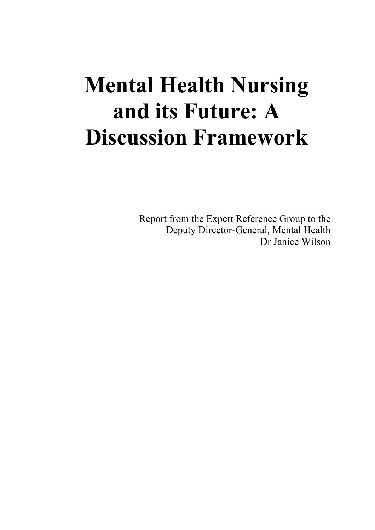# **Mental Health Nursing and its Future: A Discussion Framework**

Report from the Expert Reference Group to the Deputy Director-General, Mental Health Dr Janice Wilson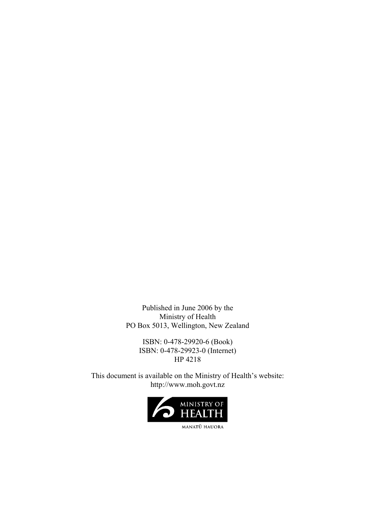Published in June 2006 by the Ministry of Health PO Box 5013, Wellington, New Zealand

> ISBN: 0-478-29920-6 (Book) ISBN: 0-478-29923-0 (Internet) HP 4218

This document is available on the Ministry of Health's website: http://www.moh.govt.nz

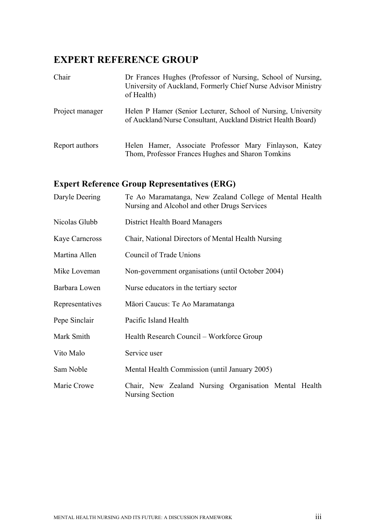# **EXPERT REFERENCE GROUP**

| Chair           | Dr Frances Hughes (Professor of Nursing, School of Nursing,<br>University of Auckland, Formerly Chief Nurse Advisor Ministry<br>of Health) |
|-----------------|--------------------------------------------------------------------------------------------------------------------------------------------|
| Project manager | Helen P Hamer (Senior Lecturer, School of Nursing, University<br>of Auckland/Nurse Consultant, Auckland District Health Board)             |
| Report authors  | Helen Hamer, Associate Professor Mary Finlayson, Katey<br>Thom, Professor Frances Hughes and Sharon Tomkins                                |

# **Expert Reference Group Representatives (ERG)**

| Daryle Deering        | Te Ao Maramatanga, New Zealand College of Mental Health<br>Nursing and Alcohol and other Drugs Services |  |  |  |  |  |  |
|-----------------------|---------------------------------------------------------------------------------------------------------|--|--|--|--|--|--|
| Nicolas Glubb         | District Health Board Managers                                                                          |  |  |  |  |  |  |
| <b>Kaye Carneross</b> | Chair, National Directors of Mental Health Nursing                                                      |  |  |  |  |  |  |
| Martina Allen         | Council of Trade Unions                                                                                 |  |  |  |  |  |  |
| Mike Loveman          | Non-government organisations (until October 2004)                                                       |  |  |  |  |  |  |
| Barbara Lowen         | Nurse educators in the tertiary sector                                                                  |  |  |  |  |  |  |
| Representatives       | Māori Caucus: Te Ao Maramatanga                                                                         |  |  |  |  |  |  |
| Pepe Sinclair         | Pacific Island Health                                                                                   |  |  |  |  |  |  |
| Mark Smith            | Health Research Council – Workforce Group                                                               |  |  |  |  |  |  |
| Vito Malo             | Service user                                                                                            |  |  |  |  |  |  |
| Sam Noble             | Mental Health Commission (until January 2005)                                                           |  |  |  |  |  |  |
| Marie Crowe           | Chair, New Zealand Nursing Organisation Mental Health<br>Nursing Section                                |  |  |  |  |  |  |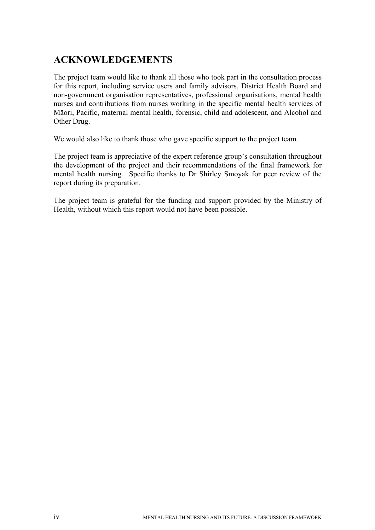# **ACKNOWLEDGEMENTS**

The project team would like to thank all those who took part in the consultation process for this report, including service users and family advisors, District Health Board and non-government organisation representatives, professional organisations, mental health nurses and contributions from nurses working in the specific mental health services of Māori, Pacific, maternal mental health, forensic, child and adolescent, and Alcohol and Other Drug.

We would also like to thank those who gave specific support to the project team.

The project team is appreciative of the expert reference group's consultation throughout the development of the project and their recommendations of the final framework for mental health nursing. Specific thanks to Dr Shirley Smoyak for peer review of the report during its preparation.

The project team is grateful for the funding and support provided by the Ministry of Health, without which this report would not have been possible.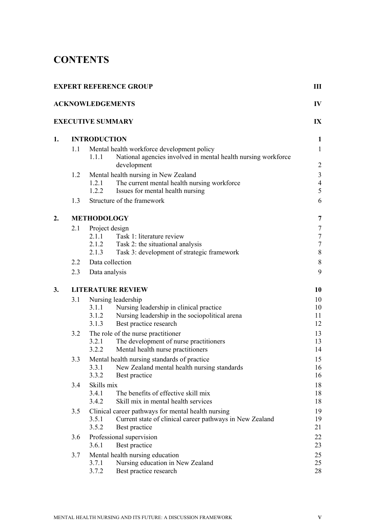# **CONTENTS**

|    |     | <b>EXPERT REFERENCE GROUP</b>                                                                                                                                        | Ш                                     |  |  |  |  |  |
|----|-----|----------------------------------------------------------------------------------------------------------------------------------------------------------------------|---------------------------------------|--|--|--|--|--|
|    |     | <b>ACKNOWLEDGEMENTS</b>                                                                                                                                              | IV                                    |  |  |  |  |  |
|    |     | <b>EXECUTIVE SUMMARY</b>                                                                                                                                             | IX                                    |  |  |  |  |  |
| 1. |     | <b>INTRODUCTION</b>                                                                                                                                                  |                                       |  |  |  |  |  |
|    | 1.1 | Mental health workforce development policy<br>National agencies involved in mental health nursing workforce<br>1.1.1<br>development                                  | $\mathbf{1}$<br>$\overline{c}$        |  |  |  |  |  |
|    | 1.2 | Mental health nursing in New Zealand<br>The current mental health nursing workforce<br>1.2.1<br>1.2.2<br>Issues for mental health nursing                            | $\mathfrak{Z}$<br>$\overline{4}$<br>5 |  |  |  |  |  |
|    | 1.3 | Structure of the framework                                                                                                                                           | 6                                     |  |  |  |  |  |
| 2. |     | <b>METHODOLOGY</b>                                                                                                                                                   |                                       |  |  |  |  |  |
|    | 2.1 | Project design<br>Task 1: literature review<br>2.1.1<br>Task 2: the situational analysis<br>2.1.2                                                                    | $\tau$<br>$\boldsymbol{7}$<br>$\tau$  |  |  |  |  |  |
|    |     | Task 3: development of strategic framework<br>2.1.3                                                                                                                  | $\,8\,$                               |  |  |  |  |  |
|    | 2.2 | Data collection                                                                                                                                                      | $\,$ $\,$                             |  |  |  |  |  |
|    | 2.3 | Data analysis                                                                                                                                                        |                                       |  |  |  |  |  |
| 3. |     | <b>LITERATURE REVIEW</b>                                                                                                                                             |                                       |  |  |  |  |  |
|    | 3.1 | Nursing leadership<br>Nursing leadership in clinical practice<br>3.1.1<br>Nursing leadership in the sociopolitical arena<br>3.1.2<br>3.1.3<br>Best practice research | 10<br>10<br>11<br>12                  |  |  |  |  |  |
|    | 3.2 | The role of the nurse practitioner<br>The development of nurse practitioners<br>3.2.1<br>3.2.2<br>Mental health nurse practitioners                                  | 13<br>13<br>14                        |  |  |  |  |  |
|    | 3.3 | Mental health nursing standards of practice<br>New Zealand mental health nursing standards<br>3.3.1<br>3.3.2<br>Best practice                                        | 15<br>16<br>16                        |  |  |  |  |  |
|    | 3.4 | Skills mix<br>3.4.1<br>The benefits of effective skill mix<br>3.4.2<br>Skill mix in mental health services                                                           | 18<br>18<br>18                        |  |  |  |  |  |
|    | 3.5 | Clinical career pathways for mental health nursing<br>3.5.1<br>Current state of clinical career pathways in New Zealand<br>3.5.2<br>Best practice                    | 19<br>19<br>21                        |  |  |  |  |  |
|    | 3.6 | Professional supervision<br>3.6.1<br>Best practice                                                                                                                   |                                       |  |  |  |  |  |
|    | 3.7 | Mental health nursing education<br>Nursing education in New Zealand<br>3.7.1<br>Best practice research<br>3.7.2                                                      | 25<br>25<br>28                        |  |  |  |  |  |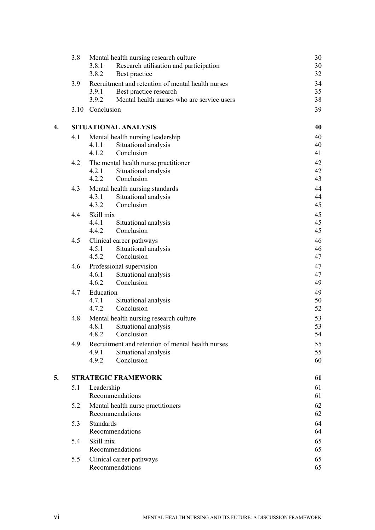|    | 3.8  | Mental health nursing research culture               | 30       |
|----|------|------------------------------------------------------|----------|
|    |      | 3.8.1<br>Research utilisation and participation      | 30       |
|    |      | 3.8.2<br>Best practice                               | 32       |
|    | 3.9  | Recruitment and retention of mental health nurses    | 34       |
|    |      | 3.9.1<br>Best practice research                      | 35       |
|    |      | Mental health nurses who are service users<br>3.9.2  | 38       |
|    | 3.10 | Conclusion                                           | 39       |
| 4. |      | SITUATIONAL ANALYSIS                                 | 40       |
|    | 4.1  | Mental health nursing leadership                     | 40       |
|    |      | 4.1.1<br>Situational analysis                        | 40       |
|    |      | 4.1.2<br>Conclusion                                  | 41       |
|    | 4.2  | The mental health nurse practitioner                 | 42       |
|    |      | 4.2.1<br>Situational analysis                        | 42       |
|    |      | Conclusion<br>4.2.2                                  | 43       |
|    | 4.3  | Mental health nursing standards                      | 44       |
|    |      | 4.3.1<br>Situational analysis                        | 44       |
|    |      | 4.3.2<br>Conclusion                                  | 45       |
|    | 4.4  | Skill mix                                            | 45       |
|    |      | 4.4.1<br>Situational analysis                        | 45       |
|    |      | Conclusion<br>4.4.2                                  | 45       |
|    | 4.5  | Clinical career pathways                             | 46       |
|    |      | 4.5.1<br>Situational analysis                        | 46       |
|    |      | 4.5.2<br>Conclusion                                  | 47       |
|    | 4.6  | Professional supervision                             | 47       |
|    |      | 4.6.1<br>Situational analysis                        | 47       |
|    |      | Conclusion<br>4.6.2                                  | 49       |
|    | 4.7  | Education                                            | 49       |
|    |      | 4.7.1<br>Situational analysis<br>Conclusion          | 50       |
|    |      | 4.7.2                                                | 52       |
|    | 4.8  | Mental health nursing research culture               | 53       |
|    |      | 4.8.1<br>Situational analysis                        | 53       |
|    |      | 4.8.2<br>Conclusion                                  | 54       |
|    | 4.9  | Recruitment and retention of mental health nurses    | 55       |
|    |      | 4.9.1<br>Situational analysis<br>4.9.2<br>Conclusion | 55<br>60 |
|    |      |                                                      |          |
| 5. |      | <b>STRATEGIC FRAMEWORK</b>                           | 61       |
|    | 5.1  | Leadership                                           | 61       |
|    |      | Recommendations                                      | 61       |
|    | 5.2  | Mental health nurse practitioners                    | 62       |
|    |      | Recommendations                                      | 62       |
|    | 5.3  | <b>Standards</b>                                     | 64       |
|    |      | Recommendations                                      | 64       |
|    | 5.4  | Skill mix                                            | 65       |
|    |      | Recommendations                                      | 65       |
|    | 5.5  | Clinical career pathways                             | 65       |
|    |      | Recommendations                                      | 65       |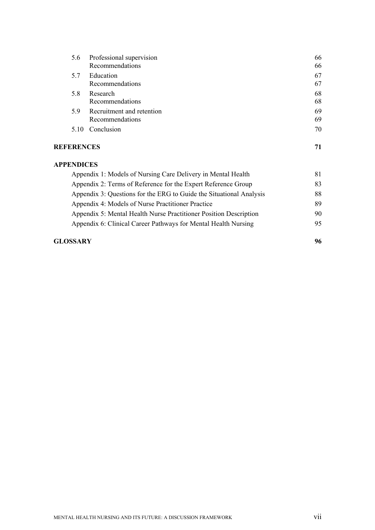| 5.6               | Professional supervision                                            |    |  |  |
|-------------------|---------------------------------------------------------------------|----|--|--|
|                   | Recommendations                                                     | 66 |  |  |
| 5.7               | Education                                                           | 67 |  |  |
|                   | Recommendations                                                     | 67 |  |  |
| 5.8               | Research                                                            | 68 |  |  |
|                   | Recommendations                                                     | 68 |  |  |
| 5.9               | Recruitment and retention                                           | 69 |  |  |
|                   | Recommendations                                                     | 69 |  |  |
| 5.10              | Conclusion                                                          | 70 |  |  |
| <b>REFERENCES</b> |                                                                     | 71 |  |  |
| <b>APPENDICES</b> |                                                                     |    |  |  |
|                   | Appendix 1: Models of Nursing Care Delivery in Mental Health        |    |  |  |
|                   | Appendix 2: Terms of Reference for the Expert Reference Group       |    |  |  |
|                   | Appendix 3: Questions for the ERG to Guide the Situational Analysis |    |  |  |
|                   | Appendix 4: Models of Nurse Practitioner Practice                   |    |  |  |
|                   | Appendix 5: Mental Health Nurse Practitioner Position Description   | 90 |  |  |
|                   | Appendix 6: Clinical Career Pathways for Mental Health Nursing      | 95 |  |  |

#### **GLOSSARY 96**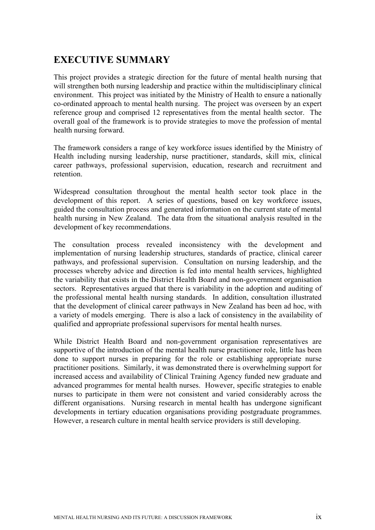# **EXECUTIVE SUMMARY**

This project provides a strategic direction for the future of mental health nursing that will strengthen both nursing leadership and practice within the multidisciplinary clinical environment. This project was initiated by the Ministry of Health to ensure a nationally co-ordinated approach to mental health nursing. The project was overseen by an expert reference group and comprised 12 representatives from the mental health sector. The overall goal of the framework is to provide strategies to move the profession of mental health nursing forward.

The framework considers a range of key workforce issues identified by the Ministry of Health including nursing leadership, nurse practitioner, standards, skill mix, clinical career pathways, professional supervision, education, research and recruitment and retention.

Widespread consultation throughout the mental health sector took place in the development of this report. A series of questions, based on key workforce issues, guided the consultation process and generated information on the current state of mental health nursing in New Zealand. The data from the situational analysis resulted in the development of key recommendations.

The consultation process revealed inconsistency with the development and implementation of nursing leadership structures, standards of practice, clinical career pathways, and professional supervision. Consultation on nursing leadership, and the processes whereby advice and direction is fed into mental health services, highlighted the variability that exists in the District Health Board and non-government organisation sectors. Representatives argued that there is variability in the adoption and auditing of the professional mental health nursing standards. In addition, consultation illustrated that the development of clinical career pathways in New Zealand has been ad hoc, with a variety of models emerging. There is also a lack of consistency in the availability of qualified and appropriate professional supervisors for mental health nurses.

While District Health Board and non-government organisation representatives are supportive of the introduction of the mental health nurse practitioner role, little has been done to support nurses in preparing for the role or establishing appropriate nurse practitioner positions. Similarly, it was demonstrated there is overwhelming support for increased access and availability of Clinical Training Agency funded new graduate and advanced programmes for mental health nurses. However, specific strategies to enable nurses to participate in them were not consistent and varied considerably across the different organisations. Nursing research in mental health has undergone significant developments in tertiary education organisations providing postgraduate programmes. However, a research culture in mental health service providers is still developing.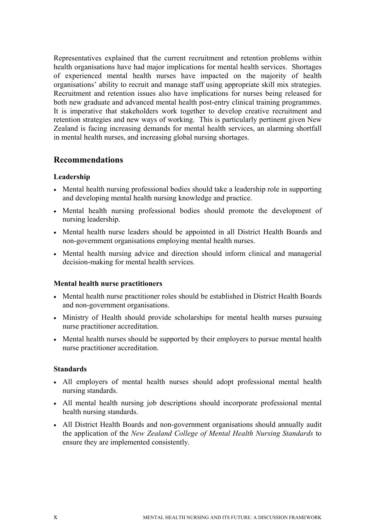Representatives explained that the current recruitment and retention problems within health organisations have had major implications for mental health services. Shortages of experienced mental health nurses have impacted on the majority of health organisations' ability to recruit and manage staff using appropriate skill mix strategies. Recruitment and retention issues also have implications for nurses being released for both new graduate and advanced mental health post-entry clinical training programmes. It is imperative that stakeholders work together to develop creative recruitment and retention strategies and new ways of working. This is particularly pertinent given New Zealand is facing increasing demands for mental health services, an alarming shortfall in mental health nurses, and increasing global nursing shortages.

# **Recommendations**

#### **Leadership**

- Mental health nursing professional bodies should take a leadership role in supporting and developing mental health nursing knowledge and practice.
- Mental health nursing professional bodies should promote the development of nursing leadership.
- Mental health nurse leaders should be appointed in all District Health Boards and non-government organisations employing mental health nurses.
- Mental health nursing advice and direction should inform clinical and managerial decision-making for mental health services.

#### **Mental health nurse practitioners**

- Mental health nurse practitioner roles should be established in District Health Boards and non-government organisations.
- Ministry of Health should provide scholarships for mental health nurses pursuing nurse practitioner accreditation.
- Mental health nurses should be supported by their employers to pursue mental health nurse practitioner accreditation.

#### **Standards**

- All employers of mental health nurses should adopt professional mental health nursing standards.
- All mental health nursing job descriptions should incorporate professional mental health nursing standards.
- All District Health Boards and non-government organisations should annually audit the application of the *New Zealand College of Mental Health Nursing Standards* to ensure they are implemented consistently.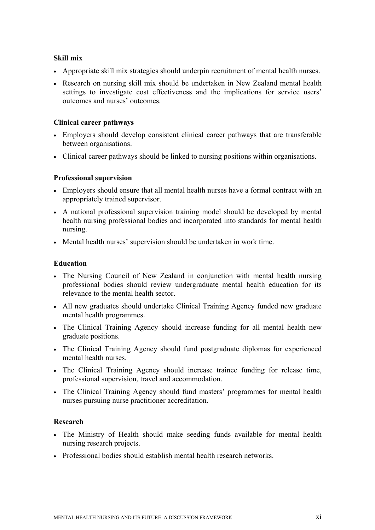#### **Skill mix**

- Appropriate skill mix strategies should underpin recruitment of mental health nurses.
- Research on nursing skill mix should be undertaken in New Zealand mental health settings to investigate cost effectiveness and the implications for service users' outcomes and nurses' outcomes.

#### **Clinical career pathways**

- Employers should develop consistent clinical career pathways that are transferable between organisations.
- Clinical career pathways should be linked to nursing positions within organisations.

#### **Professional supervision**

- Employers should ensure that all mental health nurses have a formal contract with an appropriately trained supervisor.
- A national professional supervision training model should be developed by mental health nursing professional bodies and incorporated into standards for mental health nursing.
- Mental health nurses' supervision should be undertaken in work time.

#### **Education**

- The Nursing Council of New Zealand in conjunction with mental health nursing professional bodies should review undergraduate mental health education for its relevance to the mental health sector.
- All new graduates should undertake Clinical Training Agency funded new graduate mental health programmes.
- The Clinical Training Agency should increase funding for all mental health new graduate positions.
- The Clinical Training Agency should fund postgraduate diplomas for experienced mental health nurses.
- The Clinical Training Agency should increase trainee funding for release time, professional supervision, travel and accommodation.
- The Clinical Training Agency should fund masters' programmes for mental health nurses pursuing nurse practitioner accreditation.

#### **Research**

- The Ministry of Health should make seeding funds available for mental health nursing research projects.
- Professional bodies should establish mental health research networks.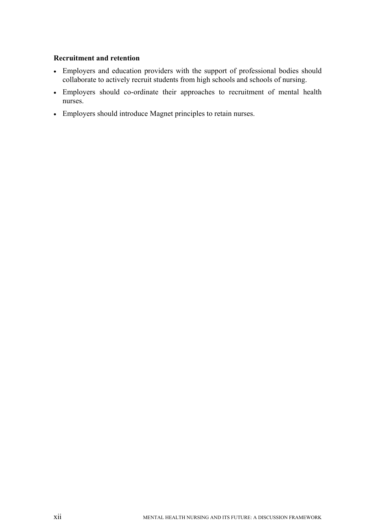#### **Recruitment and retention**

- Employers and education providers with the support of professional bodies should collaborate to actively recruit students from high schools and schools of nursing.
- Employers should co-ordinate their approaches to recruitment of mental health nurses.
- Employers should introduce Magnet principles to retain nurses.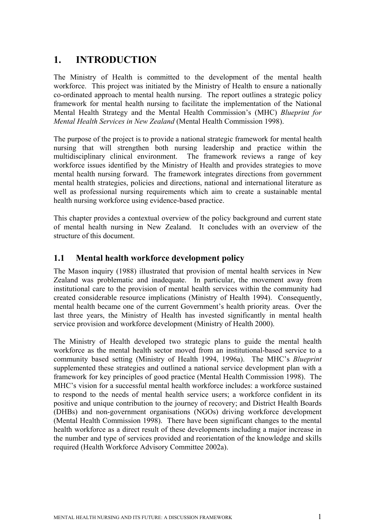# **1. INTRODUCTION**

The Ministry of Health is committed to the development of the mental health workforce. This project was initiated by the Ministry of Health to ensure a nationally co-ordinated approach to mental health nursing. The report outlines a strategic policy framework for mental health nursing to facilitate the implementation of the National Mental Health Strategy and the Mental Health Commission's (MHC) *Blueprint for Mental Health Services in New Zealand* (Mental Health Commission 1998).

The purpose of the project is to provide a national strategic framework for mental health nursing that will strengthen both nursing leadership and practice within the multidisciplinary clinical environment. The framework reviews a range of key workforce issues identified by the Ministry of Health and provides strategies to move mental health nursing forward. The framework integrates directions from government mental health strategies, policies and directions, national and international literature as well as professional nursing requirements which aim to create a sustainable mental health nursing workforce using evidence-based practice.

This chapter provides a contextual overview of the policy background and current state of mental health nursing in New Zealand. It concludes with an overview of the structure of this document.

# **1.1 Mental health workforce development policy**

The Mason inquiry (1988) illustrated that provision of mental health services in New Zealand was problematic and inadequate. In particular, the movement away from institutional care to the provision of mental health services within the community had created considerable resource implications (Ministry of Health 1994). Consequently, mental health became one of the current Government's health priority areas. Over the last three years, the Ministry of Health has invested significantly in mental health service provision and workforce development (Ministry of Health 2000).

The Ministry of Health developed two strategic plans to guide the mental health workforce as the mental health sector moved from an institutional-based service to a community based setting (Ministry of Health 1994, 1996a). The MHC's *Blueprint*  supplemented these strategies and outlined a national service development plan with a framework for key principles of good practice (Mental Health Commission 1998). The MHC's vision for a successful mental health workforce includes: a workforce sustained to respond to the needs of mental health service users; a workforce confident in its positive and unique contribution to the journey of recovery; and District Health Boards (DHBs) and non-government organisations (NGOs) driving workforce development (Mental Health Commission 1998). There have been significant changes to the mental health workforce as a direct result of these developments including a major increase in the number and type of services provided and reorientation of the knowledge and skills required (Health Workforce Advisory Committee 2002a).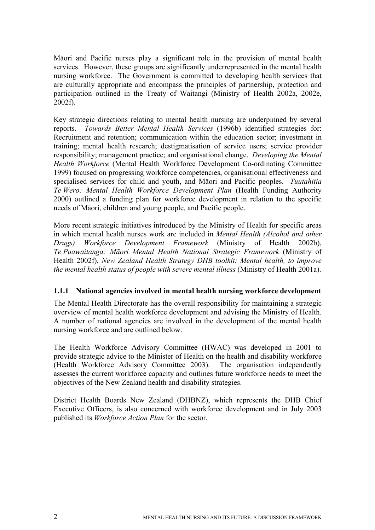Māori and Pacific nurses play a significant role in the provision of mental health services. However, these groups are significantly underrepresented in the mental health nursing workforce. The Government is committed to developing health services that are culturally appropriate and encompass the principles of partnership, protection and participation outlined in the Treaty of Waitangi (Ministry of Health 2002a, 2002e, 2002f).

Key strategic directions relating to mental health nursing are underpinned by several reports. *Towards Better Mental Health Services* (1996b) identified strategies for: Recruitment and retention; communication within the education sector; investment in training; mental health research; destigmatisation of service users; service provider responsibility; management practice; and organisational change. *Developing the Mental Health Workforce* (Mental Health Workforce Development Co-ordinating Committee 1999) focused on progressing workforce competencies, organisational effectiveness and specialised services for child and youth, and Māori and Pacific peoples. *Tuutahitia Te Wero: Mental Health Workforce Development Plan* (Health Funding Authority 2000) outlined a funding plan for workforce development in relation to the specific needs of Māori, children and young people, and Pacific people.

More recent strategic initiatives introduced by the Ministry of Health for specific areas in which mental health nurses work are included in *Mental Health (Alcohol and other Drugs) Workforce Development Framework* (Ministry of Health 2002b), *Te Puawaitanga: Māori Mental Health National Strategic Framework* (Ministry of Health 2002f), *New Zealand Health Strategy DHB toolkit: Mental health, to improve the mental health status of people with severe mental illness* (Ministry of Health 2001a).

#### **1.1.1 National agencies involved in mental health nursing workforce development**

The Mental Health Directorate has the overall responsibility for maintaining a strategic overview of mental health workforce development and advising the Ministry of Health. A number of national agencies are involved in the development of the mental health nursing workforce and are outlined below.

The Health Workforce Advisory Committee (HWAC) was developed in 2001 to provide strategic advice to the Minister of Health on the health and disability workforce (Health Workforce Advisory Committee 2003). The organisation independently assesses the current workforce capacity and outlines future workforce needs to meet the objectives of the New Zealand health and disability strategies.

District Health Boards New Zealand (DHBNZ), which represents the DHB Chief Executive Officers, is also concerned with workforce development and in July 2003 published its *Workforce Action Plan* for the sector.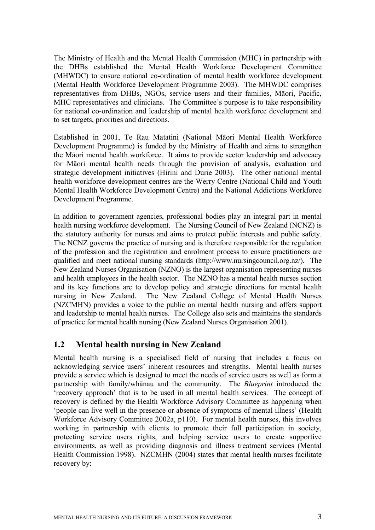The Ministry of Health and the Mental Health Commission (MHC) in partnership with the DHBs established the Mental Health Workforce Development Committee (MHWDC) to ensure national co-ordination of mental health workforce development (Mental Health Workforce Development Programme 2003). The MHWDC comprises representatives from DHBs, NGOs, service users and their families, Māori, Pacific, MHC representatives and clinicians. The Committee's purpose is to take responsibility for national co-ordination and leadership of mental health workforce development and to set targets, priorities and directions.

Established in 2001, Te Rau Matatini (National Māori Mental Health Workforce Development Programme) is funded by the Ministry of Health and aims to strengthen the Māori mental health workforce. It aims to provide sector leadership and advocacy for Māori mental health needs through the provision of analysis, evaluation and strategic development initiatives (Hirini and Durie 2003). The other national mental health workforce development centres are the Werry Centre (National Child and Youth Mental Health Workforce Development Centre) and the National Addictions Workforce Development Programme.

In addition to government agencies, professional bodies play an integral part in mental health nursing workforce development. The Nursing Council of New Zealand (NCNZ) is the statutory authority for nurses and aims to protect public interests and public safety. The NCNZ governs the practice of nursing and is therefore responsible for the regulation of the profession and the registration and enrolment process to ensure practitioners are qualified and meet national nursing standards (http://www.nursingcouncil.org.nz/). The New Zealand Nurses Organisation (NZNO) is the largest organisation representing nurses and health employees in the health sector. The NZNO has a mental health nurses section and its key functions are to develop policy and strategic directions for mental health nursing in New Zealand. The New Zealand College of Mental Health Nurses (NZCMHN) provides a voice to the public on mental health nursing and offers support and leadership to mental health nurses. The College also sets and maintains the standards of practice for mental health nursing (New Zealand Nurses Organisation 2001).

## **1.2 Mental health nursing in New Zealand**

Mental health nursing is a specialised field of nursing that includes a focus on acknowledging service users' inherent resources and strengths. Mental health nurses provide a service which is designed to meet the needs of service users as well as form a partnership with family/whānau and the community. The *Blueprint* introduced the 'recovery approach' that is to be used in all mental health services. The concept of recovery is defined by the Health Workforce Advisory Committee as happening when 'people can live well in the presence or absence of symptoms of mental illness' (Health Workforce Advisory Committee 2002a, p110). For mental health nurses, this involves working in partnership with clients to promote their full participation in society, protecting service users rights, and helping service users to create supportive environments, as well as providing diagnosis and illness treatment services (Mental Health Commission 1998). NZCMHN (2004) states that mental health nurses facilitate recovery by: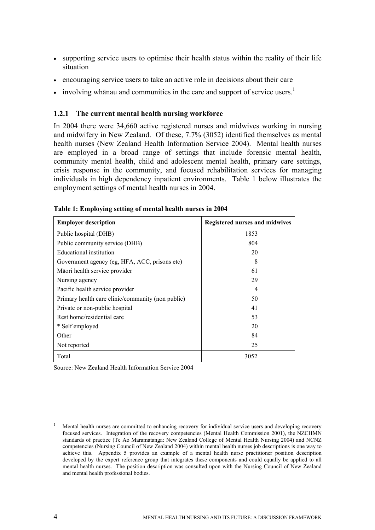- supporting service users to optimise their health status within the reality of their life situation
- encouraging service users to take an active role in decisions about their care
- involving whanau and communities in the care and support of service users.<sup>1</sup>

#### **1.2.1 The current mental health nursing workforce**

In 2004 there were 34,660 active registered nurses and midwives working in nursing and midwifery in New Zealand. Of these, 7.7% (3052) identified themselves as mental health nurses (New Zealand Health Information Service 2004). Mental health nurses are employed in a broad range of settings that include forensic mental health, community mental health, child and adolescent mental health, primary care settings, crisis response in the community, and focused rehabilitation services for managing individuals in high dependency inpatient environments. Table 1 below illustrates the employment settings of mental health nurses in 2004.

| <b>Employer description</b>                       | <b>Registered nurses and midwives</b> |
|---------------------------------------------------|---------------------------------------|
| Public hospital (DHB)                             | 1853                                  |
| Public community service (DHB)                    | 804                                   |
| Educational institution                           | 20                                    |
| Government agency (eg, HFA, ACC, prisons etc)     | 8                                     |
| Māori health service provider                     | 61                                    |
| Nursing agency                                    | 29                                    |
| Pacific health service provider                   | 4                                     |
| Primary health care clinic/community (non public) | 50                                    |
| Private or non-public hospital                    | 41                                    |
| Rest home/residential care                        | 53                                    |
| * Self employed                                   | 20                                    |
| Other                                             | 84                                    |
| Not reported                                      | 25                                    |
| Total                                             | 3052                                  |

|  |  | Table 1: Employing setting of mental health nurses in 2004 |  |  |
|--|--|------------------------------------------------------------|--|--|
|  |  |                                                            |  |  |

Source: New Zealand Health Information Service 2004

<sup>1</sup> Mental health nurses are committed to enhancing recovery for individual service users and developing recovery focused services. Integration of the recovery competencies (Mental Health Commission 2001), the NZCHMN standards of practice (Te Ao Maramatanga: New Zealand College of Mental Health Nursing 2004) and NCNZ competencies (Nursing Council of New Zealand 2004) within mental health nurses job descriptions is one way to achieve this. Appendix 5 provides an example of a mental health nurse practitioner position description developed by the expert reference group that integrates these components and could equally be applied to all mental health nurses. The position description was consulted upon with the Nursing Council of New Zealand and mental health professional bodies.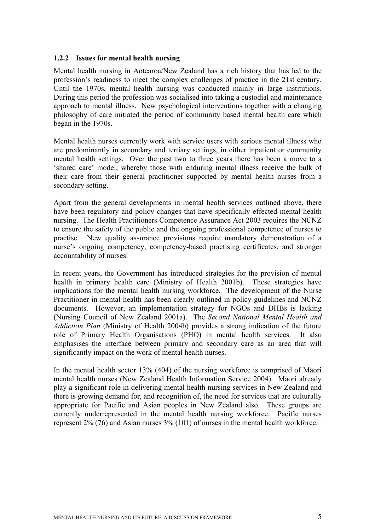#### **1.2.2 Issues for mental health nursing**

Mental health nursing in Aotearoa/New Zealand has a rich history that has led to the profession's readiness to meet the complex challenges of practice in the 21st century. Until the 1970s, mental health nursing was conducted mainly in large institutions. During this period the profession was socialised into taking a custodial and maintenance approach to mental illness. New psychological interventions together with a changing philosophy of care initiated the period of community based mental health care which began in the 1970s.

Mental health nurses currently work with service users with serious mental illness who are predominantly in secondary and tertiary settings, in either inpatient or community mental health settings. Over the past two to three years there has been a move to a 'shared care' model, whereby those with enduring mental illness receive the bulk of their care from their general practitioner supported by mental health nurses from a secondary setting.

Apart from the general developments in mental health services outlined above, there have been regulatory and policy changes that have specifically effected mental health nursing. The Health Practitioners Competence Assurance Act 2003 requires the NCNZ to ensure the safety of the public and the ongoing professional competence of nurses to practise. New quality assurance provisions require mandatory demonstration of a nurse's ongoing competency, competency-based practising certificates, and stronger accountability of nurses.

In recent years, the Government has introduced strategies for the provision of mental health in primary health care (Ministry of Health 2001b). These strategies have implications for the mental health nursing workforce. The development of the Nurse Practitioner in mental health has been clearly outlined in policy guidelines and NCNZ documents. However, an implementation strategy for NGOs and DHBs is lacking (Nursing Council of New Zealand 2001a). The *Second National Mental Health and Addiction Plan* (Ministry of Health 2004b) provides a strong indication of the future role of Primary Health Organisations (PHO) in mental health services. It also emphasises the interface between primary and secondary care as an area that will significantly impact on the work of mental health nurses.

In the mental health sector 13% (404) of the nursing workforce is comprised of Māori mental health nurses (New Zealand Health Information Service 2004). Māori already play a significant role in delivering mental health nursing services in New Zealand and there is growing demand for, and recognition of, the need for services that are culturally appropriate for Pacific and Asian peoples in New Zealand also. These groups are currently underrepresented in the mental health nursing workforce. Pacific nurses represent 2% (76) and Asian nurses 3% (101) of nurses in the mental health workforce.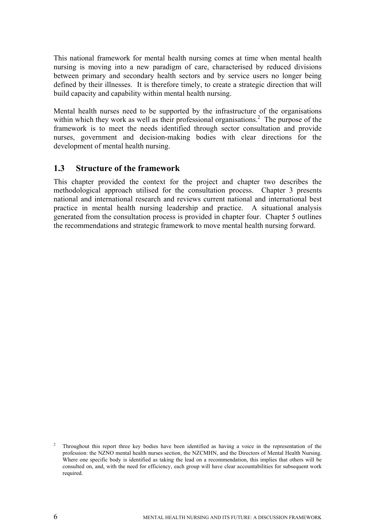This national framework for mental health nursing comes at time when mental health nursing is moving into a new paradigm of care, characterised by reduced divisions between primary and secondary health sectors and by service users no longer being defined by their illnesses. It is therefore timely, to create a strategic direction that will build capacity and capability within mental health nursing.

Mental health nurses need to be supported by the infrastructure of the organisations within which they work as well as their professional organisations.<sup>2</sup> The purpose of the framework is to meet the needs identified through sector consultation and provide nurses, government and decision-making bodies with clear directions for the development of mental health nursing.

## **1.3 Structure of the framework**

This chapter provided the context for the project and chapter two describes the methodological approach utilised for the consultation process. Chapter 3 presents national and international research and reviews current national and international best practice in mental health nursing leadership and practice. A situational analysis generated from the consultation process is provided in chapter four. Chapter 5 outlines the recommendations and strategic framework to move mental health nursing forward.

<sup>2</sup> Throughout this report three key bodies have been identified as having a voice in the representation of the profession: the NZNO mental health nurses section, the NZCMHN, and the Directors of Mental Health Nursing. Where one specific body is identified as taking the lead on a recommendation, this implies that others will be consulted on, and, with the need for efficiency, each group will have clear accountabilities for subsequent work required.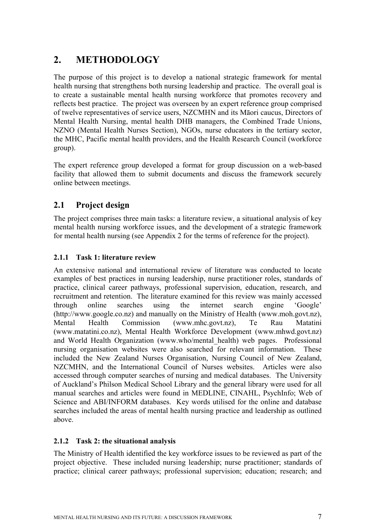# **2. METHODOLOGY**

The purpose of this project is to develop a national strategic framework for mental health nursing that strengthens both nursing leadership and practice. The overall goal is to create a sustainable mental health nursing workforce that promotes recovery and reflects best practice. The project was overseen by an expert reference group comprised of twelve representatives of service users, NZCMHN and its Māori caucus, Directors of Mental Health Nursing, mental health DHB managers, the Combined Trade Unions, NZNO (Mental Health Nurses Section), NGOs, nurse educators in the tertiary sector, the MHC, Pacific mental health providers, and the Health Research Council (workforce group).

The expert reference group developed a format for group discussion on a web-based facility that allowed them to submit documents and discuss the framework securely online between meetings.

# **2.1 Project design**

The project comprises three main tasks: a literature review, a situational analysis of key mental health nursing workforce issues, and the development of a strategic framework for mental health nursing (see Appendix 2 for the terms of reference for the project).

## **2.1.1 Task 1: literature review**

An extensive national and international review of literature was conducted to locate examples of best practices in nursing leadership, nurse practitioner roles, standards of practice, clinical career pathways, professional supervision, education, research, and recruitment and retention. The literature examined for this review was mainly accessed through online searches using the internet search engine 'Google' (http://www.google.co.nz) and manually on the Ministry of Health (www.moh.govt.nz), Mental Health Commission (www.mhc.govt.nz), Te Rau Matatini (www.matatini.co.nz), Mental Health Workforce Development (www.mhwd.govt.nz) and World Health Organization (www.who/mental\_health) web pages. Professional nursing organisation websites were also searched for relevant information. These included the New Zealand Nurses Organisation, Nursing Council of New Zealand, NZCMHN, and the International Council of Nurses websites. Articles were also accessed through computer searches of nursing and medical databases. The University of Auckland's Philson Medical School Library and the general library were used for all manual searches and articles were found in MEDLINE, CINAHL, PsychInfo; Web of Science and ABI/INFORM databases. Key words utilised for the online and database searches included the areas of mental health nursing practice and leadership as outlined above.

#### **2.1.2 Task 2: the situational analysis**

The Ministry of Health identified the key workforce issues to be reviewed as part of the project objective. These included nursing leadership; nurse practitioner; standards of practice; clinical career pathways; professional supervision; education; research; and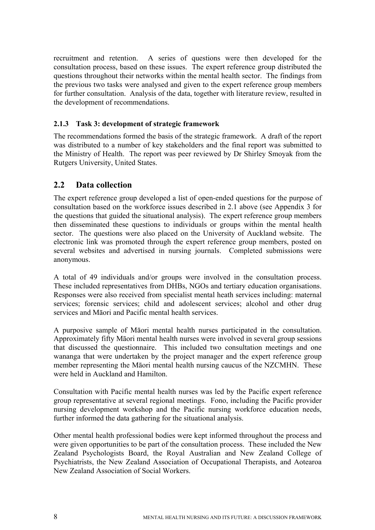recruitment and retention. A series of questions were then developed for the consultation process, based on these issues. The expert reference group distributed the questions throughout their networks within the mental health sector. The findings from the previous two tasks were analysed and given to the expert reference group members for further consultation. Analysis of the data, together with literature review, resulted in the development of recommendations.

## **2.1.3 Task 3: development of strategic framework**

The recommendations formed the basis of the strategic framework. A draft of the report was distributed to a number of key stakeholders and the final report was submitted to the Ministry of Health. The report was peer reviewed by Dr Shirley Smoyak from the Rutgers University, United States.

# **2.2 Data collection**

The expert reference group developed a list of open-ended questions for the purpose of consultation based on the workforce issues described in 2.1 above (see Appendix 3 for the questions that guided the situational analysis). The expert reference group members then disseminated these questions to individuals or groups within the mental health sector. The questions were also placed on the University of Auckland website. The electronic link was promoted through the expert reference group members, posted on several websites and advertised in nursing journals. Completed submissions were anonymous.

A total of 49 individuals and/or groups were involved in the consultation process. These included representatives from DHBs, NGOs and tertiary education organisations. Responses were also received from specialist mental heath services including: maternal services; forensic services; child and adolescent services; alcohol and other drug services and Māori and Pacific mental health services.

A purposive sample of Māori mental health nurses participated in the consultation. Approximately fifty Māori mental health nurses were involved in several group sessions that discussed the questionnaire. This included two consultation meetings and one wananga that were undertaken by the project manager and the expert reference group member representing the Māori mental health nursing caucus of the NZCMHN. These were held in Auckland and Hamilton.

Consultation with Pacific mental health nurses was led by the Pacific expert reference group representative at several regional meetings. Fono, including the Pacific provider nursing development workshop and the Pacific nursing workforce education needs, further informed the data gathering for the situational analysis.

Other mental health professional bodies were kept informed throughout the process and were given opportunities to be part of the consultation process. These included the New Zealand Psychologists Board, the Royal Australian and New Zealand College of Psychiatrists, the New Zealand Association of Occupational Therapists, and Aotearoa New Zealand Association of Social Workers.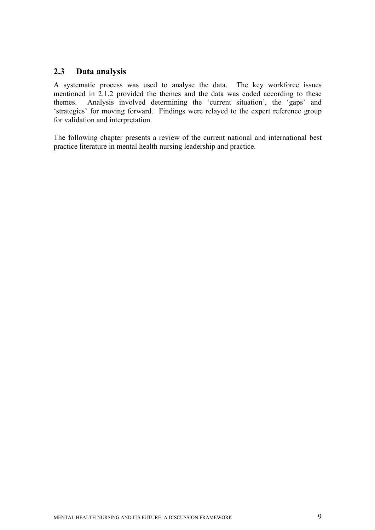# **2.3 Data analysis**

A systematic process was used to analyse the data. The key workforce issues mentioned in 2.1.2 provided the themes and the data was coded according to these themes. Analysis involved determining the 'current situation', the 'gaps' and 'strategies' for moving forward. Findings were relayed to the expert reference group for validation and interpretation.

The following chapter presents a review of the current national and international best practice literature in mental health nursing leadership and practice.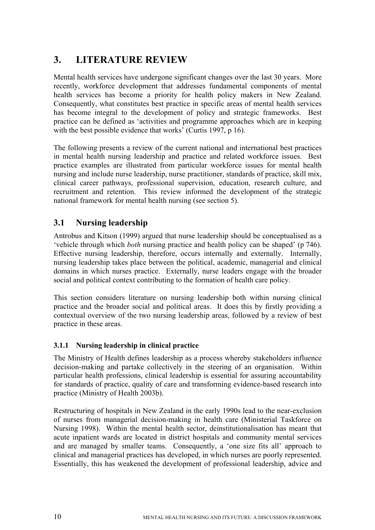# **3. LITERATURE REVIEW**

Mental health services have undergone significant changes over the last 30 years. More recently, workforce development that addresses fundamental components of mental health services has become a priority for health policy makers in New Zealand. Consequently, what constitutes best practice in specific areas of mental health services has become integral to the development of policy and strategic frameworks. Best practice can be defined as 'activities and programme approaches which are in keeping with the best possible evidence that works' (Curtis 1997, p 16).

The following presents a review of the current national and international best practices in mental health nursing leadership and practice and related workforce issues. Best practice examples are illustrated from particular workforce issues for mental health nursing and include nurse leadership, nurse practitioner, standards of practice, skill mix, clinical career pathways, professional supervision, education, research culture, and recruitment and retention. This review informed the development of the strategic national framework for mental health nursing (see section 5).

# **3.1 Nursing leadership**

Antrobus and Kitson (1999) argued that nurse leadership should be conceptualised as a 'vehicle through which *both* nursing practice and health policy can be shaped' (p 746). Effective nursing leadership, therefore, occurs internally and externally. Internally, nursing leadership takes place between the political, academic, managerial and clinical domains in which nurses practice. Externally, nurse leaders engage with the broader social and political context contributing to the formation of health care policy.

This section considers literature on nursing leadership both within nursing clinical practice and the broader social and political areas. It does this by firstly providing a contextual overview of the two nursing leadership areas, followed by a review of best practice in these areas.

## **3.1.1 Nursing leadership in clinical practice**

The Ministry of Health defines leadership as a process whereby stakeholders influence decision-making and partake collectively in the steering of an organisation. Within particular health professions, clinical leadership is essential for assuring accountability for standards of practice, quality of care and transforming evidence-based research into practice (Ministry of Health 2003b).

Restructuring of hospitals in New Zealand in the early 1990s lead to the near-exclusion of nurses from managerial decision-making in health care (Ministerial Taskforce on Nursing 1998). Within the mental health sector, deinstitutionalisation has meant that acute inpatient wards are located in district hospitals and community mental services and are managed by smaller teams. Consequently, a 'one size fits all' approach to clinical and managerial practices has developed, in which nurses are poorly represented. Essentially, this has weakened the development of professional leadership, advice and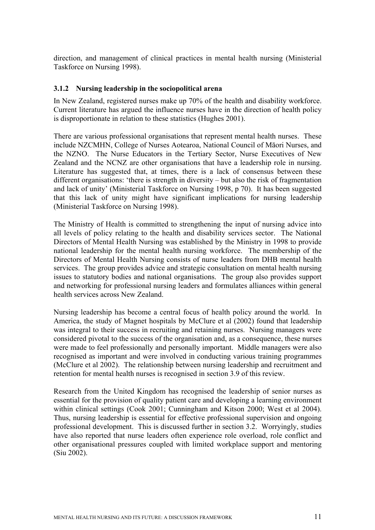direction, and management of clinical practices in mental health nursing (Ministerial Taskforce on Nursing 1998).

#### **3.1.2 Nursing leadership in the sociopolitical arena**

In New Zealand, registered nurses make up 70% of the health and disability workforce. Current literature has argued the influence nurses have in the direction of health policy is disproportionate in relation to these statistics (Hughes 2001).

There are various professional organisations that represent mental health nurses. These include NZCMHN, College of Nurses Aotearoa, National Council of Māori Nurses, and the NZNO. The Nurse Educators in the Tertiary Sector, Nurse Executives of New Zealand and the NCNZ are other organisations that have a leadership role in nursing. Literature has suggested that, at times, there is a lack of consensus between these different organisations: 'there is strength in diversity – but also the risk of fragmentation and lack of unity' (Ministerial Taskforce on Nursing 1998, p 70). It has been suggested that this lack of unity might have significant implications for nursing leadership (Ministerial Taskforce on Nursing 1998).

The Ministry of Health is committed to strengthening the input of nursing advice into all levels of policy relating to the health and disability services sector. The National Directors of Mental Health Nursing was established by the Ministry in 1998 to provide national leadership for the mental health nursing workforce. The membership of the Directors of Mental Health Nursing consists of nurse leaders from DHB mental health services. The group provides advice and strategic consultation on mental health nursing issues to statutory bodies and national organisations. The group also provides support and networking for professional nursing leaders and formulates alliances within general health services across New Zealand.

Nursing leadership has become a central focus of health policy around the world. In America, the study of Magnet hospitals by McClure et al (2002) found that leadership was integral to their success in recruiting and retaining nurses. Nursing managers were considered pivotal to the success of the organisation and, as a consequence, these nurses were made to feel professionally and personally important. Middle managers were also recognised as important and were involved in conducting various training programmes (McClure et al 2002). The relationship between nursing leadership and recruitment and retention for mental health nurses is recognised in section 3.9 of this review.

Research from the United Kingdom has recognised the leadership of senior nurses as essential for the provision of quality patient care and developing a learning environment within clinical settings (Cook 2001; Cunningham and Kitson 2000; West et al 2004). Thus, nursing leadership is essential for effective professional supervision and ongoing professional development. This is discussed further in section 3.2. Worryingly, studies have also reported that nurse leaders often experience role overload, role conflict and other organisational pressures coupled with limited workplace support and mentoring (Siu 2002).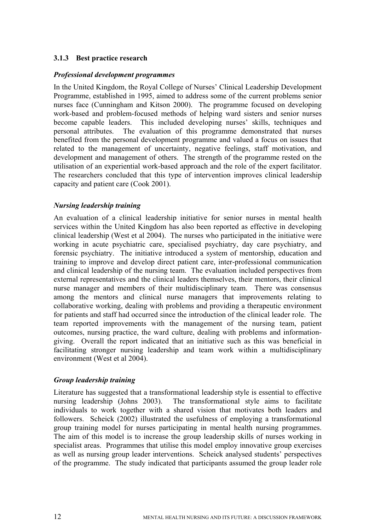#### **3.1.3 Best practice research**

#### *Professional development programmes*

In the United Kingdom, the Royal College of Nurses' Clinical Leadership Development Programme, established in 1995, aimed to address some of the current problems senior nurses face (Cunningham and Kitson 2000). The programme focused on developing work-based and problem-focused methods of helping ward sisters and senior nurses become capable leaders. This included developing nurses' skills, techniques and personal attributes. The evaluation of this programme demonstrated that nurses benefited from the personal development programme and valued a focus on issues that related to the management of uncertainty, negative feelings, staff motivation, and development and management of others. The strength of the programme rested on the utilisation of an experiential work-based approach and the role of the expert facilitator. The researchers concluded that this type of intervention improves clinical leadership capacity and patient care (Cook 2001).

#### *Nursing leadership training*

An evaluation of a clinical leadership initiative for senior nurses in mental health services within the United Kingdom has also been reported as effective in developing clinical leadership (West et al 2004). The nurses who participated in the initiative were working in acute psychiatric care, specialised psychiatry, day care psychiatry, and forensic psychiatry. The initiative introduced a system of mentorship, education and training to improve and develop direct patient care, inter-professional communication and clinical leadership of the nursing team. The evaluation included perspectives from external representatives and the clinical leaders themselves, their mentors, their clinical nurse manager and members of their multidisciplinary team. There was consensus among the mentors and clinical nurse managers that improvements relating to collaborative working, dealing with problems and providing a therapeutic environment for patients and staff had occurred since the introduction of the clinical leader role. The team reported improvements with the management of the nursing team, patient outcomes, nursing practice, the ward culture, dealing with problems and informationgiving. Overall the report indicated that an initiative such as this was beneficial in facilitating stronger nursing leadership and team work within a multidisciplinary environment (West et al 2004).

#### *Group leadership training*

Literature has suggested that a transformational leadership style is essential to effective nursing leadership (Johns 2003). The transformational style aims to facilitate individuals to work together with a shared vision that motivates both leaders and followers. Scheick (2002) illustrated the usefulness of employing a transformational group training model for nurses participating in mental health nursing programmes. The aim of this model is to increase the group leadership skills of nurses working in specialist areas. Programmes that utilise this model employ innovative group exercises as well as nursing group leader interventions. Scheick analysed students' perspectives of the programme. The study indicated that participants assumed the group leader role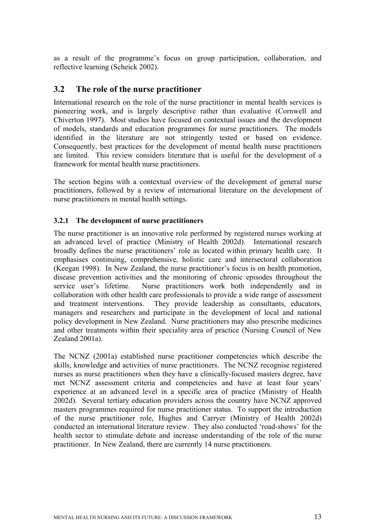as a result of the programme's focus on group participation, collaboration, and reflective learning (Scheick 2002).

## **3.2 The role of the nurse practitioner**

International research on the role of the nurse practitioner in mental health services is pioneering work, and is largely descriptive rather than evaluative (Cornwell and Chiverton 1997). Most studies have focused on contextual issues and the development of models, standards and education programmes for nurse practitioners. The models identified in the literature are not stringently tested or based on evidence. Consequently, best practices for the development of mental health nurse practitioners are limited. This review considers literature that is useful for the development of a framework for mental health nurse practitioners.

The section begins with a contextual overview of the development of general nurse practitioners, followed by a review of international literature on the development of nurse practitioners in mental health settings.

#### **3.2.1 The development of nurse practitioners**

The nurse practitioner is an innovative role performed by registered nurses working at an advanced level of practice (Ministry of Health 2002d). International research broadly defines the nurse practitioners' role as located within primary health care. It emphasises continuing, comprehensive, holistic care and intersectoral collaboration (Keegan 1998). In New Zealand, the nurse practitioner's focus is on health promotion, disease prevention activities and the monitoring of chronic episodes throughout the service user's lifetime. Nurse practitioners work both independently and in collaboration with other health care professionals to provide a wide range of assessment and treatment interventions. They provide leadership as consultants, educators, managers and researchers and participate in the development of local and national policy development in New Zealand. Nurse practitioners may also prescribe medicines and other treatments within their speciality area of practice (Nursing Council of New Zealand 2001a).

The NCNZ (2001a) established nurse practitioner competencies which describe the skills, knowledge and activities of nurse practitioners. The NCNZ recognise registered nurses as nurse practitioners when they have a clinically-focused masters degree, have met NCNZ assessment criteria and competencies and have at least four years' experience at an advanced level in a specific area of practice (Ministry of Health 2002d). Several tertiary education providers across the country have NCNZ approved masters programmes required for nurse practitioner status. To support the introduction of the nurse practitioner role, Hughes and Carryer (Ministry of Health 2002d) conducted an international literature review. They also conducted 'road-shows' for the health sector to stimulate debate and increase understanding of the role of the nurse practitioner. In New Zealand, there are currently 14 nurse practitioners.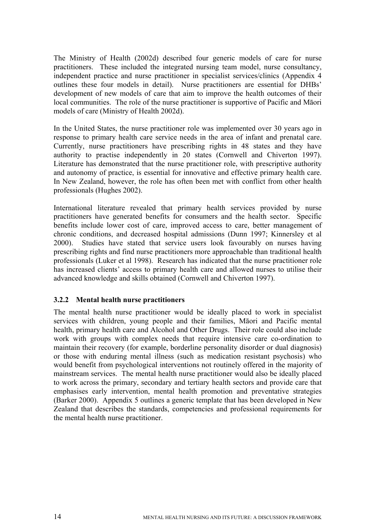The Ministry of Health (2002d) described four generic models of care for nurse practitioners. These included the integrated nursing team model, nurse consultancy, independent practice and nurse practitioner in specialist services/clinics (Appendix 4 outlines these four models in detail). Nurse practitioners are essential for DHBs' development of new models of care that aim to improve the health outcomes of their local communities. The role of the nurse practitioner is supportive of Pacific and Māori models of care (Ministry of Health 2002d).

In the United States, the nurse practitioner role was implemented over 30 years ago in response to primary health care service needs in the area of infant and prenatal care. Currently, nurse practitioners have prescribing rights in 48 states and they have authority to practise independently in 20 states (Cornwell and Chiverton 1997). Literature has demonstrated that the nurse practitioner role, with prescriptive authority and autonomy of practice, is essential for innovative and effective primary health care. In New Zealand, however, the role has often been met with conflict from other health professionals (Hughes 2002).

International literature revealed that primary health services provided by nurse practitioners have generated benefits for consumers and the health sector. Specific benefits include lower cost of care, improved access to care, better management of chronic conditions, and decreased hospital admissions (Dunn 1997; Kinnersley et al 2000). Studies have stated that service users look favourably on nurses having prescribing rights and find nurse practitioners more approachable than traditional health professionals (Luker et al 1998). Research has indicated that the nurse practitioner role has increased clients' access to primary health care and allowed nurses to utilise their advanced knowledge and skills obtained (Cornwell and Chiverton 1997).

#### **3.2.2 Mental health nurse practitioners**

The mental health nurse practitioner would be ideally placed to work in specialist services with children, young people and their families, Māori and Pacific mental health, primary health care and Alcohol and Other Drugs. Their role could also include work with groups with complex needs that require intensive care co-ordination to maintain their recovery (for example, borderline personality disorder or dual diagnosis) or those with enduring mental illness (such as medication resistant psychosis) who would benefit from psychological interventions not routinely offered in the majority of mainstream services. The mental health nurse practitioner would also be ideally placed to work across the primary, secondary and tertiary health sectors and provide care that emphasises early intervention, mental health promotion and preventative strategies (Barker 2000). Appendix 5 outlines a generic template that has been developed in New Zealand that describes the standards, competencies and professional requirements for the mental health nurse practitioner.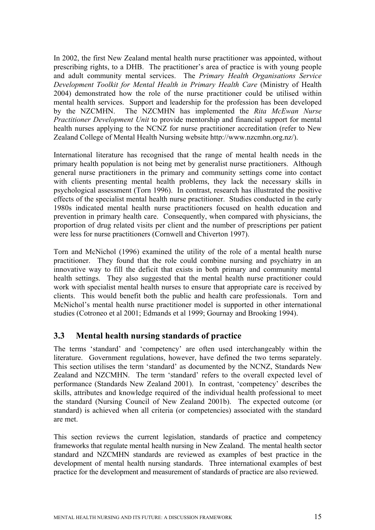In 2002, the first New Zealand mental health nurse practitioner was appointed, without prescribing rights, to a DHB. The practitioner's area of practice is with young people and adult community mental services. The *Primary Health Organisations Service Development Toolkit for Mental Health in Primary Health Care* (Ministry of Health 2004) demonstrated how the role of the nurse practitioner could be utilised within mental health services. Support and leadership for the profession has been developed by the NZCMHN. The NZCMHN has implemented the *Rita McEwan Nurse Practitioner Development Unit* to provide mentorship and financial support for mental health nurses applying to the NCNZ for nurse practitioner accreditation (refer to New Zealand College of Mental Health Nursing website http://www.nzcmhn.org.nz/).

International literature has recognised that the range of mental health needs in the primary health population is not being met by generalist nurse practitioners. Although general nurse practitioners in the primary and community settings come into contact with clients presenting mental health problems, they lack the necessary skills in psychological assessment (Torn 1996). In contrast, research has illustrated the positive effects of the specialist mental health nurse practitioner. Studies conducted in the early 1980s indicated mental health nurse practitioners focused on health education and prevention in primary health care. Consequently, when compared with physicians, the proportion of drug related visits per client and the number of prescriptions per patient were less for nurse practitioners (Cornwell and Chiverton 1997).

Torn and McNichol (1996) examined the utility of the role of a mental health nurse practitioner. They found that the role could combine nursing and psychiatry in an innovative way to fill the deficit that exists in both primary and community mental health settings. They also suggested that the mental health nurse practitioner could work with specialist mental health nurses to ensure that appropriate care is received by clients. This would benefit both the public and health care professionals. Torn and McNichol's mental health nurse practitioner model is supported in other international studies (Cotroneo et al 2001; Edmands et al 1999; Gournay and Brooking 1994).

# **3.3 Mental health nursing standards of practice**

The terms 'standard' and 'competency' are often used interchangeably within the literature. Government regulations, however, have defined the two terms separately. This section utilises the term 'standard' as documented by the NCNZ, Standards New Zealand and NZCMHN. The term 'standard' refers to the overall expected level of performance (Standards New Zealand 2001). In contrast, 'competency' describes the skills, attributes and knowledge required of the individual health professional to meet the standard (Nursing Council of New Zealand 2001b). The expected outcome (or standard) is achieved when all criteria (or competencies) associated with the standard are met.

This section reviews the current legislation, standards of practice and competency frameworks that regulate mental health nursing in New Zealand. The mental health sector standard and NZCMHN standards are reviewed as examples of best practice in the development of mental health nursing standards. Three international examples of best practice for the development and measurement of standards of practice are also reviewed.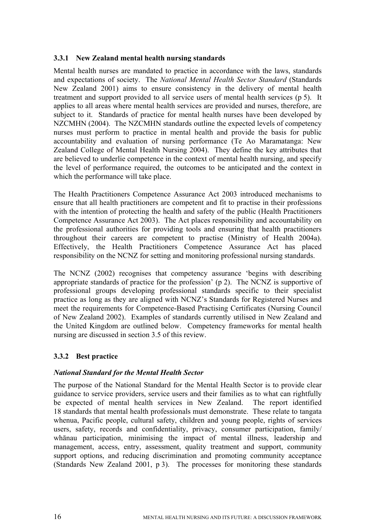#### **3.3.1 New Zealand mental health nursing standards**

Mental health nurses are mandated to practice in accordance with the laws, standards and expectations of society. The *National Mental Health Sector Standard* (Standards New Zealand 2001) aims to ensure consistency in the delivery of mental health treatment and support provided to all service users of mental health services (p 5). It applies to all areas where mental health services are provided and nurses, therefore, are subject to it. Standards of practice for mental health nurses have been developed by NZCMHN (2004). The NZCMHN standards outline the expected levels of competency nurses must perform to practice in mental health and provide the basis for public accountability and evaluation of nursing performance (Te Ao Maramatanga: New Zealand College of Mental Health Nursing 2004). They define the key attributes that are believed to underlie competence in the context of mental health nursing, and specify the level of performance required, the outcomes to be anticipated and the context in which the performance will take place.

The Health Practitioners Competence Assurance Act 2003 introduced mechanisms to ensure that all health practitioners are competent and fit to practise in their professions with the intention of protecting the health and safety of the public (Health Practitioners Competence Assurance Act 2003). The Act places responsibility and accountability on the professional authorities for providing tools and ensuring that health practitioners throughout their careers are competent to practise (Ministry of Health 2004a). Effectively, the Health Practitioners Competence Assurance Act has placed responsibility on the NCNZ for setting and monitoring professional nursing standards.

The NCNZ (2002) recognises that competency assurance 'begins with describing appropriate standards of practice for the profession' (p 2). The NCNZ is supportive of professional groups developing professional standards specific to their specialist practice as long as they are aligned with NCNZ's Standards for Registered Nurses and meet the requirements for Competence-Based Practising Certificates (Nursing Council of New Zealand 2002). Examples of standards currently utilised in New Zealand and the United Kingdom are outlined below. Competency frameworks for mental health nursing are discussed in section 3.5 of this review.

#### **3.3.2 Best practice**

#### *National Standard for the Mental Health Sector*

The purpose of the National Standard for the Mental Health Sector is to provide clear guidance to service providers, service users and their families as to what can rightfully be expected of mental health services in New Zealand. The report identified 18 standards that mental health professionals must demonstrate. These relate to tangata whenua, Pacific people, cultural safety, children and young people, rights of services users, safety, records and confidentiality, privacy, consumer participation, family/ whānau participation, minimising the impact of mental illness, leadership and management, access, entry, assessment, quality treatment and support, community support options, and reducing discrimination and promoting community acceptance (Standards New Zealand 2001, p 3). The processes for monitoring these standards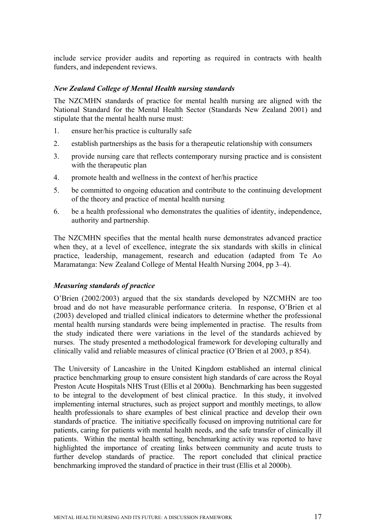include service provider audits and reporting as required in contracts with health funders, and independent reviews.

#### *New Zealand College of Mental Health nursing standards*

The NZCMHN standards of practice for mental health nursing are aligned with the National Standard for the Mental Health Sector (Standards New Zealand 2001) and stipulate that the mental health nurse must:

- 1. ensure her/his practice is culturally safe
- 2. establish partnerships as the basis for a therapeutic relationship with consumers
- 3. provide nursing care that reflects contemporary nursing practice and is consistent with the therapeutic plan
- 4. promote health and wellness in the context of her/his practice
- 5. be committed to ongoing education and contribute to the continuing development of the theory and practice of mental health nursing
- 6. be a health professional who demonstrates the qualities of identity, independence, authority and partnership.

The NZCMHN specifies that the mental health nurse demonstrates advanced practice when they, at a level of excellence, integrate the six standards with skills in clinical practice, leadership, management, research and education (adapted from Te Ao Maramatanga: New Zealand College of Mental Health Nursing 2004, pp 3–4).

#### *Measuring standards of practice*

O'Brien (2002/2003) argued that the six standards developed by NZCMHN are too broad and do not have measurable performance criteria. In response, O'Brien et al (2003) developed and trialled clinical indicators to determine whether the professional mental health nursing standards were being implemented in practise. The results from the study indicated there were variations in the level of the standards achieved by nurses. The study presented a methodological framework for developing culturally and clinically valid and reliable measures of clinical practice (O'Brien et al 2003, p 854).

The University of Lancashire in the United Kingdom established an internal clinical practice benchmarking group to ensure consistent high standards of care across the Royal Preston Acute Hospitals NHS Trust (Ellis et al 2000a). Benchmarking has been suggested to be integral to the development of best clinical practice. In this study, it involved implementing internal structures, such as project support and monthly meetings, to allow health professionals to share examples of best clinical practice and develop their own standards of practice. The initiative specifically focused on improving nutritional care for patients, caring for patients with mental health needs, and the safe transfer of clinically ill patients. Within the mental health setting, benchmarking activity was reported to have highlighted the importance of creating links between community and acute trusts to further develop standards of practice. The report concluded that clinical practice benchmarking improved the standard of practice in their trust (Ellis et al 2000b).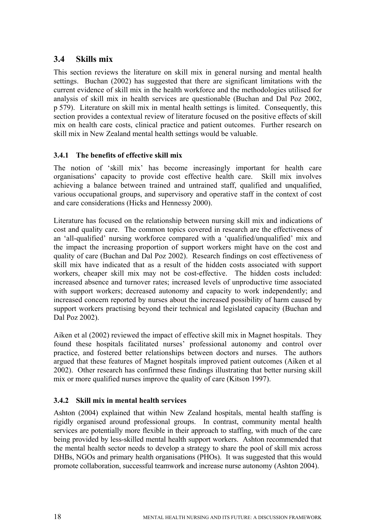# **3.4 Skills mix**

This section reviews the literature on skill mix in general nursing and mental health settings. Buchan (2002) has suggested that there are significant limitations with the current evidence of skill mix in the health workforce and the methodologies utilised for analysis of skill mix in health services are questionable (Buchan and Dal Poz 2002, p 579). Literature on skill mix in mental health settings is limited. Consequently, this section provides a contextual review of literature focused on the positive effects of skill mix on health care costs, clinical practice and patient outcomes. Further research on skill mix in New Zealand mental health settings would be valuable.

## **3.4.1 The benefits of effective skill mix**

The notion of 'skill mix' has become increasingly important for health care organisations' capacity to provide cost effective health care. Skill mix involves achieving a balance between trained and untrained staff, qualified and unqualified, various occupational groups, and supervisory and operative staff in the context of cost and care considerations (Hicks and Hennessy 2000).

Literature has focused on the relationship between nursing skill mix and indications of cost and quality care. The common topics covered in research are the effectiveness of an 'all-qualified' nursing workforce compared with a 'qualified/unqualified' mix and the impact the increasing proportion of support workers might have on the cost and quality of care (Buchan and Dal Poz 2002). Research findings on cost effectiveness of skill mix have indicated that as a result of the hidden costs associated with support workers, cheaper skill mix may not be cost-effective. The hidden costs included: increased absence and turnover rates; increased levels of unproductive time associated with support workers; decreased autonomy and capacity to work independently; and increased concern reported by nurses about the increased possibility of harm caused by support workers practising beyond their technical and legislated capacity (Buchan and Dal Poz 2002).

Aiken et al (2002) reviewed the impact of effective skill mix in Magnet hospitals. They found these hospitals facilitated nurses' professional autonomy and control over practice, and fostered better relationships between doctors and nurses. The authors argued that these features of Magnet hospitals improved patient outcomes (Aiken et al 2002). Other research has confirmed these findings illustrating that better nursing skill mix or more qualified nurses improve the quality of care (Kitson 1997).

## **3.4.2 Skill mix in mental health services**

Ashton (2004) explained that within New Zealand hospitals, mental health staffing is rigidly organised around professional groups. In contrast, community mental health services are potentially more flexible in their approach to staffing, with much of the care being provided by less-skilled mental health support workers. Ashton recommended that the mental health sector needs to develop a strategy to share the pool of skill mix across DHBs, NGOs and primary health organisations (PHOs). It was suggested that this would promote collaboration, successful teamwork and increase nurse autonomy (Ashton 2004).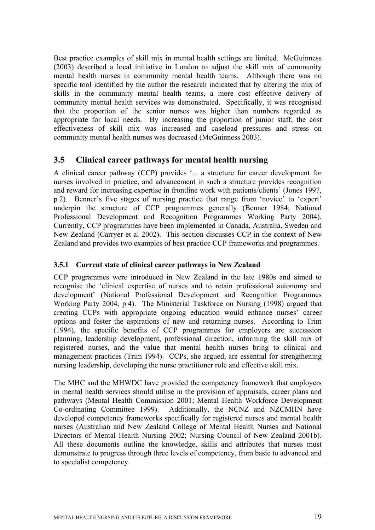Best practice examples of skill mix in mental health settings are limited. McGuinness (2003) described a local initiative in London to adjust the skill mix of community mental health nurses in community mental health teams. Although there was no specific tool identified by the author the research indicated that by altering the mix of skills in the community mental health teams, a more cost effective delivery of community mental health services was demonstrated. Specifically, it was recognised that the proportion of the senior nurses was higher than numbers regarded as appropriate for local needs. By increasing the proportion of junior staff, the cost effectiveness of skill mix was increased and caseload pressures and stress on community mental health nurses was decreased (McGuinness 2003).

# **3.5 Clinical career pathways for mental health nursing**

A clinical career pathway (CCP) provides '... a structure for career development for nurses involved in practice, and advancement in such a structure provides recognition and reward for increasing expertise in frontline work with patients/clients' (Jones 1997, p 2). Benner's five stages of nursing practice that range from 'novice' to 'expert' underpin the structure of CCP programmes generally (Benner 1984; National Professional Development and Recognition Programmes Working Party 2004). Currently, CCP programmes have been implemented in Canada, Australia, Sweden and New Zealand (Carryer et al 2002). This section discusses CCP in the context of New Zealand and provides two examples of best practice CCP frameworks and programmes.

## **3.5.1 Current state of clinical career pathways in New Zealand**

CCP programmes were introduced in New Zealand in the late 1980s and aimed to recognise the 'clinical expertise of nurses and to retain professional autonomy and development' (National Professional Development and Recognition Programmes Working Party 2004, p 4). The Ministerial Taskforce on Nursing (1998) argued that creating CCPs with appropriate ongoing education would enhance nurses' career options and foster the aspirations of new and returning nurses. According to Trim (1994), the specific benefits of CCP programmes for employers are succession planning, leadership development, professional direction, informing the skill mix of registered nurses, and the value that mental health nurses bring to clinical and management practices (Trim 1994). CCPs, she argued, are essential for strengthening nursing leadership, developing the nurse practitioner role and effective skill mix.

The MHC and the MHWDC have provided the competency framework that employers in mental health services should utilise in the provision of appraisals, career plans and pathways (Mental Health Commission 2001; Mental Health Workforce Development Co-ordinating Committee 1999). Additionally, the NCNZ and NZCMHN have developed competency frameworks specifically for registered nurses and mental health nurses (Australian and New Zealand College of Mental Health Nurses and National Directors of Mental Health Nursing 2002; Nursing Council of New Zealand 2001b). All these documents outline the knowledge, skills and attributes that nurses must demonstrate to progress through three levels of competency, from basic to advanced and to specialist competency.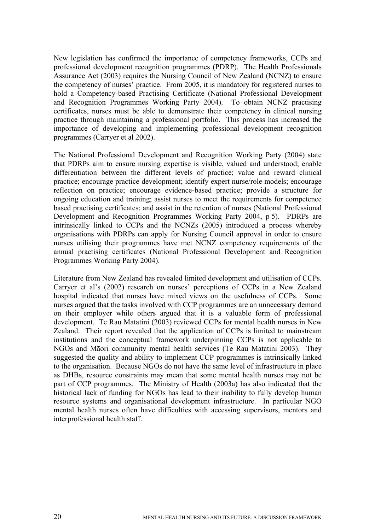New legislation has confirmed the importance of competency frameworks, CCPs and professional development recognition programmes (PDRP). The Health Professionals Assurance Act (2003) requires the Nursing Council of New Zealand (NCNZ) to ensure the competency of nurses' practice. From 2005, it is mandatory for registered nurses to hold a Competency-based Practising Certificate (National Professional Development and Recognition Programmes Working Party 2004). To obtain NCNZ practising certificates, nurses must be able to demonstrate their competency in clinical nursing practice through maintaining a professional portfolio. This process has increased the importance of developing and implementing professional development recognition programmes (Carryer et al 2002).

The National Professional Development and Recognition Working Party (2004) state that PDRPs aim to ensure nursing expertise is visible, valued and understood; enable differentiation between the different levels of practice; value and reward clinical practice; encourage practice development; identify expert nurse/role models; encourage reflection on practice; encourage evidence-based practice; provide a structure for ongoing education and training; assist nurses to meet the requirements for competence based practising certificates; and assist in the retention of nurses (National Professional Development and Recognition Programmes Working Party 2004, p 5). PDRPs are intrinsically linked to CCPs and the NCNZs (2005) introduced a process whereby organisations with PDRPs can apply for Nursing Council approval in order to ensure nurses utilising their programmes have met NCNZ competency requirements of the annual practising certificates (National Professional Development and Recognition Programmes Working Party 2004).

Literature from New Zealand has revealed limited development and utilisation of CCPs. Carryer et al's (2002) research on nurses' perceptions of CCPs in a New Zealand hospital indicated that nurses have mixed views on the usefulness of CCPs. Some nurses argued that the tasks involved with CCP programmes are an unnecessary demand on their employer while others argued that it is a valuable form of professional development. Te Rau Matatini (2003) reviewed CCPs for mental health nurses in New Zealand. Their report revealed that the application of CCPs is limited to mainstream institutions and the conceptual framework underpinning CCPs is not applicable to NGOs and Māori community mental health services (Te Rau Matatini 2003). They suggested the quality and ability to implement CCP programmes is intrinsically linked to the organisation. Because NGOs do not have the same level of infrastructure in place as DHBs, resource constraints may mean that some mental health nurses may not be part of CCP programmes. The Ministry of Health (2003a) has also indicated that the historical lack of funding for NGOs has lead to their inability to fully develop human resource systems and organisational development infrastructure. In particular NGO mental health nurses often have difficulties with accessing supervisors, mentors and interprofessional health staff.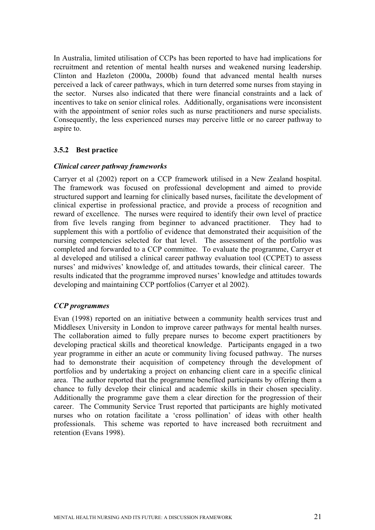In Australia, limited utilisation of CCPs has been reported to have had implications for recruitment and retention of mental health nurses and weakened nursing leadership. Clinton and Hazleton (2000a, 2000b) found that advanced mental health nurses perceived a lack of career pathways, which in turn deterred some nurses from staying in the sector. Nurses also indicated that there were financial constraints and a lack of incentives to take on senior clinical roles. Additionally, organisations were inconsistent with the appointment of senior roles such as nurse practitioners and nurse specialists. Consequently, the less experienced nurses may perceive little or no career pathway to aspire to.

#### **3.5.2 Best practice**

#### *Clinical career pathway frameworks*

Carryer et al (2002) report on a CCP framework utilised in a New Zealand hospital. The framework was focused on professional development and aimed to provide structured support and learning for clinically based nurses, facilitate the development of clinical expertise in professional practice, and provide a process of recognition and reward of excellence. The nurses were required to identify their own level of practice from five levels ranging from beginner to advanced practitioner. They had to supplement this with a portfolio of evidence that demonstrated their acquisition of the nursing competencies selected for that level. The assessment of the portfolio was completed and forwarded to a CCP committee. To evaluate the programme, Carryer et al developed and utilised a clinical career pathway evaluation tool (CCPET) to assess nurses' and midwives' knowledge of, and attitudes towards, their clinical career. The results indicated that the programme improved nurses' knowledge and attitudes towards developing and maintaining CCP portfolios (Carryer et al 2002).

#### *CCP programmes*

Evan (1998) reported on an initiative between a community health services trust and Middlesex University in London to improve career pathways for mental health nurses. The collaboration aimed to fully prepare nurses to become expert practitioners by developing practical skills and theoretical knowledge. Participants engaged in a two year programme in either an acute or community living focused pathway. The nurses had to demonstrate their acquisition of competency through the development of portfolios and by undertaking a project on enhancing client care in a specific clinical area. The author reported that the programme benefited participants by offering them a chance to fully develop their clinical and academic skills in their chosen speciality. Additionally the programme gave them a clear direction for the progression of their career. The Community Service Trust reported that participants are highly motivated nurses who on rotation facilitate a 'cross pollination' of ideas with other health professionals. This scheme was reported to have increased both recruitment and retention (Evans 1998).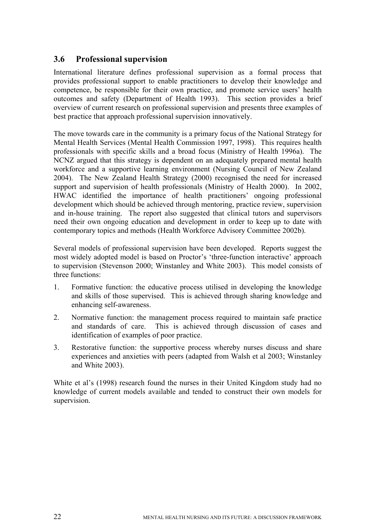# **3.6 Professional supervision**

International literature defines professional supervision as a formal process that provides professional support to enable practitioners to develop their knowledge and competence, be responsible for their own practice, and promote service users' health outcomes and safety (Department of Health 1993). This section provides a brief overview of current research on professional supervision and presents three examples of best practice that approach professional supervision innovatively.

The move towards care in the community is a primary focus of the National Strategy for Mental Health Services (Mental Health Commission 1997, 1998). This requires health professionals with specific skills and a broad focus (Ministry of Health 1996a). The NCNZ argued that this strategy is dependent on an adequately prepared mental health workforce and a supportive learning environment (Nursing Council of New Zealand 2004). The New Zealand Health Strategy (2000) recognised the need for increased support and supervision of health professionals (Ministry of Health 2000). In 2002, HWAC identified the importance of health practitioners' ongoing professional development which should be achieved through mentoring, practice review, supervision and in-house training. The report also suggested that clinical tutors and supervisors need their own ongoing education and development in order to keep up to date with contemporary topics and methods (Health Workforce Advisory Committee 2002b).

Several models of professional supervision have been developed. Reports suggest the most widely adopted model is based on Proctor's 'three-function interactive' approach to supervision (Stevenson 2000; Winstanley and White 2003). This model consists of three functions:

- 1. Formative function: the educative process utilised in developing the knowledge and skills of those supervised. This is achieved through sharing knowledge and enhancing self-awareness.
- 2. Normative function: the management process required to maintain safe practice and standards of care. This is achieved through discussion of cases and identification of examples of poor practice.
- 3. Restorative function: the supportive process whereby nurses discuss and share experiences and anxieties with peers (adapted from Walsh et al 2003; Winstanley and White 2003).

White et al's (1998) research found the nurses in their United Kingdom study had no knowledge of current models available and tended to construct their own models for supervision.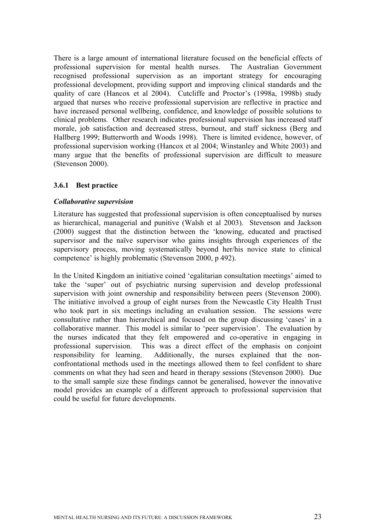There is a large amount of international literature focused on the beneficial effects of professional supervision for mental health nurses. The Australian Government recognised professional supervision as an important strategy for encouraging professional development, providing support and improving clinical standards and the quality of care (Hancox et al 2004). Cutcliffe and Proctor's (1998a, 1998b) study argued that nurses who receive professional supervision are reflective in practice and have increased personal wellbeing, confidence, and knowledge of possible solutions to clinical problems. Other research indicates professional supervision has increased staff morale, job satisfaction and decreased stress, burnout, and staff sickness (Berg and Hallberg 1999; Butterworth and Woods 1998). There is limited evidence, however, of professional supervision working (Hancox et al 2004; Winstanley and White 2003) and many argue that the benefits of professional supervision are difficult to measure (Stevenson 2000).

#### **3.6.1 Best practice**

#### *Collaborative supervision*

Literature has suggested that professional supervision is often conceptualised by nurses as hierarchical, managerial and punitive (Walsh et al 2003). Stevenson and Jackson (2000) suggest that the distinction between the 'knowing, educated and practised supervisor and the naïve supervisor who gains insights through experiences of the supervisory process, moving systematically beyond her/his novice state to clinical competence' is highly problematic (Stevenson 2000, p 492).

In the United Kingdom an initiative coined 'egalitarian consultation meetings' aimed to take the 'super' out of psychiatric nursing supervision and develop professional supervision with joint ownership and responsibility between peers (Stevenson 2000). The initiative involved a group of eight nurses from the Newcastle City Health Trust who took part in six meetings including an evaluation session. The sessions were consultative rather than hierarchical and focused on the group discussing 'cases' in a collaborative manner. This model is similar to 'peer supervision'. The evaluation by the nurses indicated that they felt empowered and co-operative in engaging in professional supervision. This was a direct effect of the emphasis on conjoint responsibility for learning. Additionally, the nurses explained that the nonconfrontational methods used in the meetings allowed them to feel confident to share comments on what they had seen and heard in therapy sessions (Stevenson 2000). Due to the small sample size these findings cannot be generalised, however the innovative model provides an example of a different approach to professional supervision that could be useful for future developments.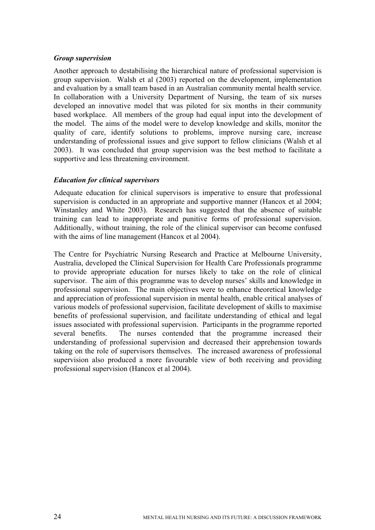#### *Group supervision*

Another approach to destabilising the hierarchical nature of professional supervision is group supervision. Walsh et al (2003) reported on the development, implementation and evaluation by a small team based in an Australian community mental health service. In collaboration with a University Department of Nursing, the team of six nurses developed an innovative model that was piloted for six months in their community based workplace. All members of the group had equal input into the development of the model. The aims of the model were to develop knowledge and skills, monitor the quality of care, identify solutions to problems, improve nursing care, increase understanding of professional issues and give support to fellow clinicians (Walsh et al 2003). It was concluded that group supervision was the best method to facilitate a supportive and less threatening environment.

#### *Education for clinical supervisors*

Adequate education for clinical supervisors is imperative to ensure that professional supervision is conducted in an appropriate and supportive manner (Hancox et al 2004; Winstanley and White 2003). Research has suggested that the absence of suitable training can lead to inappropriate and punitive forms of professional supervision. Additionally, without training, the role of the clinical supervisor can become confused with the aims of line management (Hancox et al 2004).

The Centre for Psychiatric Nursing Research and Practice at Melbourne University, Australia, developed the Clinical Supervision for Health Care Professionals programme to provide appropriate education for nurses likely to take on the role of clinical supervisor. The aim of this programme was to develop nurses' skills and knowledge in professional supervision. The main objectives were to enhance theoretical knowledge and appreciation of professional supervision in mental health, enable critical analyses of various models of professional supervision, facilitate development of skills to maximise benefits of professional supervision, and facilitate understanding of ethical and legal issues associated with professional supervision. Participants in the programme reported several benefits. The nurses contended that the programme increased their understanding of professional supervision and decreased their apprehension towards taking on the role of supervisors themselves. The increased awareness of professional supervision also produced a more favourable view of both receiving and providing professional supervision (Hancox et al 2004).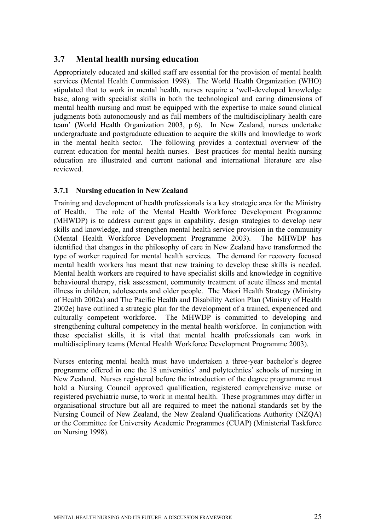# **3.7 Mental health nursing education**

Appropriately educated and skilled staff are essential for the provision of mental health services (Mental Health Commission 1998). The World Health Organization (WHO) stipulated that to work in mental health, nurses require a 'well-developed knowledge base, along with specialist skills in both the technological and caring dimensions of mental health nursing and must be equipped with the expertise to make sound clinical judgments both autonomously and as full members of the multidisciplinary health care team' (World Health Organization 2003, p 6). In New Zealand, nurses undertake undergraduate and postgraduate education to acquire the skills and knowledge to work in the mental health sector. The following provides a contextual overview of the current education for mental health nurses. Best practices for mental health nursing education are illustrated and current national and international literature are also reviewed.

#### **3.7.1 Nursing education in New Zealand**

Training and development of health professionals is a key strategic area for the Ministry of Health. The role of the Mental Health Workforce Development Programme (MHWDP) is to address current gaps in capability, design strategies to develop new skills and knowledge, and strengthen mental health service provision in the community (Mental Health Workforce Development Programme 2003). The MHWDP has identified that changes in the philosophy of care in New Zealand have transformed the type of worker required for mental health services. The demand for recovery focused mental health workers has meant that new training to develop these skills is needed. Mental health workers are required to have specialist skills and knowledge in cognitive behavioural therapy, risk assessment, community treatment of acute illness and mental illness in children, adolescents and older people. The Māori Health Strategy (Ministry of Health 2002a) and The Pacific Health and Disability Action Plan (Ministry of Health 2002e) have outlined a strategic plan for the development of a trained, experienced and culturally competent workforce. The MHWDP is committed to developing and strengthening cultural competency in the mental health workforce. In conjunction with these specialist skills, it is vital that mental health professionals can work in multidisciplinary teams (Mental Health Workforce Development Programme 2003).

Nurses entering mental health must have undertaken a three-year bachelor's degree programme offered in one the 18 universities' and polytechnics' schools of nursing in New Zealand. Nurses registered before the introduction of the degree programme must hold a Nursing Council approved qualification, registered comprehensive nurse or registered psychiatric nurse, to work in mental health. These programmes may differ in organisational structure but all are required to meet the national standards set by the Nursing Council of New Zealand, the New Zealand Qualifications Authority (NZQA) or the Committee for University Academic Programmes (CUAP) (Ministerial Taskforce on Nursing 1998).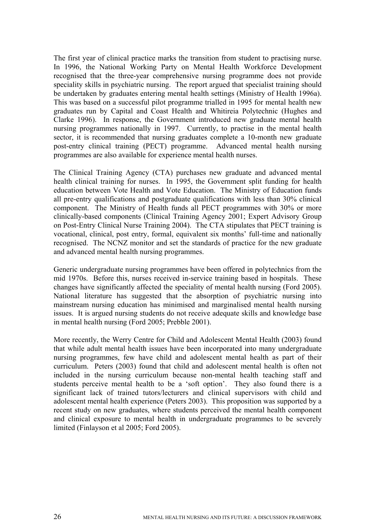The first year of clinical practice marks the transition from student to practising nurse. In 1996, the National Working Party on Mental Health Workforce Development recognised that the three-year comprehensive nursing programme does not provide speciality skills in psychiatric nursing. The report argued that specialist training should be undertaken by graduates entering mental health settings (Ministry of Health 1996a). This was based on a successful pilot programme trialled in 1995 for mental health new graduates run by Capital and Coast Health and Whitireia Polytechnic (Hughes and Clarke 1996). In response, the Government introduced new graduate mental health nursing programmes nationally in 1997. Currently, to practise in the mental health sector, it is recommended that nursing graduates complete a 10-month new graduate post-entry clinical training (PECT) programme. Advanced mental health nursing programmes are also available for experience mental health nurses.

The Clinical Training Agency (CTA) purchases new graduate and advanced mental health clinical training for nurses. In 1995, the Government split funding for health education between Vote Health and Vote Education. The Ministry of Education funds all pre-entry qualifications and postgraduate qualifications with less than 30% clinical component. The Ministry of Health funds all PECT programmes with 30% or more clinically-based components (Clinical Training Agency 2001; Expert Advisory Group on Post-Entry Clinical Nurse Training 2004). The CTA stipulates that PECT training is vocational, clinical, post entry, formal, equivalent six months' full-time and nationally recognised. The NCNZ monitor and set the standards of practice for the new graduate and advanced mental health nursing programmes.

Generic undergraduate nursing programmes have been offered in polytechnics from the mid 1970s. Before this, nurses received in-service training based in hospitals. These changes have significantly affected the speciality of mental health nursing (Ford 2005). National literature has suggested that the absorption of psychiatric nursing into mainstream nursing education has minimised and marginalised mental health nursing issues. It is argued nursing students do not receive adequate skills and knowledge base in mental health nursing (Ford 2005; Prebble 2001).

More recently, the Werry Centre for Child and Adolescent Mental Health (2003) found that while adult mental health issues have been incorporated into many undergraduate nursing programmes, few have child and adolescent mental health as part of their curriculum. Peters (2003) found that child and adolescent mental health is often not included in the nursing curriculum because non-mental health teaching staff and students perceive mental health to be a 'soft option'. They also found there is a significant lack of trained tutors/lecturers and clinical supervisors with child and adolescent mental health experience (Peters 2003). This proposition was supported by a recent study on new graduates, where students perceived the mental health component and clinical exposure to mental health in undergraduate programmes to be severely limited (Finlayson et al 2005; Ford 2005).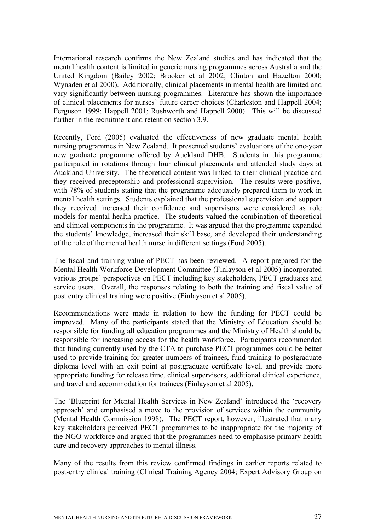International research confirms the New Zealand studies and has indicated that the mental health content is limited in generic nursing programmes across Australia and the United Kingdom (Bailey 2002; Brooker et al 2002; Clinton and Hazelton 2000; Wynaden et al 2000). Additionally, clinical placements in mental health are limited and vary significantly between nursing programmes. Literature has shown the importance of clinical placements for nurses' future career choices (Charleston and Happell 2004; Ferguson 1999; Happell 2001; Rushworth and Happell 2000). This will be discussed further in the recruitment and retention section 3.9.

Recently, Ford (2005) evaluated the effectiveness of new graduate mental health nursing programmes in New Zealand. It presented students' evaluations of the one-year new graduate programme offered by Auckland DHB. Students in this programme participated in rotations through four clinical placements and attended study days at Auckland University. The theoretical content was linked to their clinical practice and they received preceptorship and professional supervision. The results were positive, with 78% of students stating that the programme adequately prepared them to work in mental health settings. Students explained that the professional supervision and support they received increased their confidence and supervisors were considered as role models for mental health practice. The students valued the combination of theoretical and clinical components in the programme. It was argued that the programme expanded the students' knowledge, increased their skill base, and developed their understanding of the role of the mental health nurse in different settings (Ford 2005).

The fiscal and training value of PECT has been reviewed. A report prepared for the Mental Health Workforce Development Committee (Finlayson et al 2005) incorporated various groups' perspectives on PECT including key stakeholders, PECT graduates and service users. Overall, the responses relating to both the training and fiscal value of post entry clinical training were positive (Finlayson et al 2005).

Recommendations were made in relation to how the funding for PECT could be improved. Many of the participants stated that the Ministry of Education should be responsible for funding all education programmes and the Ministry of Health should be responsible for increasing access for the health workforce. Participants recommended that funding currently used by the CTA to purchase PECT programmes could be better used to provide training for greater numbers of trainees, fund training to postgraduate diploma level with an exit point at postgraduate certificate level, and provide more appropriate funding for release time, clinical supervisors, additional clinical experience, and travel and accommodation for trainees (Finlayson et al 2005).

The 'Blueprint for Mental Health Services in New Zealand' introduced the 'recovery approach' and emphasised a move to the provision of services within the community (Mental Health Commission 1998). The PECT report, however, illustrated that many key stakeholders perceived PECT programmes to be inappropriate for the majority of the NGO workforce and argued that the programmes need to emphasise primary health care and recovery approaches to mental illness.

Many of the results from this review confirmed findings in earlier reports related to post-entry clinical training (Clinical Training Agency 2004; Expert Advisory Group on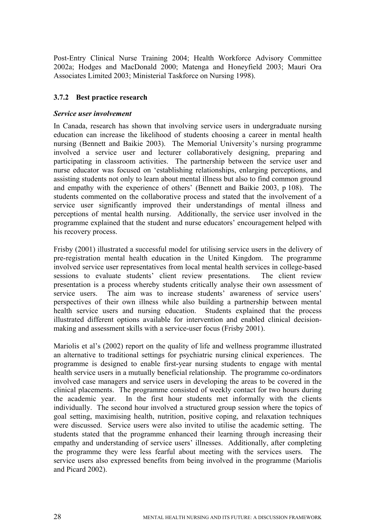Post-Entry Clinical Nurse Training 2004; Health Workforce Advisory Committee 2002a; Hodges and MacDonald 2000; Matenga and Honeyfield 2003; Mauri Ora Associates Limited 2003; Ministerial Taskforce on Nursing 1998).

## **3.7.2 Best practice research**

#### *Service user involvement*

In Canada, research has shown that involving service users in undergraduate nursing education can increase the likelihood of students choosing a career in mental health nursing (Bennett and Baikie 2003). The Memorial University's nursing programme involved a service user and lecturer collaboratively designing, preparing and participating in classroom activities. The partnership between the service user and nurse educator was focused on 'establishing relationships, enlarging perceptions, and assisting students not only to learn about mental illness but also to find common ground and empathy with the experience of others' (Bennett and Baikie 2003, p 108). The students commented on the collaborative process and stated that the involvement of a service user significantly improved their understandings of mental illness and perceptions of mental health nursing. Additionally, the service user involved in the programme explained that the student and nurse educators' encouragement helped with his recovery process.

Frisby (2001) illustrated a successful model for utilising service users in the delivery of pre-registration mental health education in the United Kingdom. The programme involved service user representatives from local mental health services in college-based sessions to evaluate students' client review presentations. The client review presentation is a process whereby students critically analyse their own assessment of service users. The aim was to increase students' awareness of service users' perspectives of their own illness while also building a partnership between mental health service users and nursing education. Students explained that the process illustrated different options available for intervention and enabled clinical decisionmaking and assessment skills with a service-user focus (Frisby 2001).

Mariolis et al's (2002) report on the quality of life and wellness programme illustrated an alternative to traditional settings for psychiatric nursing clinical experiences. The programme is designed to enable first-year nursing students to engage with mental health service users in a mutually beneficial relationship. The programme co-ordinators involved case managers and service users in developing the areas to be covered in the clinical placements. The programme consisted of weekly contact for two hours during the academic year. In the first hour students met informally with the clients individually. The second hour involved a structured group session where the topics of goal setting, maximising health, nutrition, positive coping, and relaxation techniques were discussed. Service users were also invited to utilise the academic setting. The students stated that the programme enhanced their learning through increasing their empathy and understanding of service users' illnesses. Additionally, after completing the programme they were less fearful about meeting with the services users. The service users also expressed benefits from being involved in the programme (Mariolis and Picard 2002).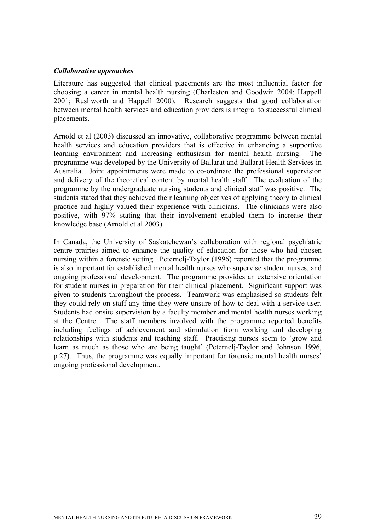#### *Collaborative approaches*

Literature has suggested that clinical placements are the most influential factor for choosing a career in mental health nursing (Charleston and Goodwin 2004; Happell 2001; Rushworth and Happell 2000). Research suggests that good collaboration between mental health services and education providers is integral to successful clinical placements.

Arnold et al (2003) discussed an innovative, collaborative programme between mental health services and education providers that is effective in enhancing a supportive learning environment and increasing enthusiasm for mental health nursing. programme was developed by the University of Ballarat and Ballarat Health Services in Australia. Joint appointments were made to co-ordinate the professional supervision and delivery of the theoretical content by mental health staff. The evaluation of the programme by the undergraduate nursing students and clinical staff was positive. The students stated that they achieved their learning objectives of applying theory to clinical practice and highly valued their experience with clinicians. The clinicians were also positive, with 97% stating that their involvement enabled them to increase their knowledge base (Arnold et al 2003).

In Canada, the University of Saskatchewan's collaboration with regional psychiatric centre prairies aimed to enhance the quality of education for those who had chosen nursing within a forensic setting. Peternelj-Taylor (1996) reported that the programme is also important for established mental health nurses who supervise student nurses, and ongoing professional development. The programme provides an extensive orientation for student nurses in preparation for their clinical placement. Significant support was given to students throughout the process. Teamwork was emphasised so students felt they could rely on staff any time they were unsure of how to deal with a service user. Students had onsite supervision by a faculty member and mental health nurses working at the Centre. The staff members involved with the programme reported benefits including feelings of achievement and stimulation from working and developing relationships with students and teaching staff. Practising nurses seem to 'grow and learn as much as those who are being taught' (Peternelj-Taylor and Johnson 1996, p 27). Thus, the programme was equally important for forensic mental health nurses' ongoing professional development.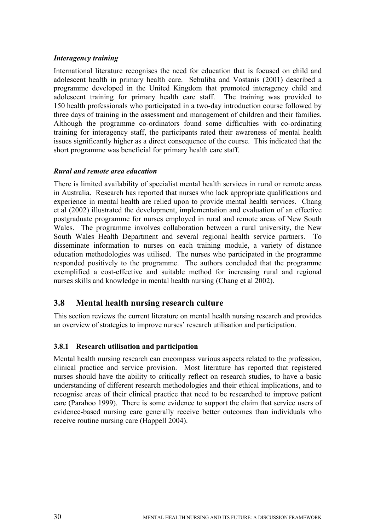#### *Interagency training*

International literature recognises the need for education that is focused on child and adolescent health in primary health care. Sebuliba and Vostanis (2001) described a programme developed in the United Kingdom that promoted interagency child and adolescent training for primary health care staff. The training was provided to 150 health professionals who participated in a two-day introduction course followed by three days of training in the assessment and management of children and their families. Although the programme co-ordinators found some difficulties with co-ordinating training for interagency staff, the participants rated their awareness of mental health issues significantly higher as a direct consequence of the course. This indicated that the short programme was beneficial for primary health care staff.

#### *Rural and remote area education*

There is limited availability of specialist mental health services in rural or remote areas in Australia. Research has reported that nurses who lack appropriate qualifications and experience in mental health are relied upon to provide mental health services. Chang et al (2002) illustrated the development, implementation and evaluation of an effective postgraduate programme for nurses employed in rural and remote areas of New South Wales. The programme involves collaboration between a rural university, the New South Wales Health Department and several regional health service partners. To disseminate information to nurses on each training module, a variety of distance education methodologies was utilised. The nurses who participated in the programme responded positively to the programme. The authors concluded that the programme exemplified a cost-effective and suitable method for increasing rural and regional nurses skills and knowledge in mental health nursing (Chang et al 2002).

# **3.8 Mental health nursing research culture**

This section reviews the current literature on mental health nursing research and provides an overview of strategies to improve nurses' research utilisation and participation.

## **3.8.1 Research utilisation and participation**

Mental health nursing research can encompass various aspects related to the profession, clinical practice and service provision. Most literature has reported that registered nurses should have the ability to critically reflect on research studies, to have a basic understanding of different research methodologies and their ethical implications, and to recognise areas of their clinical practice that need to be researched to improve patient care (Parahoo 1999). There is some evidence to support the claim that service users of evidence-based nursing care generally receive better outcomes than individuals who receive routine nursing care (Happell 2004).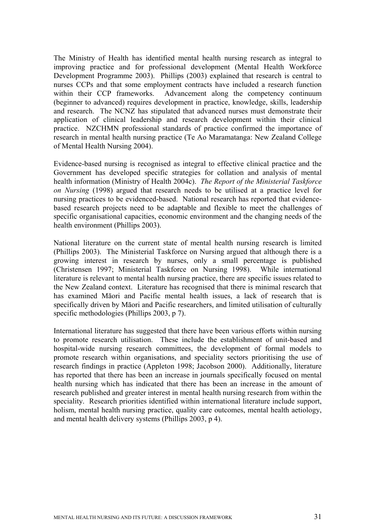The Ministry of Health has identified mental health nursing research as integral to improving practice and for professional development (Mental Health Workforce Development Programme 2003). Phillips (2003) explained that research is central to nurses CCPs and that some employment contracts have included a research function within their CCP frameworks. Advancement along the competency continuum (beginner to advanced) requires development in practice, knowledge, skills, leadership and research. The NCNZ has stipulated that advanced nurses must demonstrate their application of clinical leadership and research development within their clinical practice. NZCHMN professional standards of practice confirmed the importance of research in mental health nursing practice (Te Ao Maramatanga: New Zealand College of Mental Health Nursing 2004).

Evidence-based nursing is recognised as integral to effective clinical practice and the Government has developed specific strategies for collation and analysis of mental health information (Ministry of Health 2004c). *The Report of the Ministerial Taskforce on Nursing* (1998) argued that research needs to be utilised at a practice level for nursing practices to be evidenced-based. National research has reported that evidencebased research projects need to be adaptable and flexible to meet the challenges of specific organisational capacities, economic environment and the changing needs of the health environment (Phillips 2003).

National literature on the current state of mental health nursing research is limited (Phillips 2003). The Ministerial Taskforce on Nursing argued that although there is a growing interest in research by nurses, only a small percentage is published (Christensen 1997; Ministerial Taskforce on Nursing 1998). While international literature is relevant to mental health nursing practice, there are specific issues related to the New Zealand context. Literature has recognised that there is minimal research that has examined Māori and Pacific mental health issues, a lack of research that is specifically driven by Māori and Pacific researchers, and limited utilisation of culturally specific methodologies (Phillips 2003, p 7).

International literature has suggested that there have been various efforts within nursing to promote research utilisation. These include the establishment of unit-based and hospital-wide nursing research committees, the development of formal models to promote research within organisations, and speciality sectors prioritising the use of research findings in practice (Appleton 1998; Jacobson 2000). Additionally, literature has reported that there has been an increase in journals specifically focused on mental health nursing which has indicated that there has been an increase in the amount of research published and greater interest in mental health nursing research from within the speciality. Research priorities identified within international literature include support, holism, mental health nursing practice, quality care outcomes, mental health aetiology, and mental health delivery systems (Phillips 2003, p 4).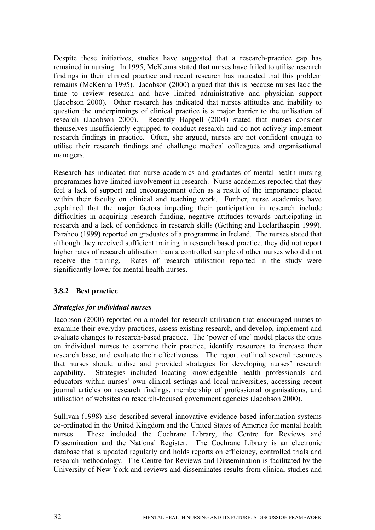Despite these initiatives, studies have suggested that a research-practice gap has remained in nursing. In 1995, McKenna stated that nurses have failed to utilise research findings in their clinical practice and recent research has indicated that this problem remains (McKenna 1995). Jacobson (2000) argued that this is because nurses lack the time to review research and have limited administrative and physician support (Jacobson 2000). Other research has indicated that nurses attitudes and inability to question the underpinnings of clinical practice is a major barrier to the utilisation of research (Jacobson 2000). Recently Happell (2004) stated that nurses consider themselves insufficiently equipped to conduct research and do not actively implement research findings in practice. Often, she argued, nurses are not confident enough to utilise their research findings and challenge medical colleagues and organisational managers.

Research has indicated that nurse academics and graduates of mental health nursing programmes have limited involvement in research. Nurse academics reported that they feel a lack of support and encouragement often as a result of the importance placed within their faculty on clinical and teaching work. Further, nurse academics have explained that the major factors impeding their participation in research include difficulties in acquiring research funding, negative attitudes towards participating in research and a lack of confidence in research skills (Gething and Leelarthaepin 1999). Parahoo (1999) reported on graduates of a programme in Ireland. The nurses stated that although they received sufficient training in research based practice, they did not report higher rates of research utilisation than a controlled sample of other nurses who did not receive the training. Rates of research utilisation reported in the study were significantly lower for mental health nurses.

# **3.8.2 Best practice**

## *Strategies for individual nurses*

Jacobson (2000) reported on a model for research utilisation that encouraged nurses to examine their everyday practices, assess existing research, and develop, implement and evaluate changes to research-based practice. The 'power of one' model places the onus on individual nurses to examine their practice, identify resources to increase their research base, and evaluate their effectiveness. The report outlined several resources that nurses should utilise and provided strategies for developing nurses' research capability. Strategies included locating knowledgeable health professionals and educators within nurses' own clinical settings and local universities, accessing recent journal articles on research findings, membership of professional organisations, and utilisation of websites on research-focused government agencies (Jacobson 2000).

Sullivan (1998) also described several innovative evidence-based information systems co-ordinated in the United Kingdom and the United States of America for mental health nurses. These included the Cochrane Library, the Centre for Reviews and Dissemination and the National Register. The Cochrane Library is an electronic database that is updated regularly and holds reports on efficiency, controlled trials and research methodology. The Centre for Reviews and Dissemination is facilitated by the University of New York and reviews and disseminates results from clinical studies and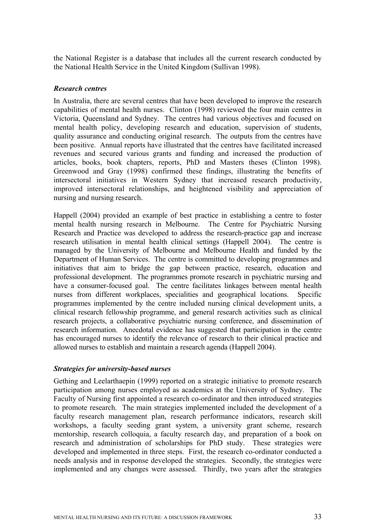the National Register is a database that includes all the current research conducted by the National Health Service in the United Kingdom (Sullivan 1998).

#### *Research centres*

In Australia, there are several centres that have been developed to improve the research capabilities of mental health nurses. Clinton (1998) reviewed the four main centres in Victoria, Queensland and Sydney. The centres had various objectives and focused on mental health policy, developing research and education, supervision of students, quality assurance and conducting original research. The outputs from the centres have been positive. Annual reports have illustrated that the centres have facilitated increased revenues and secured various grants and funding and increased the production of articles, books, book chapters, reports, PhD and Masters theses (Clinton 1998). Greenwood and Gray (1998) confirmed these findings, illustrating the benefits of intersectoral initiatives in Western Sydney that increased research productivity, improved intersectoral relationships, and heightened visibility and appreciation of nursing and nursing research.

Happell (2004) provided an example of best practice in establishing a centre to foster mental health nursing research in Melbourne. The Centre for Psychiatric Nursing Research and Practice was developed to address the research-practice gap and increase research utilisation in mental health clinical settings (Happell 2004). The centre is managed by the University of Melbourne and Melbourne Health and funded by the Department of Human Services. The centre is committed to developing programmes and initiatives that aim to bridge the gap between practice, research, education and professional development. The programmes promote research in psychiatric nursing and have a consumer-focused goal. The centre facilitates linkages between mental health nurses from different workplaces, specialities and geographical locations. Specific programmes implemented by the centre included nursing clinical development units, a clinical research fellowship programme, and general research activities such as clinical research projects, a collaborative psychiatric nursing conference, and dissemination of research information. Anecdotal evidence has suggested that participation in the centre has encouraged nurses to identify the relevance of research to their clinical practice and allowed nurses to establish and maintain a research agenda (Happell 2004).

#### *Strategies for university-based nurses*

Gething and Leelarthaepin (1999) reported on a strategic initiative to promote research participation among nurses employed as academics at the University of Sydney. The Faculty of Nursing first appointed a research co-ordinator and then introduced strategies to promote research. The main strategies implemented included the development of a faculty research management plan, research performance indicators, research skill workshops, a faculty seeding grant system, a university grant scheme, research mentorship, research colloquia, a faculty research day, and preparation of a book on research and administration of scholarships for PhD study. These strategies were developed and implemented in three steps. First, the research co-ordinator conducted a needs analysis and in response developed the strategies. Secondly, the strategies were implemented and any changes were assessed. Thirdly, two years after the strategies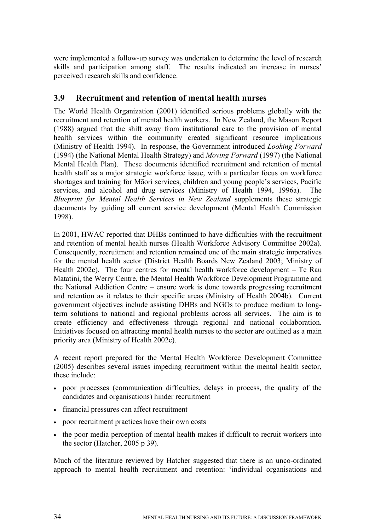were implemented a follow-up survey was undertaken to determine the level of research skills and participation among staff. The results indicated an increase in nurses' perceived research skills and confidence.

# **3.9 Recruitment and retention of mental health nurses**

The World Health Organization (2001) identified serious problems globally with the recruitment and retention of mental health workers. In New Zealand, the Mason Report (1988) argued that the shift away from institutional care to the provision of mental health services within the community created significant resource implications (Ministry of Health 1994). In response, the Government introduced *Looking Forward* (1994) (the National Mental Health Strategy) and *Moving Forward* (1997) (the National Mental Health Plan). These documents identified recruitment and retention of mental health staff as a major strategic workforce issue, with a particular focus on workforce shortages and training for Māori services, children and young people's services, Pacific services, and alcohol and drug services (Ministry of Health 1994, 1996a). The *Blueprint for Mental Health Services in New Zealand* supplements these strategic documents by guiding all current service development (Mental Health Commission 1998).

In 2001, HWAC reported that DHBs continued to have difficulties with the recruitment and retention of mental health nurses (Health Workforce Advisory Committee 2002a). Consequently, recruitment and retention remained one of the main strategic imperatives for the mental health sector (District Health Boards New Zealand 2003; Ministry of Health 2002c). The four centres for mental health workforce development – Te Rau Matatini, the Werry Centre, the Mental Health Workforce Development Programme and the National Addiction Centre – ensure work is done towards progressing recruitment and retention as it relates to their specific areas (Ministry of Health 2004b). Current government objectives include assisting DHBs and NGOs to produce medium to longterm solutions to national and regional problems across all services. The aim is to create efficiency and effectiveness through regional and national collaboration. Initiatives focused on attracting mental health nurses to the sector are outlined as a main priority area (Ministry of Health 2002c).

A recent report prepared for the Mental Health Workforce Development Committee (2005) describes several issues impeding recruitment within the mental health sector, these include:

- poor processes (communication difficulties, delays in process, the quality of the candidates and organisations) hinder recruitment
- financial pressures can affect recruitment
- poor recruitment practices have their own costs
- the poor media perception of mental health makes if difficult to recruit workers into the sector (Hatcher, 2005 p 39).

Much of the literature reviewed by Hatcher suggested that there is an unco-ordinated approach to mental health recruitment and retention: 'individual organisations and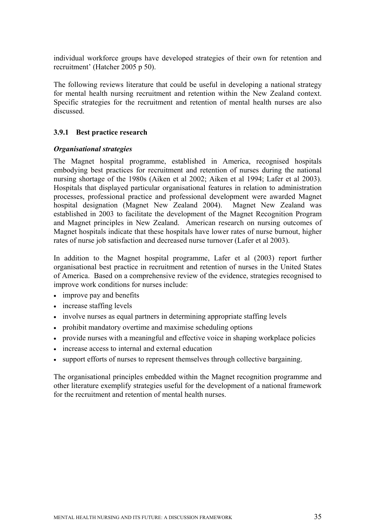individual workforce groups have developed strategies of their own for retention and recruitment' (Hatcher 2005 p 50).

The following reviews literature that could be useful in developing a national strategy for mental health nursing recruitment and retention within the New Zealand context. Specific strategies for the recruitment and retention of mental health nurses are also discussed.

#### **3.9.1 Best practice research**

#### *Organisational strategies*

The Magnet hospital programme, established in America, recognised hospitals embodying best practices for recruitment and retention of nurses during the national nursing shortage of the 1980s (Aiken et al 2002; Aiken et al 1994; Lafer et al 2003). Hospitals that displayed particular organisational features in relation to administration processes, professional practice and professional development were awarded Magnet hospital designation (Magnet New Zealand 2004). Magnet New Zealand was established in 2003 to facilitate the development of the Magnet Recognition Program and Magnet principles in New Zealand. American research on nursing outcomes of Magnet hospitals indicate that these hospitals have lower rates of nurse burnout, higher rates of nurse job satisfaction and decreased nurse turnover (Lafer et al 2003).

In addition to the Magnet hospital programme, Lafer et al (2003) report further organisational best practice in recruitment and retention of nurses in the United States of America. Based on a comprehensive review of the evidence, strategies recognised to improve work conditions for nurses include:

- improve pay and benefits
- increase staffing levels
- involve nurses as equal partners in determining appropriate staffing levels
- prohibit mandatory overtime and maximise scheduling options
- provide nurses with a meaningful and effective voice in shaping workplace policies
- increase access to internal and external education
- support efforts of nurses to represent themselves through collective bargaining.

The organisational principles embedded within the Magnet recognition programme and other literature exemplify strategies useful for the development of a national framework for the recruitment and retention of mental health nurses.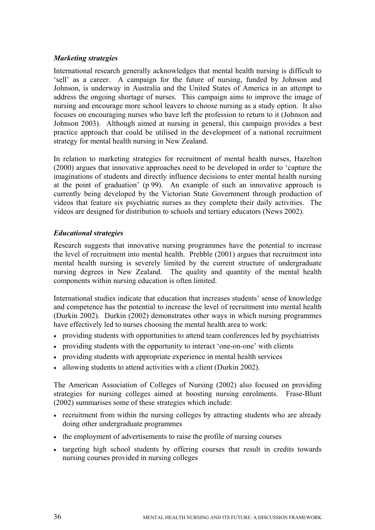#### *Marketing strategies*

International research generally acknowledges that mental health nursing is difficult to 'sell' as a career. A campaign for the future of nursing, funded by Johnson and Johnson, is underway in Australia and the United States of America in an attempt to address the ongoing shortage of nurses. This campaign aims to improve the image of nursing and encourage more school leavers to choose nursing as a study option. It also focuses on encouraging nurses who have left the profession to return to it (Johnson and Johnson 2003). Although aimed at nursing in general, this campaign provides a best practice approach that could be utilised in the development of a national recruitment strategy for mental health nursing in New Zealand.

In relation to marketing strategies for recruitment of mental health nurses, Hazelton (2000) argues that innovative approaches need to be developed in order to 'capture the imaginations of students and directly influence decisions to enter mental health nursing at the point of graduation' (p 99). An example of such an innovative approach is currently being developed by the Victorian State Government through production of videos that feature six psychiatric nurses as they complete their daily activities. The videos are designed for distribution to schools and tertiary educators (News 2002).

#### *Educational strategies*

Research suggests that innovative nursing programmes have the potential to increase the level of recruitment into mental health. Prebble (2001) argues that recruitment into mental health nursing is severely limited by the current structure of undergraduate nursing degrees in New Zealand. The quality and quantity of the mental health components within nursing education is often limited.

International studies indicate that education that increases students' sense of knowledge and competence has the potential to increase the level of recruitment into mental health (Durkin 2002). Durkin (2002) demonstrates other ways in which nursing programmes have effectively led to nurses choosing the mental health area to work:

- providing students with opportunities to attend team conferences led by psychiatrists
- providing students with the opportunity to interact 'one-on-one' with clients
- providing students with appropriate experience in mental health services
- allowing students to attend activities with a client (Durkin 2002).

The American Association of Colleges of Nursing (2002) also focused on providing strategies for nursing colleges aimed at boosting nursing enrolments. Frase-Blunt (2002) summarises some of these strategies which include:

- recruitment from within the nursing colleges by attracting students who are already doing other undergraduate programmes
- the employment of advertisements to raise the profile of nursing courses
- targeting high school students by offering courses that result in credits towards nursing courses provided in nursing colleges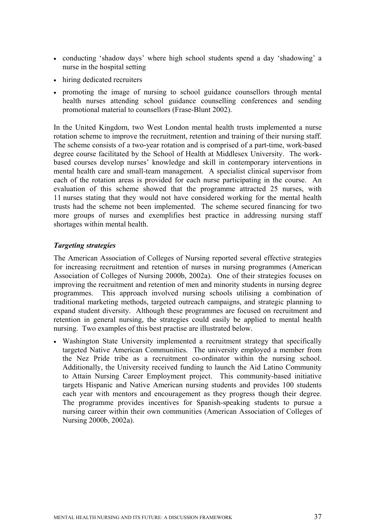- conducting 'shadow days' where high school students spend a day 'shadowing' a nurse in the hospital setting
- hiring dedicated recruiters
- promoting the image of nursing to school guidance counsellors through mental health nurses attending school guidance counselling conferences and sending promotional material to counsellors (Frase-Blunt 2002).

In the United Kingdom, two West London mental health trusts implemented a nurse rotation scheme to improve the recruitment, retention and training of their nursing staff. The scheme consists of a two-year rotation and is comprised of a part-time, work-based degree course facilitated by the School of Health at Middlesex University. The workbased courses develop nurses' knowledge and skill in contemporary interventions in mental health care and small-team management. A specialist clinical supervisor from each of the rotation areas is provided for each nurse participating in the course. An evaluation of this scheme showed that the programme attracted 25 nurses, with 11 nurses stating that they would not have considered working for the mental health trusts had the scheme not been implemented. The scheme secured financing for two more groups of nurses and exemplifies best practice in addressing nursing staff shortages within mental health.

## *Targeting strategies*

The American Association of Colleges of Nursing reported several effective strategies for increasing recruitment and retention of nurses in nursing programmes (American Association of Colleges of Nursing 2000b, 2002a). One of their strategies focuses on improving the recruitment and retention of men and minority students in nursing degree programmes. This approach involved nursing schools utilising a combination of traditional marketing methods, targeted outreach campaigns, and strategic planning to expand student diversity. Although these programmes are focused on recruitment and retention in general nursing, the strategies could easily be applied to mental health nursing. Two examples of this best practise are illustrated below.

• Washington State University implemented a recruitment strategy that specifically targeted Native American Communities. The university employed a member from the Nez Pride tribe as a recruitment co-ordinator within the nursing school. Additionally, the University received funding to launch the Aid Latino Community to Attain Nursing Career Employment project. This community-based initiative targets Hispanic and Native American nursing students and provides 100 students each year with mentors and encouragement as they progress though their degree. The programme provides incentives for Spanish-speaking students to pursue a nursing career within their own communities (American Association of Colleges of Nursing 2000b, 2002a).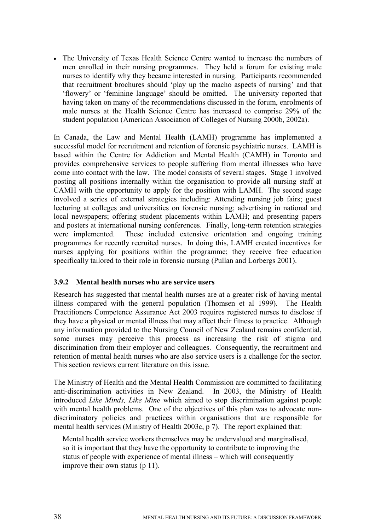• The University of Texas Health Science Centre wanted to increase the numbers of men enrolled in their nursing programmes. They held a forum for existing male nurses to identify why they became interested in nursing. Participants recommended that recruitment brochures should 'play up the macho aspects of nursing' and that 'flowery' or 'feminine language' should be omitted. The university reported that having taken on many of the recommendations discussed in the forum, enrolments of male nurses at the Health Science Centre has increased to comprise 29% of the student population (American Association of Colleges of Nursing 2000b, 2002a).

In Canada, the Law and Mental Health (LAMH) programme has implemented a successful model for recruitment and retention of forensic psychiatric nurses. LAMH is based within the Centre for Addiction and Mental Health (CAMH) in Toronto and provides comprehensive services to people suffering from mental illnesses who have come into contact with the law. The model consists of several stages. Stage 1 involved posting all positions internally within the organisation to provide all nursing staff at CAMH with the opportunity to apply for the position with LAMH. The second stage involved a series of external strategies including: Attending nursing job fairs; guest lecturing at colleges and universities on forensic nursing; advertising in national and local newspapers; offering student placements within LAMH; and presenting papers and posters at international nursing conferences. Finally, long-term retention strategies were implemented. These included extensive orientation and ongoing training programmes for recently recruited nurses. In doing this, LAMH created incentives for nurses applying for positions within the programme; they receive free education specifically tailored to their role in forensic nursing (Pullan and Lorbergs 2001).

## **3.9.2 Mental health nurses who are service users**

Research has suggested that mental health nurses are at a greater risk of having mental illness compared with the general population (Thomsen et al 1999). The Health Practitioners Competence Assurance Act 2003 requires registered nurses to disclose if they have a physical or mental illness that may affect their fitness to practice. Although any information provided to the Nursing Council of New Zealand remains confidential, some nurses may perceive this process as increasing the risk of stigma and discrimination from their employer and colleagues. Consequently, the recruitment and retention of mental health nurses who are also service users is a challenge for the sector. This section reviews current literature on this issue.

The Ministry of Health and the Mental Health Commission are committed to facilitating anti-discrimination activities in New Zealand. In 2003, the Ministry of Health introduced *Like Minds, Like Mine* which aimed to stop discrimination against people with mental health problems. One of the objectives of this plan was to advocate nondiscriminatory policies and practices within organisations that are responsible for mental health services (Ministry of Health 2003c, p 7). The report explained that:

Mental health service workers themselves may be undervalued and marginalised, so it is important that they have the opportunity to contribute to improving the status of people with experience of mental illness – which will consequently improve their own status (p 11).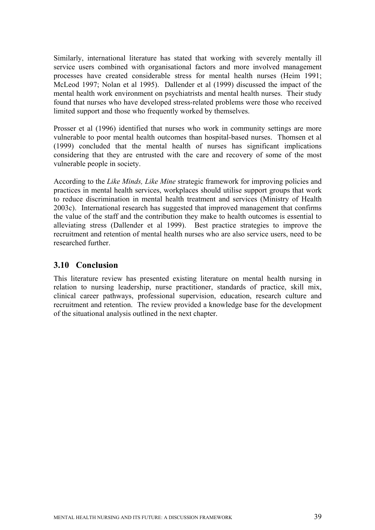Similarly, international literature has stated that working with severely mentally ill service users combined with organisational factors and more involved management processes have created considerable stress for mental health nurses (Heim 1991; McLeod 1997; Nolan et al 1995). Dallender et al (1999) discussed the impact of the mental health work environment on psychiatrists and mental health nurses. Their study found that nurses who have developed stress-related problems were those who received limited support and those who frequently worked by themselves.

Prosser et al (1996) identified that nurses who work in community settings are more vulnerable to poor mental health outcomes than hospital-based nurses. Thomsen et al (1999) concluded that the mental health of nurses has significant implications considering that they are entrusted with the care and recovery of some of the most vulnerable people in society.

According to the *Like Minds, Like Mine* strategic framework for improving policies and practices in mental health services, workplaces should utilise support groups that work to reduce discrimination in mental health treatment and services (Ministry of Health 2003c). International research has suggested that improved management that confirms the value of the staff and the contribution they make to health outcomes is essential to alleviating stress (Dallender et al 1999). Best practice strategies to improve the recruitment and retention of mental health nurses who are also service users, need to be researched further.

# **3.10 Conclusion**

This literature review has presented existing literature on mental health nursing in relation to nursing leadership, nurse practitioner, standards of practice, skill mix, clinical career pathways, professional supervision, education, research culture and recruitment and retention. The review provided a knowledge base for the development of the situational analysis outlined in the next chapter.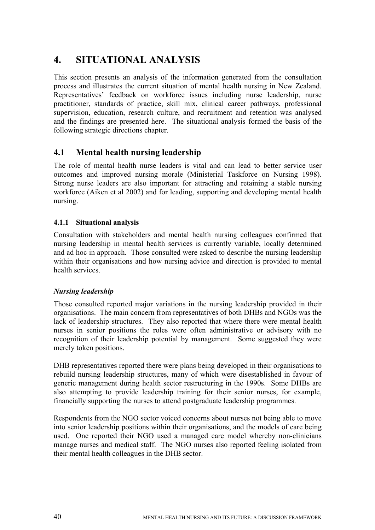# **4. SITUATIONAL ANALYSIS**

This section presents an analysis of the information generated from the consultation process and illustrates the current situation of mental health nursing in New Zealand. Representatives' feedback on workforce issues including nurse leadership, nurse practitioner, standards of practice, skill mix, clinical career pathways, professional supervision, education, research culture, and recruitment and retention was analysed and the findings are presented here. The situational analysis formed the basis of the following strategic directions chapter.

# **4.1 Mental health nursing leadership**

The role of mental health nurse leaders is vital and can lead to better service user outcomes and improved nursing morale (Ministerial Taskforce on Nursing 1998). Strong nurse leaders are also important for attracting and retaining a stable nursing workforce (Aiken et al 2002) and for leading, supporting and developing mental health nursing.

## **4.1.1 Situational analysis**

Consultation with stakeholders and mental health nursing colleagues confirmed that nursing leadership in mental health services is currently variable, locally determined and ad hoc in approach. Those consulted were asked to describe the nursing leadership within their organisations and how nursing advice and direction is provided to mental health services.

## *Nursing leadership*

Those consulted reported major variations in the nursing leadership provided in their organisations. The main concern from representatives of both DHBs and NGOs was the lack of leadership structures. They also reported that where there were mental health nurses in senior positions the roles were often administrative or advisory with no recognition of their leadership potential by management. Some suggested they were merely token positions.

DHB representatives reported there were plans being developed in their organisations to rebuild nursing leadership structures, many of which were disestablished in favour of generic management during health sector restructuring in the 1990s. Some DHBs are also attempting to provide leadership training for their senior nurses, for example, financially supporting the nurses to attend postgraduate leadership programmes.

Respondents from the NGO sector voiced concerns about nurses not being able to move into senior leadership positions within their organisations, and the models of care being used. One reported their NGO used a managed care model whereby non-clinicians manage nurses and medical staff. The NGO nurses also reported feeling isolated from their mental health colleagues in the DHB sector.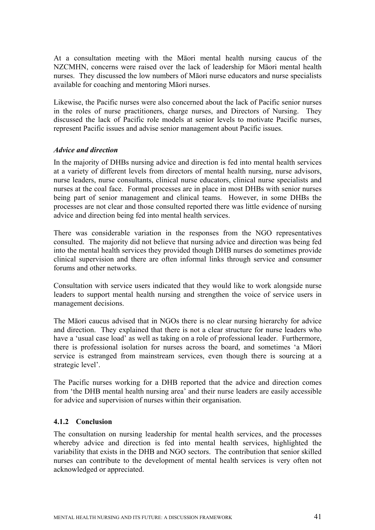At a consultation meeting with the Māori mental health nursing caucus of the NZCMHN, concerns were raised over the lack of leadership for Māori mental health nurses. They discussed the low numbers of Māori nurse educators and nurse specialists available for coaching and mentoring Māori nurses.

Likewise, the Pacific nurses were also concerned about the lack of Pacific senior nurses in the roles of nurse practitioners, charge nurses, and Directors of Nursing. They discussed the lack of Pacific role models at senior levels to motivate Pacific nurses, represent Pacific issues and advise senior management about Pacific issues.

#### *Advice and direction*

In the majority of DHBs nursing advice and direction is fed into mental health services at a variety of different levels from directors of mental health nursing, nurse advisors, nurse leaders, nurse consultants, clinical nurse educators, clinical nurse specialists and nurses at the coal face. Formal processes are in place in most DHBs with senior nurses being part of senior management and clinical teams. However, in some DHBs the processes are not clear and those consulted reported there was little evidence of nursing advice and direction being fed into mental health services.

There was considerable variation in the responses from the NGO representatives consulted. The majority did not believe that nursing advice and direction was being fed into the mental health services they provided though DHB nurses do sometimes provide clinical supervision and there are often informal links through service and consumer forums and other networks.

Consultation with service users indicated that they would like to work alongside nurse leaders to support mental health nursing and strengthen the voice of service users in management decisions.

The Māori caucus advised that in NGOs there is no clear nursing hierarchy for advice and direction. They explained that there is not a clear structure for nurse leaders who have a 'usual case load' as well as taking on a role of professional leader. Furthermore, there is professional isolation for nurses across the board, and sometimes 'a Māori service is estranged from mainstream services, even though there is sourcing at a strategic level'.

The Pacific nurses working for a DHB reported that the advice and direction comes from 'the DHB mental health nursing area' and their nurse leaders are easily accessible for advice and supervision of nurses within their organisation.

## **4.1.2 Conclusion**

The consultation on nursing leadership for mental health services, and the processes whereby advice and direction is fed into mental health services, highlighted the variability that exists in the DHB and NGO sectors. The contribution that senior skilled nurses can contribute to the development of mental health services is very often not acknowledged or appreciated.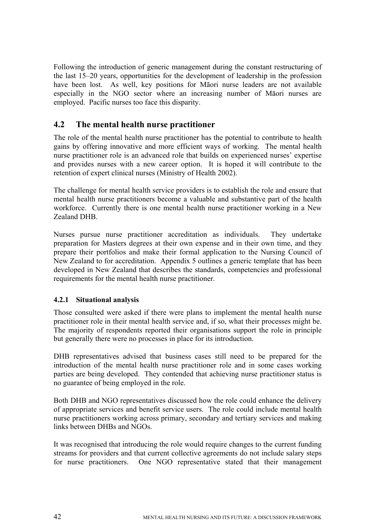Following the introduction of generic management during the constant restructuring of the last 15–20 years, opportunities for the development of leadership in the profession have been lost. As well, key positions for Māori nurse leaders are not available especially in the NGO sector where an increasing number of Māori nurses are employed. Pacific nurses too face this disparity.

# **4.2 The mental health nurse practitioner**

The role of the mental health nurse practitioner has the potential to contribute to health gains by offering innovative and more efficient ways of working. The mental health nurse practitioner role is an advanced role that builds on experienced nurses' expertise and provides nurses with a new career option. It is hoped it will contribute to the retention of expert clinical nurses (Ministry of Health 2002).

The challenge for mental health service providers is to establish the role and ensure that mental health nurse practitioners become a valuable and substantive part of the health workforce. Currently there is one mental health nurse practitioner working in a New Zealand DHB.

Nurses pursue nurse practitioner accreditation as individuals. They undertake preparation for Masters degrees at their own expense and in their own time, and they prepare their portfolios and make their formal application to the Nursing Council of New Zealand to for accreditation. Appendix 5 outlines a generic template that has been developed in New Zealand that describes the standards, competencies and professional requirements for the mental health nurse practitioner.

## **4.2.1 Situational analysis**

Those consulted were asked if there were plans to implement the mental health nurse practitioner role in their mental health service and, if so, what their processes might be. The majority of respondents reported their organisations support the role in principle but generally there were no processes in place for its introduction.

DHB representatives advised that business cases still need to be prepared for the introduction of the mental health nurse practitioner role and in some cases working parties are being developed. They contended that achieving nurse practitioner status is no guarantee of being employed in the role.

Both DHB and NGO representatives discussed how the role could enhance the delivery of appropriate services and benefit service users. The role could include mental health nurse practitioners working across primary, secondary and tertiary services and making links between DHBs and NGOs.

It was recognised that introducing the role would require changes to the current funding streams for providers and that current collective agreements do not include salary steps for nurse practitioners. One NGO representative stated that their management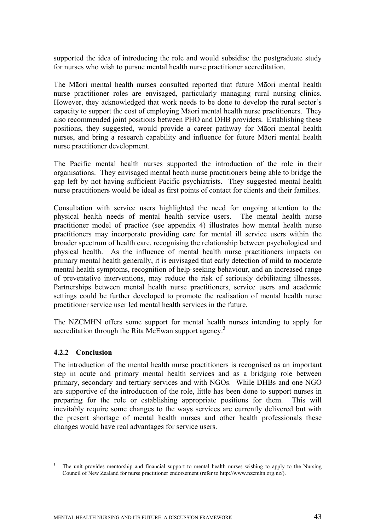supported the idea of introducing the role and would subsidise the postgraduate study for nurses who wish to pursue mental health nurse practitioner accreditation.

The Māori mental health nurses consulted reported that future Māori mental health nurse practitioner roles are envisaged, particularly managing rural nursing clinics. However, they acknowledged that work needs to be done to develop the rural sector's capacity to support the cost of employing Māori mental health nurse practitioners. They also recommended joint positions between PHO and DHB providers. Establishing these positions, they suggested, would provide a career pathway for Māori mental health nurses, and bring a research capability and influence for future Māori mental health nurse practitioner development.

The Pacific mental health nurses supported the introduction of the role in their organisations. They envisaged mental heath nurse practitioners being able to bridge the gap left by not having sufficient Pacific psychiatrists. They suggested mental health nurse practitioners would be ideal as first points of contact for clients and their families.

Consultation with service users highlighted the need for ongoing attention to the physical health needs of mental health service users. The mental health nurse practitioner model of practice (see appendix 4) illustrates how mental health nurse practitioners may incorporate providing care for mental ill service users within the broader spectrum of health care, recognising the relationship between psychological and physical health. As the influence of mental health nurse practitioners impacts on primary mental health generally, it is envisaged that early detection of mild to moderate mental health symptoms, recognition of help-seeking behaviour, and an increased range of preventative interventions, may reduce the risk of seriously debilitating illnesses. Partnerships between mental health nurse practitioners, service users and academic settings could be further developed to promote the realisation of mental health nurse practitioner service user led mental health services in the future.

The NZCMHN offers some support for mental health nurses intending to apply for accreditation through the Rita McEwan support agency.<sup>3</sup>

## **4.2.2 Conclusion**

The introduction of the mental health nurse practitioners is recognised as an important step in acute and primary mental health services and as a bridging role between primary, secondary and tertiary services and with NGOs. While DHBs and one NGO are supportive of the introduction of the role, little has been done to support nurses in preparing for the role or establishing appropriate positions for them. This will inevitably require some changes to the ways services are currently delivered but with the present shortage of mental health nurses and other health professionals these changes would have real advantages for service users.

<sup>3</sup> The unit provides mentorship and financial support to mental health nurses wishing to apply to the Nursing Council of New Zealand for nurse practitioner endorsement (refer to http://www.nzcmhn.org.nz/).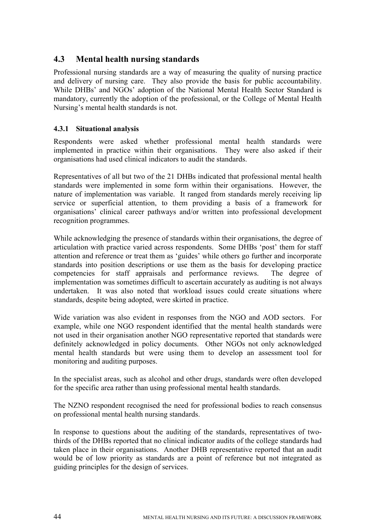# **4.3 Mental health nursing standards**

Professional nursing standards are a way of measuring the quality of nursing practice and delivery of nursing care. They also provide the basis for public accountability. While DHBs' and NGOs' adoption of the National Mental Health Sector Standard is mandatory, currently the adoption of the professional, or the College of Mental Health Nursing's mental health standards is not.

## **4.3.1 Situational analysis**

Respondents were asked whether professional mental health standards were implemented in practice within their organisations. They were also asked if their organisations had used clinical indicators to audit the standards.

Representatives of all but two of the 21 DHBs indicated that professional mental health standards were implemented in some form within their organisations. However, the nature of implementation was variable. It ranged from standards merely receiving lip service or superficial attention, to them providing a basis of a framework for organisations' clinical career pathways and/or written into professional development recognition programmes.

While acknowledging the presence of standards within their organisations, the degree of articulation with practice varied across respondents. Some DHBs 'post' them for staff attention and reference or treat them as 'guides' while others go further and incorporate standards into position descriptions or use them as the basis for developing practice competencies for staff appraisals and performance reviews. The degree of implementation was sometimes difficult to ascertain accurately as auditing is not always undertaken. It was also noted that workload issues could create situations where standards, despite being adopted, were skirted in practice.

Wide variation was also evident in responses from the NGO and AOD sectors. For example, while one NGO respondent identified that the mental health standards were not used in their organisation another NGO representative reported that standards were definitely acknowledged in policy documents. Other NGOs not only acknowledged mental health standards but were using them to develop an assessment tool for monitoring and auditing purposes.

In the specialist areas, such as alcohol and other drugs, standards were often developed for the specific area rather than using professional mental health standards.

The NZNO respondent recognised the need for professional bodies to reach consensus on professional mental health nursing standards.

In response to questions about the auditing of the standards, representatives of twothirds of the DHBs reported that no clinical indicator audits of the college standards had taken place in their organisations. Another DHB representative reported that an audit would be of low priority as standards are a point of reference but not integrated as guiding principles for the design of services.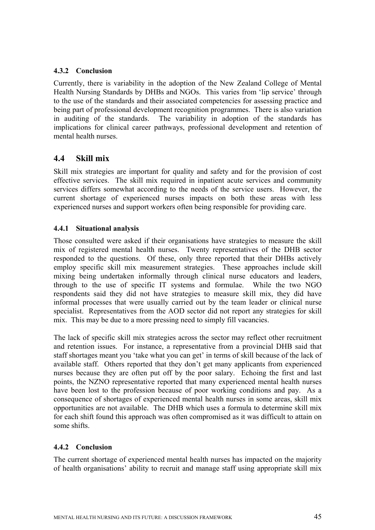## **4.3.2 Conclusion**

Currently, there is variability in the adoption of the New Zealand College of Mental Health Nursing Standards by DHBs and NGOs. This varies from 'lip service' through to the use of the standards and their associated competencies for assessing practice and being part of professional development recognition programmes. There is also variation in auditing of the standards. The variability in adoption of the standards has implications for clinical career pathways, professional development and retention of mental health nurses.

# **4.4 Skill mix**

Skill mix strategies are important for quality and safety and for the provision of cost effective services. The skill mix required in inpatient acute services and community services differs somewhat according to the needs of the service users. However, the current shortage of experienced nurses impacts on both these areas with less experienced nurses and support workers often being responsible for providing care.

## **4.4.1 Situational analysis**

Those consulted were asked if their organisations have strategies to measure the skill mix of registered mental health nurses. Twenty representatives of the DHB sector responded to the questions. Of these, only three reported that their DHBs actively employ specific skill mix measurement strategies. These approaches include skill mixing being undertaken informally through clinical nurse educators and leaders, through to the use of specific IT systems and formulae. While the two NGO respondents said they did not have strategies to measure skill mix, they did have informal processes that were usually carried out by the team leader or clinical nurse specialist. Representatives from the AOD sector did not report any strategies for skill mix. This may be due to a more pressing need to simply fill vacancies.

The lack of specific skill mix strategies across the sector may reflect other recruitment and retention issues. For instance, a representative from a provincial DHB said that staff shortages meant you 'take what you can get' in terms of skill because of the lack of available staff. Others reported that they don't get many applicants from experienced nurses because they are often put off by the poor salary. Echoing the first and last points, the NZNO representative reported that many experienced mental health nurses have been lost to the profession because of poor working conditions and pay. As a consequence of shortages of experienced mental health nurses in some areas, skill mix opportunities are not available. The DHB which uses a formula to determine skill mix for each shift found this approach was often compromised as it was difficult to attain on some shifts.

## **4.4.2 Conclusion**

The current shortage of experienced mental health nurses has impacted on the majority of health organisations' ability to recruit and manage staff using appropriate skill mix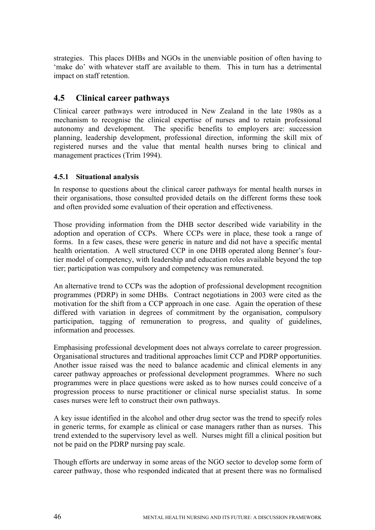strategies. This places DHBs and NGOs in the unenviable position of often having to 'make do' with whatever staff are available to them. This in turn has a detrimental impact on staff retention.

# **4.5 Clinical career pathways**

Clinical career pathways were introduced in New Zealand in the late 1980s as a mechanism to recognise the clinical expertise of nurses and to retain professional autonomy and development. The specific benefits to employers are: succession planning, leadership development, professional direction, informing the skill mix of registered nurses and the value that mental health nurses bring to clinical and management practices (Trim 1994).

## **4.5.1 Situational analysis**

In response to questions about the clinical career pathways for mental health nurses in their organisations, those consulted provided details on the different forms these took and often provided some evaluation of their operation and effectiveness.

Those providing information from the DHB sector described wide variability in the adoption and operation of CCPs. Where CCPs were in place, these took a range of forms. In a few cases, these were generic in nature and did not have a specific mental health orientation. A well structured CCP in one DHB operated along Benner's fourtier model of competency, with leadership and education roles available beyond the top tier; participation was compulsory and competency was remunerated.

An alternative trend to CCPs was the adoption of professional development recognition programmes (PDRP) in some DHBs. Contract negotiations in 2003 were cited as the motivation for the shift from a CCP approach in one case. Again the operation of these differed with variation in degrees of commitment by the organisation, compulsory participation, tagging of remuneration to progress, and quality of guidelines, information and processes.

Emphasising professional development does not always correlate to career progression. Organisational structures and traditional approaches limit CCP and PDRP opportunities. Another issue raised was the need to balance academic and clinical elements in any career pathway approaches or professional development programmes. Where no such programmes were in place questions were asked as to how nurses could conceive of a progression process to nurse practitioner or clinical nurse specialist status. In some cases nurses were left to construct their own pathways.

A key issue identified in the alcohol and other drug sector was the trend to specify roles in generic terms, for example as clinical or case managers rather than as nurses. This trend extended to the supervisory level as well. Nurses might fill a clinical position but not be paid on the PDRP nursing pay scale.

Though efforts are underway in some areas of the NGO sector to develop some form of career pathway, those who responded indicated that at present there was no formalised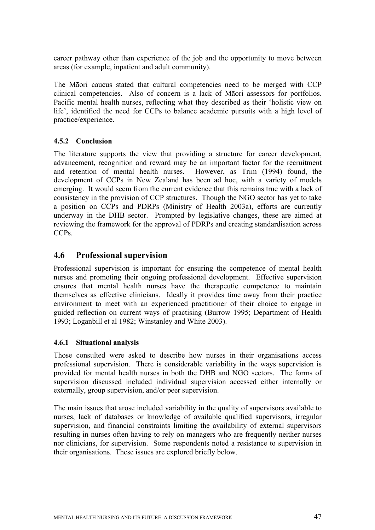career pathway other than experience of the job and the opportunity to move between areas (for example, inpatient and adult community).

The Māori caucus stated that cultural competencies need to be merged with CCP clinical competencies. Also of concern is a lack of Māori assessors for portfolios. Pacific mental health nurses, reflecting what they described as their 'holistic view on life', identified the need for CCPs to balance academic pursuits with a high level of practice/experience.

# **4.5.2 Conclusion**

The literature supports the view that providing a structure for career development, advancement, recognition and reward may be an important factor for the recruitment and retention of mental health nurses. However, as Trim (1994) found, the development of CCPs in New Zealand has been ad hoc, with a variety of models emerging. It would seem from the current evidence that this remains true with a lack of consistency in the provision of CCP structures. Though the NGO sector has yet to take a position on CCPs and PDRPs (Ministry of Health 2003a), efforts are currently underway in the DHB sector. Prompted by legislative changes, these are aimed at reviewing the framework for the approval of PDRPs and creating standardisation across CCPs.

# **4.6 Professional supervision**

Professional supervision is important for ensuring the competence of mental health nurses and promoting their ongoing professional development. Effective supervision ensures that mental health nurses have the therapeutic competence to maintain themselves as effective clinicians. Ideally it provides time away from their practice environment to meet with an experienced practitioner of their choice to engage in guided reflection on current ways of practising (Burrow 1995; Department of Health 1993; Loganbill et al 1982; Winstanley and White 2003).

## **4.6.1 Situational analysis**

Those consulted were asked to describe how nurses in their organisations access professional supervision. There is considerable variability in the ways supervision is provided for mental health nurses in both the DHB and NGO sectors. The forms of supervision discussed included individual supervision accessed either internally or externally, group supervision, and/or peer supervision.

The main issues that arose included variability in the quality of supervisors available to nurses, lack of databases or knowledge of available qualified supervisors, irregular supervision, and financial constraints limiting the availability of external supervisors resulting in nurses often having to rely on managers who are frequently neither nurses nor clinicians, for supervision. Some respondents noted a resistance to supervision in their organisations. These issues are explored briefly below.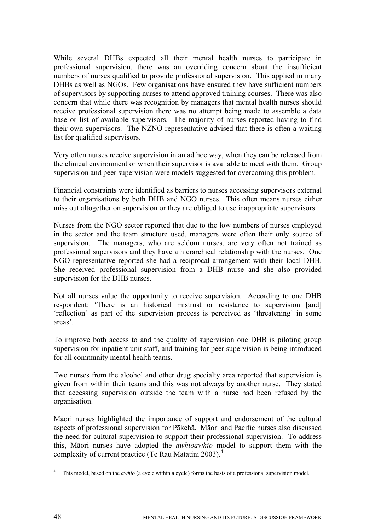While several DHBs expected all their mental health nurses to participate in professional supervision, there was an overriding concern about the insufficient numbers of nurses qualified to provide professional supervision. This applied in many DHBs as well as NGOs. Few organisations have ensured they have sufficient numbers of supervisors by supporting nurses to attend approved training courses. There was also concern that while there was recognition by managers that mental health nurses should receive professional supervision there was no attempt being made to assemble a data base or list of available supervisors. The majority of nurses reported having to find their own supervisors. The NZNO representative advised that there is often a waiting list for qualified supervisors.

Very often nurses receive supervision in an ad hoc way, when they can be released from the clinical environment or when their supervisor is available to meet with them. Group supervision and peer supervision were models suggested for overcoming this problem.

Financial constraints were identified as barriers to nurses accessing supervisors external to their organisations by both DHB and NGO nurses. This often means nurses either miss out altogether on supervision or they are obliged to use inappropriate supervisors.

Nurses from the NGO sector reported that due to the low numbers of nurses employed in the sector and the team structure used, managers were often their only source of supervision. The managers, who are seldom nurses, are very often not trained as professional supervisors and they have a hierarchical relationship with the nurses. One NGO representative reported she had a reciprocal arrangement with their local DHB. She received professional supervision from a DHB nurse and she also provided supervision for the DHB nurses.

Not all nurses value the opportunity to receive supervision. According to one DHB respondent: 'There is an historical mistrust or resistance to supervision [and] 'reflection' as part of the supervision process is perceived as 'threatening' in some areas'.

To improve both access to and the quality of supervision one DHB is piloting group supervision for inpatient unit staff, and training for peer supervision is being introduced for all community mental health teams.

Two nurses from the alcohol and other drug specialty area reported that supervision is given from within their teams and this was not always by another nurse. They stated that accessing supervision outside the team with a nurse had been refused by the organisation.

Māori nurses highlighted the importance of support and endorsement of the cultural aspects of professional supervision for Pākehā. Māori and Pacific nurses also discussed the need for cultural supervision to support their professional supervision. To address this, Māori nurses have adopted the *awhioawhio* model to support them with the complexity of current practice (Te Rau Matatini 2003).4

<sup>&</sup>lt;sup>4</sup> This model, based on the *awhio* (a cycle within a cycle) forms the basis of a professional supervision model.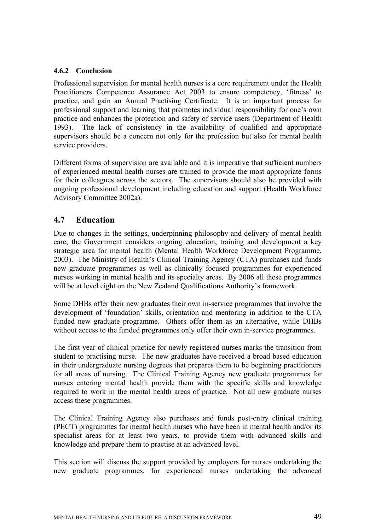## **4.6.2 Conclusion**

Professional supervision for mental health nurses is a core requirement under the Health Practitioners Competence Assurance Act 2003 to ensure competency, 'fitness' to practice, and gain an Annual Practising Certificate. It is an important process for professional support and learning that promotes individual responsibility for one's own practice and enhances the protection and safety of service users (Department of Health 1993). The lack of consistency in the availability of qualified and appropriate supervisors should be a concern not only for the profession but also for mental health service providers.

Different forms of supervision are available and it is imperative that sufficient numbers of experienced mental health nurses are trained to provide the most appropriate forms for their colleagues across the sectors. The supervisors should also be provided with ongoing professional development including education and support (Health Workforce Advisory Committee 2002a).

# **4.7 Education**

Due to changes in the settings, underpinning philosophy and delivery of mental health care, the Government considers ongoing education, training and development a key strategic area for mental health (Mental Health Workforce Development Programme, 2003). The Ministry of Health's Clinical Training Agency (CTA) purchases and funds new graduate programmes as well as clinically focused programmes for experienced nurses working in mental health and its specialty areas. By 2006 all these programmes will be at level eight on the New Zealand Qualifications Authority's framework.

Some DHBs offer their new graduates their own in-service programmes that involve the development of 'foundation' skills, orientation and mentoring in addition to the CTA funded new graduate programme. Others offer them as an alternative, while DHBs without access to the funded programmes only offer their own in-service programmes.

The first year of clinical practice for newly registered nurses marks the transition from student to practising nurse. The new graduates have received a broad based education in their undergraduate nursing degrees that prepares them to be beginning practitioners for all areas of nursing. The Clinical Training Agency new graduate programmes for nurses entering mental health provide them with the specific skills and knowledge required to work in the mental health areas of practice. Not all new graduate nurses access these programmes.

The Clinical Training Agency also purchases and funds post-entry clinical training (PECT) programmes for mental health nurses who have been in mental health and/or its specialist areas for at least two years, to provide them with advanced skills and knowledge and prepare them to practise at an advanced level.

This section will discuss the support provided by employers for nurses undertaking the new graduate programmes, for experienced nurses undertaking the advanced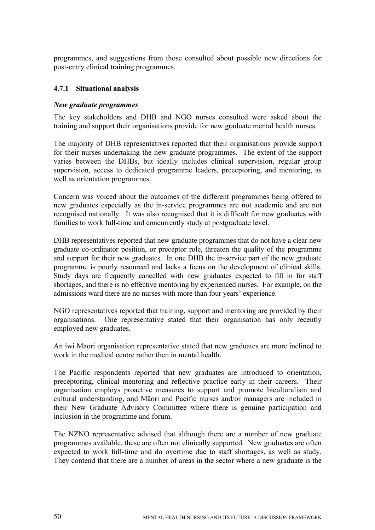programmes, and suggestions from those consulted about possible new directions for post-entry clinical training programmes.

#### **4.7.1 Situational analysis**

#### *New graduate programmes*

The key stakeholders and DHB and NGO nurses consulted were asked about the training and support their organisations provide for new graduate mental health nurses.

The majority of DHB representatives reported that their organisations provide support for their nurses undertaking the new graduate programmes. The extent of the support varies between the DHBs, but ideally includes clinical supervision, regular group supervision, access to dedicated programme leaders, preceptoring, and mentoring, as well as orientation programmes.

Concern was voiced about the outcomes of the different programmes being offered to new graduates especially as the in-service programmes are not academic and are not recognised nationally. It was also recognised that it is difficult for new graduates with families to work full-time and concurrently study at postgraduate level.

DHB representatives reported that new graduate programmes that do not have a clear new graduate co-ordinator position, or preceptor role, threaten the quality of the programme and support for their new graduates. In one DHB the in-service part of the new graduate programme is poorly resourced and lacks a focus on the development of clinical skills. Study days are frequently cancelled with new graduates expected to fill in for staff shortages, and there is no effective mentoring by experienced nurses. For example, on the admissions ward there are no nurses with more than four years' experience.

NGO representatives reported that training, support and mentoring are provided by their organisations. One representative stated that their organisation has only recently employed new graduates.

An iwi Māori organisation representative stated that new graduates are more inclined to work in the medical centre rather then in mental health.

The Pacific respondents reported that new graduates are introduced to orientation, preceptoring, clinical mentoring and reflective practice early in their careers. Their organisation employs proactive measures to support and promote biculturalism and cultural understanding, and Māori and Pacific nurses and/or managers are included in their New Graduate Advisory Committee where there is genuine participation and inclusion in the programme and forum.

The NZNO representative advised that although there are a number of new graduate programmes available, these are often not clinically supported. New graduates are often expected to work full-time and do overtime due to staff shortages, as well as study. They contend that there are a number of areas in the sector where a new graduate is the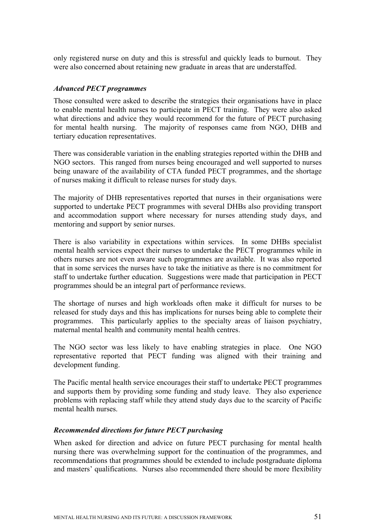only registered nurse on duty and this is stressful and quickly leads to burnout. They were also concerned about retaining new graduate in areas that are understaffed.

#### *Advanced PECT programmes*

Those consulted were asked to describe the strategies their organisations have in place to enable mental health nurses to participate in PECT training. They were also asked what directions and advice they would recommend for the future of PECT purchasing for mental health nursing. The majority of responses came from NGO, DHB and tertiary education representatives.

There was considerable variation in the enabling strategies reported within the DHB and NGO sectors. This ranged from nurses being encouraged and well supported to nurses being unaware of the availability of CTA funded PECT programmes, and the shortage of nurses making it difficult to release nurses for study days.

The majority of DHB representatives reported that nurses in their organisations were supported to undertake PECT programmes with several DHBs also providing transport and accommodation support where necessary for nurses attending study days, and mentoring and support by senior nurses.

There is also variability in expectations within services. In some DHBs specialist mental health services expect their nurses to undertake the PECT programmes while in others nurses are not even aware such programmes are available. It was also reported that in some services the nurses have to take the initiative as there is no commitment for staff to undertake further education. Suggestions were made that participation in PECT programmes should be an integral part of performance reviews.

The shortage of nurses and high workloads often make it difficult for nurses to be released for study days and this has implications for nurses being able to complete their programmes. This particularly applies to the specialty areas of liaison psychiatry, maternal mental health and community mental health centres.

The NGO sector was less likely to have enabling strategies in place. One NGO representative reported that PECT funding was aligned with their training and development funding.

The Pacific mental health service encourages their staff to undertake PECT programmes and supports them by providing some funding and study leave. They also experience problems with replacing staff while they attend study days due to the scarcity of Pacific mental health nurses.

#### *Recommended directions for future PECT purchasing*

When asked for direction and advice on future PECT purchasing for mental health nursing there was overwhelming support for the continuation of the programmes, and recommendations that programmes should be extended to include postgraduate diploma and masters' qualifications. Nurses also recommended there should be more flexibility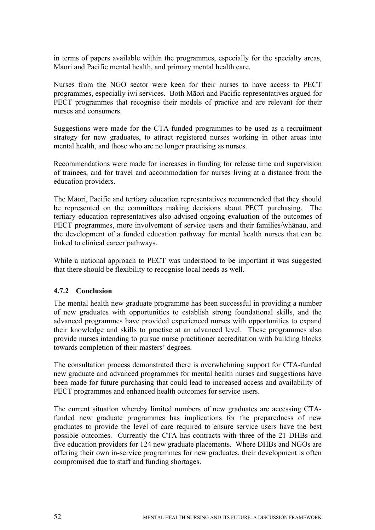in terms of papers available within the programmes, especially for the specialty areas, Māori and Pacific mental health, and primary mental health care.

Nurses from the NGO sector were keen for their nurses to have access to PECT programmes, especially iwi services. Both Māori and Pacific representatives argued for PECT programmes that recognise their models of practice and are relevant for their nurses and consumers.

Suggestions were made for the CTA-funded programmes to be used as a recruitment strategy for new graduates, to attract registered nurses working in other areas into mental health, and those who are no longer practising as nurses.

Recommendations were made for increases in funding for release time and supervision of trainees, and for travel and accommodation for nurses living at a distance from the education providers.

The Māori, Pacific and tertiary education representatives recommended that they should be represented on the committees making decisions about PECT purchasing. The tertiary education representatives also advised ongoing evaluation of the outcomes of PECT programmes, more involvement of service users and their families/whānau, and the development of a funded education pathway for mental health nurses that can be linked to clinical career pathways.

While a national approach to PECT was understood to be important it was suggested that there should be flexibility to recognise local needs as well.

## **4.7.2 Conclusion**

The mental health new graduate programme has been successful in providing a number of new graduates with opportunities to establish strong foundational skills, and the advanced programmes have provided experienced nurses with opportunities to expand their knowledge and skills to practise at an advanced level. These programmes also provide nurses intending to pursue nurse practitioner accreditation with building blocks towards completion of their masters' degrees.

The consultation process demonstrated there is overwhelming support for CTA-funded new graduate and advanced programmes for mental health nurses and suggestions have been made for future purchasing that could lead to increased access and availability of PECT programmes and enhanced health outcomes for service users.

The current situation whereby limited numbers of new graduates are accessing CTAfunded new graduate programmes has implications for the preparedness of new graduates to provide the level of care required to ensure service users have the best possible outcomes. Currently the CTA has contracts with three of the 21 DHBs and five education providers for 124 new graduate placements. Where DHBs and NGOs are offering their own in-service programmes for new graduates, their development is often compromised due to staff and funding shortages.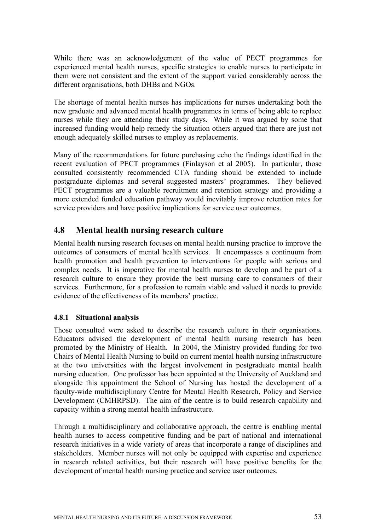While there was an acknowledgement of the value of PECT programmes for experienced mental health nurses, specific strategies to enable nurses to participate in them were not consistent and the extent of the support varied considerably across the different organisations, both DHBs and NGOs.

The shortage of mental health nurses has implications for nurses undertaking both the new graduate and advanced mental health programmes in terms of being able to replace nurses while they are attending their study days. While it was argued by some that increased funding would help remedy the situation others argued that there are just not enough adequately skilled nurses to employ as replacements.

Many of the recommendations for future purchasing echo the findings identified in the recent evaluation of PECT programmes (Finlayson et al 2005). In particular, those consulted consistently recommended CTA funding should be extended to include postgraduate diplomas and several suggested masters' programmes. They believed PECT programmes are a valuable recruitment and retention strategy and providing a more extended funded education pathway would inevitably improve retention rates for service providers and have positive implications for service user outcomes.

# **4.8 Mental health nursing research culture**

Mental health nursing research focuses on mental health nursing practice to improve the outcomes of consumers of mental health services. It encompasses a continuum from health promotion and health prevention to interventions for people with serious and complex needs. It is imperative for mental health nurses to develop and be part of a research culture to ensure they provide the best nursing care to consumers of their services. Furthermore, for a profession to remain viable and valued it needs to provide evidence of the effectiveness of its members' practice.

## **4.8.1 Situational analysis**

Those consulted were asked to describe the research culture in their organisations. Educators advised the development of mental health nursing research has been promoted by the Ministry of Health. In 2004, the Ministry provided funding for two Chairs of Mental Health Nursing to build on current mental health nursing infrastructure at the two universities with the largest involvement in postgraduate mental health nursing education. One professor has been appointed at the University of Auckland and alongside this appointment the School of Nursing has hosted the development of a faculty-wide multidisciplinary Centre for Mental Health Research, Policy and Service Development (CMHRPSD). The aim of the centre is to build research capability and capacity within a strong mental health infrastructure.

Through a multidisciplinary and collaborative approach, the centre is enabling mental health nurses to access competitive funding and be part of national and international research initiatives in a wide variety of areas that incorporate a range of disciplines and stakeholders. Member nurses will not only be equipped with expertise and experience in research related activities, but their research will have positive benefits for the development of mental health nursing practice and service user outcomes.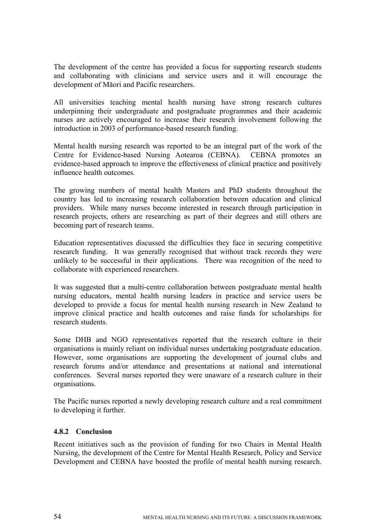The development of the centre has provided a focus for supporting research students and collaborating with clinicians and service users and it will encourage the development of Māori and Pacific researchers.

All universities teaching mental health nursing have strong research cultures underpinning their undergraduate and postgraduate programmes and their academic nurses are actively encouraged to increase their research involvement following the introduction in 2003 of performance-based research funding.

Mental health nursing research was reported to be an integral part of the work of the Centre for Evidence-based Nursing Aotearoa (CEBNA). CEBNA promotes an evidence-based approach to improve the effectiveness of clinical practice and positively influence health outcomes.

The growing numbers of mental health Masters and PhD students throughout the country has led to increasing research collaboration between education and clinical providers. While many nurses become interested in research through participation in research projects, others are researching as part of their degrees and still others are becoming part of research teams.

Education representatives discussed the difficulties they face in securing competitive research funding. It was generally recognised that without track records they were unlikely to be successful in their applications. There was recognition of the need to collaborate with experienced researchers.

It was suggested that a multi-centre collaboration between postgraduate mental health nursing educators, mental health nursing leaders in practice and service users be developed to provide a focus for mental health nursing research in New Zealand to improve clinical practice and health outcomes and raise funds for scholarships for research students.

Some DHB and NGO representatives reported that the research culture in their organisations is mainly reliant on individual nurses undertaking postgraduate education. However, some organisations are supporting the development of journal clubs and research forums and/or attendance and presentations at national and international conferences. Several nurses reported they were unaware of a research culture in their organisations.

The Pacific nurses reported a newly developing research culture and a real commitment to developing it further.

## **4.8.2 Conclusion**

Recent initiatives such as the provision of funding for two Chairs in Mental Health Nursing, the development of the Centre for Mental Health Research, Policy and Service Development and CEBNA have boosted the profile of mental health nursing research.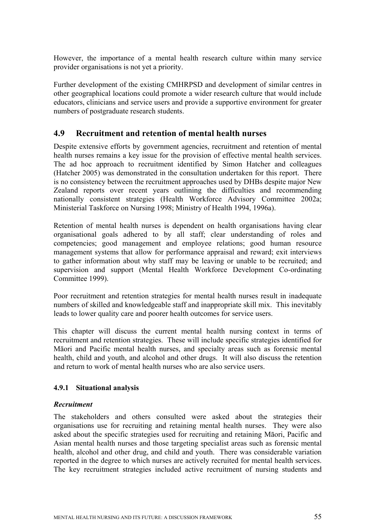However, the importance of a mental health research culture within many service provider organisations is not yet a priority.

Further development of the existing CMHRPSD and development of similar centres in other geographical locations could promote a wider research culture that would include educators, clinicians and service users and provide a supportive environment for greater numbers of postgraduate research students.

# **4.9 Recruitment and retention of mental health nurses**

Despite extensive efforts by government agencies, recruitment and retention of mental health nurses remains a key issue for the provision of effective mental health services. The ad hoc approach to recruitment identified by Simon Hatcher and colleagues (Hatcher 2005) was demonstrated in the consultation undertaken for this report. There is no consistency between the recruitment approaches used by DHBs despite major New Zealand reports over recent years outlining the difficulties and recommending nationally consistent strategies (Health Workforce Advisory Committee 2002a; Ministerial Taskforce on Nursing 1998; Ministry of Health 1994, 1996a).

Retention of mental health nurses is dependent on health organisations having clear organisational goals adhered to by all staff; clear understanding of roles and competencies; good management and employee relations; good human resource management systems that allow for performance appraisal and reward; exit interviews to gather information about why staff may be leaving or unable to be recruited; and supervision and support (Mental Health Workforce Development Co-ordinating Committee 1999).

Poor recruitment and retention strategies for mental health nurses result in inadequate numbers of skilled and knowledgeable staff and inappropriate skill mix. This inevitably leads to lower quality care and poorer health outcomes for service users.

This chapter will discuss the current mental health nursing context in terms of recruitment and retention strategies. These will include specific strategies identified for Māori and Pacific mental health nurses, and specialty areas such as forensic mental health, child and youth, and alcohol and other drugs. It will also discuss the retention and return to work of mental health nurses who are also service users.

## **4.9.1 Situational analysis**

## *Recruitment*

The stakeholders and others consulted were asked about the strategies their organisations use for recruiting and retaining mental health nurses. They were also asked about the specific strategies used for recruiting and retaining Māori, Pacific and Asian mental health nurses and those targeting specialist areas such as forensic mental health, alcohol and other drug, and child and youth. There was considerable variation reported in the degree to which nurses are actively recruited for mental health services. The key recruitment strategies included active recruitment of nursing students and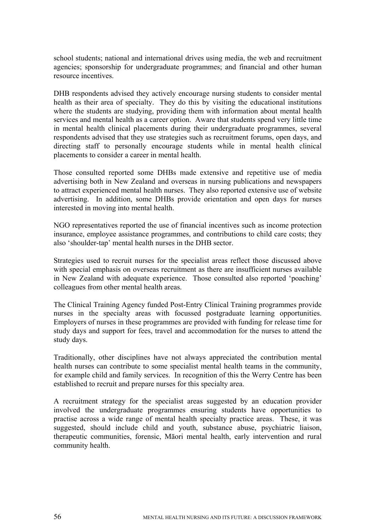school students; national and international drives using media, the web and recruitment agencies; sponsorship for undergraduate programmes; and financial and other human resource incentives.

DHB respondents advised they actively encourage nursing students to consider mental health as their area of specialty. They do this by visiting the educational institutions where the students are studying, providing them with information about mental health services and mental health as a career option. Aware that students spend very little time in mental health clinical placements during their undergraduate programmes, several respondents advised that they use strategies such as recruitment forums, open days, and directing staff to personally encourage students while in mental health clinical placements to consider a career in mental health.

Those consulted reported some DHBs made extensive and repetitive use of media advertising both in New Zealand and overseas in nursing publications and newspapers to attract experienced mental health nurses. They also reported extensive use of website advertising. In addition, some DHBs provide orientation and open days for nurses interested in moving into mental health.

NGO representatives reported the use of financial incentives such as income protection insurance, employee assistance programmes, and contributions to child care costs; they also 'shoulder-tap' mental health nurses in the DHB sector.

Strategies used to recruit nurses for the specialist areas reflect those discussed above with special emphasis on overseas recruitment as there are insufficient nurses available in New Zealand with adequate experience. Those consulted also reported 'poaching' colleagues from other mental health areas.

The Clinical Training Agency funded Post-Entry Clinical Training programmes provide nurses in the specialty areas with focussed postgraduate learning opportunities. Employers of nurses in these programmes are provided with funding for release time for study days and support for fees, travel and accommodation for the nurses to attend the study days.

Traditionally, other disciplines have not always appreciated the contribution mental health nurses can contribute to some specialist mental health teams in the community, for example child and family services. In recognition of this the Werry Centre has been established to recruit and prepare nurses for this specialty area.

A recruitment strategy for the specialist areas suggested by an education provider involved the undergraduate programmes ensuring students have opportunities to practise across a wide range of mental health specialty practice areas. These, it was suggested, should include child and youth, substance abuse, psychiatric liaison, therapeutic communities, forensic, Māori mental health, early intervention and rural community health.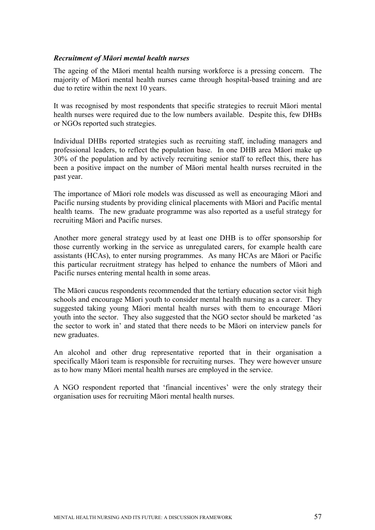#### *Recruitment of Māori mental health nurses*

The ageing of the Māori mental health nursing workforce is a pressing concern. The majority of Māori mental health nurses came through hospital-based training and are due to retire within the next 10 years.

It was recognised by most respondents that specific strategies to recruit Māori mental health nurses were required due to the low numbers available. Despite this, few DHBs or NGOs reported such strategies.

Individual DHBs reported strategies such as recruiting staff, including managers and professional leaders, to reflect the population base. In one DHB area Māori make up 30% of the population and by actively recruiting senior staff to reflect this, there has been a positive impact on the number of Māori mental health nurses recruited in the past year.

The importance of Māori role models was discussed as well as encouraging Māori and Pacific nursing students by providing clinical placements with Māori and Pacific mental health teams. The new graduate programme was also reported as a useful strategy for recruiting Māori and Pacific nurses.

Another more general strategy used by at least one DHB is to offer sponsorship for those currently working in the service as unregulated carers, for example health care assistants (HCAs), to enter nursing programmes. As many HCAs are Māori or Pacific this particular recruitment strategy has helped to enhance the numbers of Māori and Pacific nurses entering mental health in some areas.

The Māori caucus respondents recommended that the tertiary education sector visit high schools and encourage Māori youth to consider mental health nursing as a career. They suggested taking young Māori mental health nurses with them to encourage Māori youth into the sector. They also suggested that the NGO sector should be marketed 'as the sector to work in' and stated that there needs to be Māori on interview panels for new graduates.

An alcohol and other drug representative reported that in their organisation a specifically Māori team is responsible for recruiting nurses. They were however unsure as to how many Māori mental health nurses are employed in the service.

A NGO respondent reported that 'financial incentives' were the only strategy their organisation uses for recruiting Māori mental health nurses.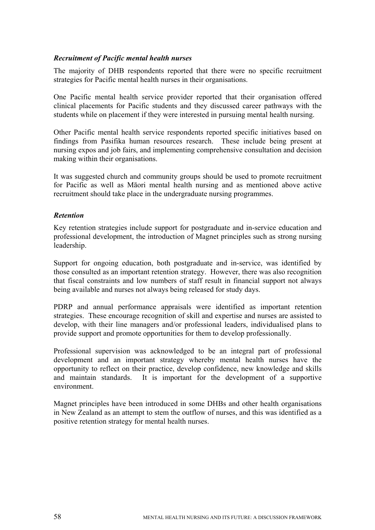#### *Recruitment of Pacific mental health nurses*

The majority of DHB respondents reported that there were no specific recruitment strategies for Pacific mental health nurses in their organisations.

One Pacific mental health service provider reported that their organisation offered clinical placements for Pacific students and they discussed career pathways with the students while on placement if they were interested in pursuing mental health nursing.

Other Pacific mental health service respondents reported specific initiatives based on findings from Pasifika human resources research. These include being present at nursing expos and job fairs, and implementing comprehensive consultation and decision making within their organisations.

It was suggested church and community groups should be used to promote recruitment for Pacific as well as Māori mental health nursing and as mentioned above active recruitment should take place in the undergraduate nursing programmes.

#### *Retention*

Key retention strategies include support for postgraduate and in-service education and professional development, the introduction of Magnet principles such as strong nursing leadership.

Support for ongoing education, both postgraduate and in-service, was identified by those consulted as an important retention strategy. However, there was also recognition that fiscal constraints and low numbers of staff result in financial support not always being available and nurses not always being released for study days.

PDRP and annual performance appraisals were identified as important retention strategies. These encourage recognition of skill and expertise and nurses are assisted to develop, with their line managers and/or professional leaders, individualised plans to provide support and promote opportunities for them to develop professionally.

Professional supervision was acknowledged to be an integral part of professional development and an important strategy whereby mental health nurses have the opportunity to reflect on their practice, develop confidence, new knowledge and skills and maintain standards. It is important for the development of a supportive environment.

Magnet principles have been introduced in some DHBs and other health organisations in New Zealand as an attempt to stem the outflow of nurses, and this was identified as a positive retention strategy for mental health nurses.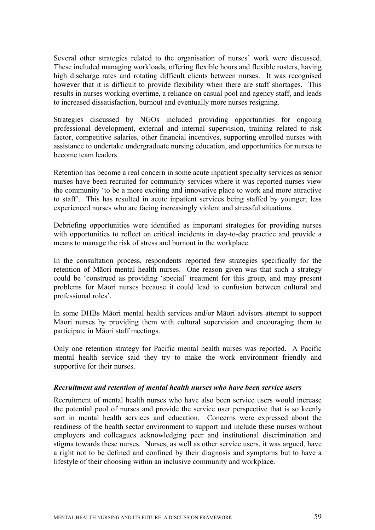Several other strategies related to the organisation of nurses' work were discussed. These included managing workloads, offering flexible hours and flexible rosters, having high discharge rates and rotating difficult clients between nurses. It was recognised however that it is difficult to provide flexibility when there are staff shortages. This results in nurses working overtime, a reliance on casual pool and agency staff, and leads to increased dissatisfaction, burnout and eventually more nurses resigning.

Strategies discussed by NGOs included providing opportunities for ongoing professional development, external and internal supervision, training related to risk factor, competitive salaries, other financial incentives, supporting enrolled nurses with assistance to undertake undergraduate nursing education, and opportunities for nurses to become team leaders.

Retention has become a real concern in some acute inpatient specialty services as senior nurses have been recruited for community services where it was reported nurses view the community 'to be a more exciting and innovative place to work and more attractive to staff'. This has resulted in acute inpatient services being staffed by younger, less experienced nurses who are facing increasingly violent and stressful situations.

Debriefing opportunities were identified as important strategies for providing nurses with opportunities to reflect on critical incidents in day-to-day practice and provide a means to manage the risk of stress and burnout in the workplace.

In the consultation process, respondents reported few strategies specifically for the retention of Māori mental health nurses. One reason given was that such a strategy could be 'construed as providing 'special' treatment for this group, and may present problems for Māori nurses because it could lead to confusion between cultural and professional roles'.

In some DHBs Māori mental health services and/or Māori advisors attempt to support Māori nurses by providing them with cultural supervision and encouraging them to participate in Māori staff meetings.

Only one retention strategy for Pacific mental health nurses was reported. A Pacific mental health service said they try to make the work environment friendly and supportive for their nurses.

#### *Recruitment and retention of mental health nurses who have been service users*

Recruitment of mental health nurses who have also been service users would increase the potential pool of nurses and provide the service user perspective that is so keenly sort in mental health services and education. Concerns were expressed about the readiness of the health sector environment to support and include these nurses without employers and colleagues acknowledging peer and institutional discrimination and stigma towards these nurses. Nurses, as well as other service users, it was argued, have a right not to be defined and confined by their diagnosis and symptoms but to have a lifestyle of their choosing within an inclusive community and workplace.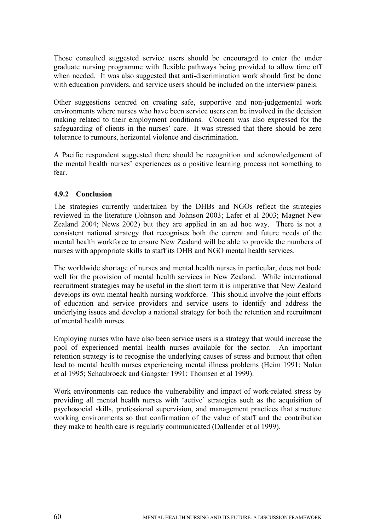Those consulted suggested service users should be encouraged to enter the under graduate nursing programme with flexible pathways being provided to allow time off when needed. It was also suggested that anti-discrimination work should first be done with education providers, and service users should be included on the interview panels.

Other suggestions centred on creating safe, supportive and non-judgemental work environments where nurses who have been service users can be involved in the decision making related to their employment conditions. Concern was also expressed for the safeguarding of clients in the nurses' care. It was stressed that there should be zero tolerance to rumours, horizontal violence and discrimination.

A Pacific respondent suggested there should be recognition and acknowledgement of the mental health nurses' experiences as a positive learning process not something to fear.

# **4.9.2 Conclusion**

The strategies currently undertaken by the DHBs and NGOs reflect the strategies reviewed in the literature (Johnson and Johnson 2003; Lafer et al 2003; Magnet New Zealand 2004; News 2002) but they are applied in an ad hoc way. There is not a consistent national strategy that recognises both the current and future needs of the mental health workforce to ensure New Zealand will be able to provide the numbers of nurses with appropriate skills to staff its DHB and NGO mental health services.

The worldwide shortage of nurses and mental health nurses in particular, does not bode well for the provision of mental health services in New Zealand. While international recruitment strategies may be useful in the short term it is imperative that New Zealand develops its own mental health nursing workforce. This should involve the joint efforts of education and service providers and service users to identify and address the underlying issues and develop a national strategy for both the retention and recruitment of mental health nurses.

Employing nurses who have also been service users is a strategy that would increase the pool of experienced mental health nurses available for the sector. An important retention strategy is to recognise the underlying causes of stress and burnout that often lead to mental health nurses experiencing mental illness problems (Heim 1991; Nolan et al 1995; Schaubroeck and Gangster 1991; Thomsen et al 1999).

Work environments can reduce the vulnerability and impact of work-related stress by providing all mental health nurses with 'active' strategies such as the acquisition of psychosocial skills, professional supervision, and management practices that structure working environments so that confirmation of the value of staff and the contribution they make to health care is regularly communicated (Dallender et al 1999).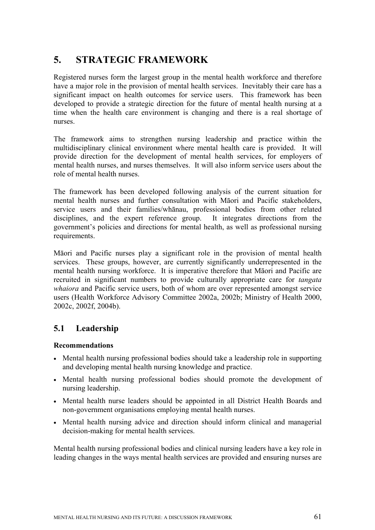# **5. STRATEGIC FRAMEWORK**

Registered nurses form the largest group in the mental health workforce and therefore have a major role in the provision of mental health services. Inevitably their care has a significant impact on health outcomes for service users. This framework has been developed to provide a strategic direction for the future of mental health nursing at a time when the health care environment is changing and there is a real shortage of nurses.

The framework aims to strengthen nursing leadership and practice within the multidisciplinary clinical environment where mental health care is provided. It will provide direction for the development of mental health services, for employers of mental health nurses, and nurses themselves. It will also inform service users about the role of mental health nurses.

The framework has been developed following analysis of the current situation for mental health nurses and further consultation with Māori and Pacific stakeholders, service users and their families/whānau, professional bodies from other related disciplines, and the expert reference group. It integrates directions from the government's policies and directions for mental health, as well as professional nursing requirements.

Māori and Pacific nurses play a significant role in the provision of mental health services. These groups, however, are currently significantly underrepresented in the mental health nursing workforce. It is imperative therefore that Māori and Pacific are recruited in significant numbers to provide culturally appropriate care for *tangata whaiora* and Pacific service users, both of whom are over represented amongst service users (Health Workforce Advisory Committee 2002a, 2002b; Ministry of Health 2000, 2002c, 2002f, 2004b).

# **5.1 Leadership**

## **Recommendations**

- Mental health nursing professional bodies should take a leadership role in supporting and developing mental health nursing knowledge and practice.
- Mental health nursing professional bodies should promote the development of nursing leadership.
- Mental health nurse leaders should be appointed in all District Health Boards and non-government organisations employing mental health nurses.
- Mental health nursing advice and direction should inform clinical and managerial decision-making for mental health services.

Mental health nursing professional bodies and clinical nursing leaders have a key role in leading changes in the ways mental health services are provided and ensuring nurses are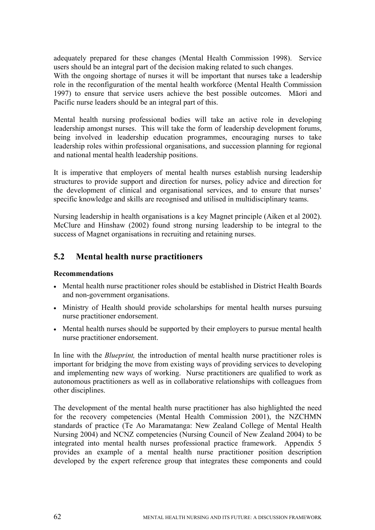adequately prepared for these changes (Mental Health Commission 1998). Service users should be an integral part of the decision making related to such changes.

With the ongoing shortage of nurses it will be important that nurses take a leadership role in the reconfiguration of the mental health workforce (Mental Health Commission 1997) to ensure that service users achieve the best possible outcomes. Māori and Pacific nurse leaders should be an integral part of this.

Mental health nursing professional bodies will take an active role in developing leadership amongst nurses. This will take the form of leadership development forums, being involved in leadership education programmes, encouraging nurses to take leadership roles within professional organisations, and succession planning for regional and national mental health leadership positions.

It is imperative that employers of mental health nurses establish nursing leadership structures to provide support and direction for nurses, policy advice and direction for the development of clinical and organisational services, and to ensure that nurses' specific knowledge and skills are recognised and utilised in multidisciplinary teams.

Nursing leadership in health organisations is a key Magnet principle (Aiken et al 2002). McClure and Hinshaw (2002) found strong nursing leadership to be integral to the success of Magnet organisations in recruiting and retaining nurses.

### **5.2 Mental health nurse practitioners**

#### **Recommendations**

- Mental health nurse practitioner roles should be established in District Health Boards and non-government organisations.
- Ministry of Health should provide scholarships for mental health nurses pursuing nurse practitioner endorsement.
- Mental health nurses should be supported by their employers to pursue mental health nurse practitioner endorsement.

In line with the *Blueprint,* the introduction of mental health nurse practitioner roles is important for bridging the move from existing ways of providing services to developing and implementing new ways of working. Nurse practitioners are qualified to work as autonomous practitioners as well as in collaborative relationships with colleagues from other disciplines.

The development of the mental health nurse practitioner has also highlighted the need for the recovery competencies (Mental Health Commission 2001), the NZCHMN standards of practice (Te Ao Maramatanga: New Zealand College of Mental Health Nursing 2004) and NCNZ competencies (Nursing Council of New Zealand 2004) to be integrated into mental health nurses professional practice framework. Appendix 5 provides an example of a mental health nurse practitioner position description developed by the expert reference group that integrates these components and could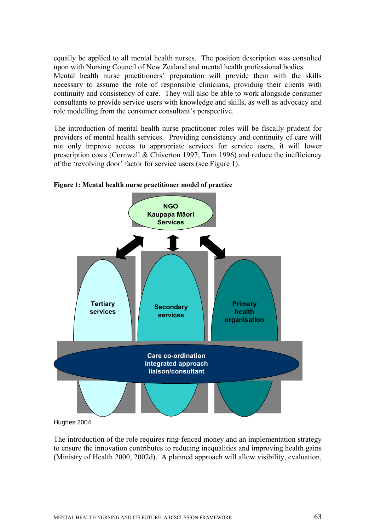equally be applied to all mental health nurses. The position description was consulted upon with Nursing Council of New Zealand and mental health professional bodies. Mental health nurse practitioners' preparation will provide them with the skills necessary to assume the role of responsible clinicians, providing their clients with continuity and consistency of care. They will also be able to work alongside consumer consultants to provide service users with knowledge and skills, as well as advocacy and role modelling from the consumer consultant's perspective.

The introduction of mental health nurse practitioner roles will be fiscally prudent for providers of mental health services. Providing consistency and continuity of care will not only improve access to appropriate services for service users, it will lower prescription costs (Cornwell & Chiverton 1997; Torn 1996) and reduce the inefficiency of the 'revolving door' factor for service users (see Figure 1).



**Figure 1: Mental health nurse practitioner model of practice** 

Hughes 2004

The introduction of the role requires ring-fenced money and an implementation strategy to ensure the innovation contributes to reducing inequalities and improving health gains (Ministry of Health 2000, 2002d). A planned approach will allow visibility, evaluation,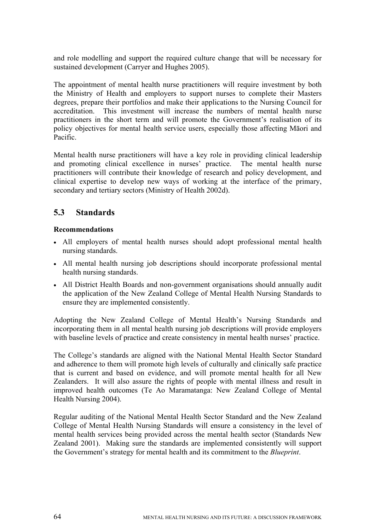and role modelling and support the required culture change that will be necessary for sustained development (Carryer and Hughes 2005).

The appointment of mental health nurse practitioners will require investment by both the Ministry of Health and employers to support nurses to complete their Masters degrees, prepare their portfolios and make their applications to the Nursing Council for accreditation. This investment will increase the numbers of mental health nurse practitioners in the short term and will promote the Government's realisation of its policy objectives for mental health service users, especially those affecting Māori and Pacific.

Mental health nurse practitioners will have a key role in providing clinical leadership and promoting clinical excellence in nurses' practice. The mental health nurse practitioners will contribute their knowledge of research and policy development, and clinical expertise to develop new ways of working at the interface of the primary, secondary and tertiary sectors (Ministry of Health 2002d).

## **5.3 Standards**

#### **Recommendations**

- All employers of mental health nurses should adopt professional mental health nursing standards.
- All mental health nursing job descriptions should incorporate professional mental health nursing standards.
- All District Health Boards and non-government organisations should annually audit the application of the New Zealand College of Mental Health Nursing Standards to ensure they are implemented consistently.

Adopting the New Zealand College of Mental Health's Nursing Standards and incorporating them in all mental health nursing job descriptions will provide employers with baseline levels of practice and create consistency in mental health nurses' practice.

The College's standards are aligned with the National Mental Health Sector Standard and adherence to them will promote high levels of culturally and clinically safe practice that is current and based on evidence, and will promote mental health for all New Zealanders. It will also assure the rights of people with mental illness and result in improved health outcomes (Te Ao Maramatanga: New Zealand College of Mental Health Nursing 2004).

Regular auditing of the National Mental Health Sector Standard and the New Zealand College of Mental Health Nursing Standards will ensure a consistency in the level of mental health services being provided across the mental health sector (Standards New Zealand 2001). Making sure the standards are implemented consistently will support the Government's strategy for mental health and its commitment to the *Blueprint*.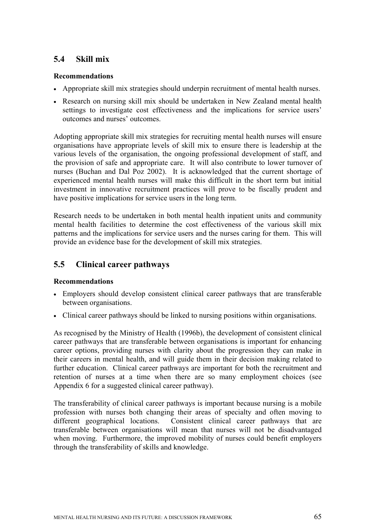## **5.4 Skill mix**

#### **Recommendations**

- Appropriate skill mix strategies should underpin recruitment of mental health nurses.
- Research on nursing skill mix should be undertaken in New Zealand mental health settings to investigate cost effectiveness and the implications for service users' outcomes and nurses' outcomes.

Adopting appropriate skill mix strategies for recruiting mental health nurses will ensure organisations have appropriate levels of skill mix to ensure there is leadership at the various levels of the organisation, the ongoing professional development of staff, and the provision of safe and appropriate care. It will also contribute to lower turnover of nurses (Buchan and Dal Poz 2002). It is acknowledged that the current shortage of experienced mental health nurses will make this difficult in the short term but initial investment in innovative recruitment practices will prove to be fiscally prudent and have positive implications for service users in the long term.

Research needs to be undertaken in both mental health inpatient units and community mental health facilities to determine the cost effectiveness of the various skill mix patterns and the implications for service users and the nurses caring for them. This will provide an evidence base for the development of skill mix strategies.

## **5.5 Clinical career pathways**

#### **Recommendations**

- Employers should develop consistent clinical career pathways that are transferable between organisations.
- Clinical career pathways should be linked to nursing positions within organisations.

As recognised by the Ministry of Health (1996b), the development of consistent clinical career pathways that are transferable between organisations is important for enhancing career options, providing nurses with clarity about the progression they can make in their careers in mental health, and will guide them in their decision making related to further education. Clinical career pathways are important for both the recruitment and retention of nurses at a time when there are so many employment choices (see Appendix 6 for a suggested clinical career pathway).

The transferability of clinical career pathways is important because nursing is a mobile profession with nurses both changing their areas of specialty and often moving to different geographical locations. Consistent clinical career pathways that are transferable between organisations will mean that nurses will not be disadvantaged when moving. Furthermore, the improved mobility of nurses could benefit employers through the transferability of skills and knowledge.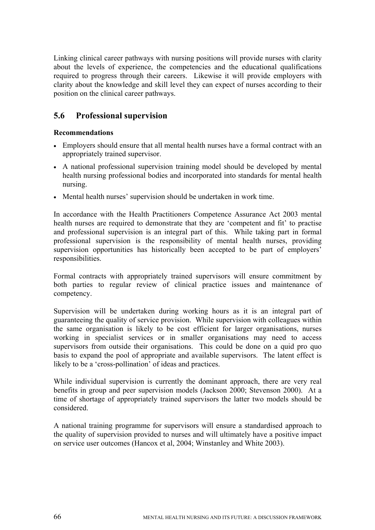Linking clinical career pathways with nursing positions will provide nurses with clarity about the levels of experience, the competencies and the educational qualifications required to progress through their careers. Likewise it will provide employers with clarity about the knowledge and skill level they can expect of nurses according to their position on the clinical career pathways.

### **5.6 Professional supervision**

#### **Recommendations**

- Employers should ensure that all mental health nurses have a formal contract with an appropriately trained supervisor.
- A national professional supervision training model should be developed by mental health nursing professional bodies and incorporated into standards for mental health nursing.
- Mental health nurses' supervision should be undertaken in work time.

In accordance with the Health Practitioners Competence Assurance Act 2003 mental health nurses are required to demonstrate that they are 'competent and fit' to practise and professional supervision is an integral part of this. While taking part in formal professional supervision is the responsibility of mental health nurses, providing supervision opportunities has historically been accepted to be part of employers' responsibilities.

Formal contracts with appropriately trained supervisors will ensure commitment by both parties to regular review of clinical practice issues and maintenance of competency.

Supervision will be undertaken during working hours as it is an integral part of guaranteeing the quality of service provision. While supervision with colleagues within the same organisation is likely to be cost efficient for larger organisations, nurses working in specialist services or in smaller organisations may need to access supervisors from outside their organisations. This could be done on a quid pro quo basis to expand the pool of appropriate and available supervisors. The latent effect is likely to be a 'cross-pollination' of ideas and practices.

While individual supervision is currently the dominant approach, there are very real benefits in group and peer supervision models (Jackson 2000; Stevenson 2000). At a time of shortage of appropriately trained supervisors the latter two models should be considered.

A national training programme for supervisors will ensure a standardised approach to the quality of supervision provided to nurses and will ultimately have a positive impact on service user outcomes (Hancox et al, 2004; Winstanley and White 2003).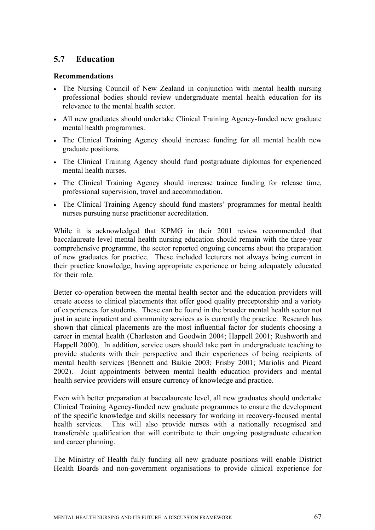## **5.7 Education**

#### **Recommendations**

- The Nursing Council of New Zealand in conjunction with mental health nursing professional bodies should review undergraduate mental health education for its relevance to the mental health sector.
- All new graduates should undertake Clinical Training Agency-funded new graduate mental health programmes.
- The Clinical Training Agency should increase funding for all mental health new graduate positions.
- The Clinical Training Agency should fund postgraduate diplomas for experienced mental health nurses.
- The Clinical Training Agency should increase trainee funding for release time, professional supervision, travel and accommodation.
- The Clinical Training Agency should fund masters' programmes for mental health nurses pursuing nurse practitioner accreditation.

While it is acknowledged that KPMG in their 2001 review recommended that baccalaureate level mental health nursing education should remain with the three-year comprehensive programme, the sector reported ongoing concerns about the preparation of new graduates for practice. These included lecturers not always being current in their practice knowledge, having appropriate experience or being adequately educated for their role.

Better co-operation between the mental health sector and the education providers will create access to clinical placements that offer good quality preceptorship and a variety of experiences for students. These can be found in the broader mental health sector not just in acute inpatient and community services as is currently the practice. Research has shown that clinical placements are the most influential factor for students choosing a career in mental health (Charleston and Goodwin 2004; Happell 2001; Rushworth and Happell 2000). In addition, service users should take part in undergraduate teaching to provide students with their perspective and their experiences of being recipients of mental health services (Bennett and Baikie 2003; Frisby 2001; Mariolis and Picard 2002). Joint appointments between mental health education providers and mental health service providers will ensure currency of knowledge and practice.

Even with better preparation at baccalaureate level, all new graduates should undertake Clinical Training Agency-funded new graduate programmes to ensure the development of the specific knowledge and skills necessary for working in recovery-focused mental health services. This will also provide nurses with a nationally recognised and transferable qualification that will contribute to their ongoing postgraduate education and career planning.

The Ministry of Health fully funding all new graduate positions will enable District Health Boards and non-government organisations to provide clinical experience for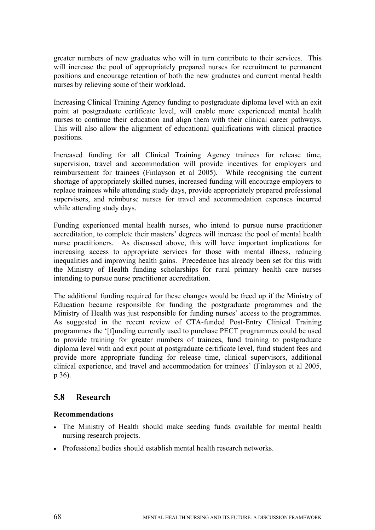greater numbers of new graduates who will in turn contribute to their services. This will increase the pool of appropriately prepared nurses for recruitment to permanent positions and encourage retention of both the new graduates and current mental health nurses by relieving some of their workload.

Increasing Clinical Training Agency funding to postgraduate diploma level with an exit point at postgraduate certificate level, will enable more experienced mental health nurses to continue their education and align them with their clinical career pathways. This will also allow the alignment of educational qualifications with clinical practice positions.

Increased funding for all Clinical Training Agency trainees for release time, supervision, travel and accommodation will provide incentives for employers and reimbursement for trainees (Finlayson et al 2005). While recognising the current shortage of appropriately skilled nurses, increased funding will encourage employers to replace trainees while attending study days, provide appropriately prepared professional supervisors, and reimburse nurses for travel and accommodation expenses incurred while attending study days.

Funding experienced mental health nurses, who intend to pursue nurse practitioner accreditation, to complete their masters' degrees will increase the pool of mental health nurse practitioners. As discussed above, this will have important implications for increasing access to appropriate services for those with mental illness, reducing inequalities and improving health gains. Precedence has already been set for this with the Ministry of Health funding scholarships for rural primary health care nurses intending to pursue nurse practitioner accreditation.

The additional funding required for these changes would be freed up if the Ministry of Education became responsible for funding the postgraduate programmes and the Ministry of Health was just responsible for funding nurses' access to the programmes. As suggested in the recent review of CTA-funded Post-Entry Clinical Training programmes the '[f]unding currently used to purchase PECT programmes could be used to provide training for greater numbers of trainees, fund training to postgraduate diploma level with and exit point at postgraduate certificate level, fund student fees and provide more appropriate funding for release time, clinical supervisors, additional clinical experience, and travel and accommodation for trainees' (Finlayson et al 2005, p 36).

### **5.8 Research**

#### **Recommendations**

- The Ministry of Health should make seeding funds available for mental health nursing research projects.
- Professional bodies should establish mental health research networks.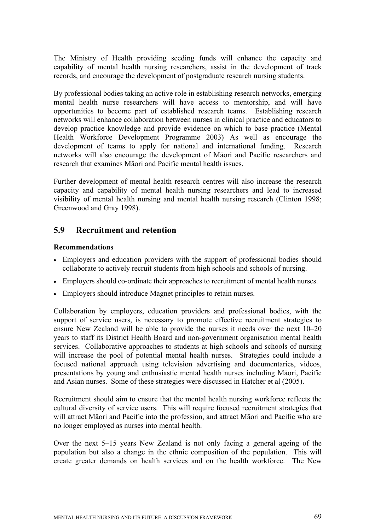The Ministry of Health providing seeding funds will enhance the capacity and capability of mental health nursing researchers, assist in the development of track records, and encourage the development of postgraduate research nursing students.

By professional bodies taking an active role in establishing research networks, emerging mental health nurse researchers will have access to mentorship, and will have opportunities to become part of established research teams. Establishing research networks will enhance collaboration between nurses in clinical practice and educators to develop practice knowledge and provide evidence on which to base practice (Mental Health Workforce Development Programme 2003) As well as encourage the development of teams to apply for national and international funding. Research networks will also encourage the development of Māori and Pacific researchers and research that examines Māori and Pacific mental health issues.

Further development of mental health research centres will also increase the research capacity and capability of mental health nursing researchers and lead to increased visibility of mental health nursing and mental health nursing research (Clinton 1998; Greenwood and Gray 1998).

### **5.9 Recruitment and retention**

#### **Recommendations**

- Employers and education providers with the support of professional bodies should collaborate to actively recruit students from high schools and schools of nursing.
- Employers should co-ordinate their approaches to recruitment of mental health nurses.
- Employers should introduce Magnet principles to retain nurses.

Collaboration by employers, education providers and professional bodies, with the support of service users, is necessary to promote effective recruitment strategies to ensure New Zealand will be able to provide the nurses it needs over the next 10–20 years to staff its District Health Board and non-government organisation mental health services. Collaborative approaches to students at high schools and schools of nursing will increase the pool of potential mental health nurses. Strategies could include a focused national approach using television advertising and documentaries, videos, presentations by young and enthusiastic mental health nurses including Māori, Pacific and Asian nurses. Some of these strategies were discussed in Hatcher et al (2005).

Recruitment should aim to ensure that the mental health nursing workforce reflects the cultural diversity of service users. This will require focused recruitment strategies that will attract Māori and Pacific into the profession, and attract Māori and Pacific who are no longer employed as nurses into mental health.

Over the next 5–15 years New Zealand is not only facing a general ageing of the population but also a change in the ethnic composition of the population. This will create greater demands on health services and on the health workforce. The New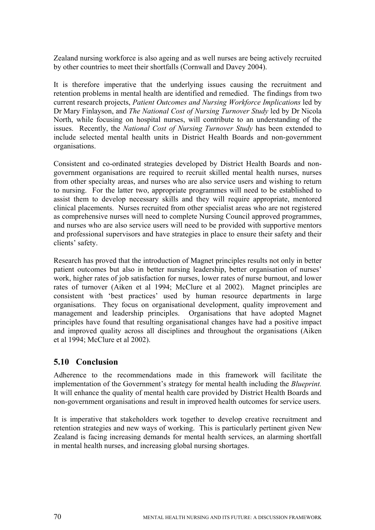Zealand nursing workforce is also ageing and as well nurses are being actively recruited by other countries to meet their shortfalls (Cornwall and Davey 2004).

It is therefore imperative that the underlying issues causing the recruitment and retention problems in mental health are identified and remedied. The findings from two current research projects, *Patient Outcomes and Nursing Workforce Implications* led by Dr Mary Finlayson, and *The National Cost of Nursing Turnover Study* led by Dr Nicola North, while focusing on hospital nurses, will contribute to an understanding of the issues. Recently, the *National Cost of Nursing Turnover Study* has been extended to include selected mental health units in District Health Boards and non-government organisations.

Consistent and co-ordinated strategies developed by District Health Boards and nongovernment organisations are required to recruit skilled mental health nurses, nurses from other specialty areas, and nurses who are also service users and wishing to return to nursing. For the latter two, appropriate programmes will need to be established to assist them to develop necessary skills and they will require appropriate, mentored clinical placements. Nurses recruited from other specialist areas who are not registered as comprehensive nurses will need to complete Nursing Council approved programmes, and nurses who are also service users will need to be provided with supportive mentors and professional supervisors and have strategies in place to ensure their safety and their clients' safety.

Research has proved that the introduction of Magnet principles results not only in better patient outcomes but also in better nursing leadership, better organisation of nurses' work, higher rates of job satisfaction for nurses, lower rates of nurse burnout, and lower rates of turnover (Aiken et al 1994; McClure et al 2002). Magnet principles are consistent with 'best practices' used by human resource departments in large organisations. They focus on organisational development, quality improvement and management and leadership principles. Organisations that have adopted Magnet principles have found that resulting organisational changes have had a positive impact and improved quality across all disciplines and throughout the organisations (Aiken et al 1994; McClure et al 2002).

### **5.10 Conclusion**

Adherence to the recommendations made in this framework will facilitate the implementation of the Government's strategy for mental health including the *Blueprint.*  It will enhance the quality of mental health care provided by District Health Boards and non-government organisations and result in improved health outcomes for service users.

It is imperative that stakeholders work together to develop creative recruitment and retention strategies and new ways of working. This is particularly pertinent given New Zealand is facing increasing demands for mental health services, an alarming shortfall in mental health nurses, and increasing global nursing shortages.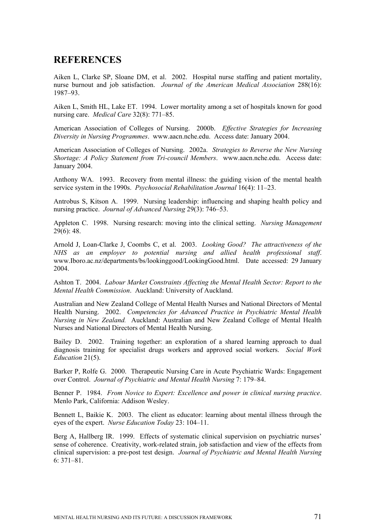## **REFERENCES**

Aiken L, Clarke SP, Sloane DM, et al. 2002. Hospital nurse staffing and patient mortality, nurse burnout and job satisfaction. *Journal of the American Medical Association* 288(16): 1987–93.

Aiken L, Smith HL, Lake ET. 1994. Lower mortality among a set of hospitals known for good nursing care. *Medical Care* 32(8): 771–85.

American Association of Colleges of Nursing. 2000b. *Effective Strategies for Increasing Diversity in Nursing Programmes*. www.aacn.nche.edu. Access date: January 2004.

American Association of Colleges of Nursing. 2002a. *Strategies to Reverse the New Nursing Shortage: A Policy Statement from Tri-council Members*. www.aacn.nche.edu. Access date: January 2004.

Anthony WA. 1993. Recovery from mental illness: the guiding vision of the mental health service system in the 1990s. *Psychosocial Rehabilitation Journal* 16(4): 11–23.

Antrobus S, Kitson A. 1999. Nursing leadership: influencing and shaping health policy and nursing practice. *Journal of Advanced Nursing* 29(3): 746–53.

Appleton C. 1998. Nursing research: moving into the clinical setting. *Nursing Management*  $29(6)$ : 48.

Arnold J, Loan-Clarke J, Coombs C, et al. 2003. *Looking Good? The attractiveness of the NHS as an employer to potential nursing and allied health professional staff*. www.Iboro.ac.nz/departments/bs/lookinggood/LookingGood.html. Date accessed: 29 January 2004.

Ashton T. 2004. *Labour Market Constraints Affecting the Mental Health Sector: Report to the Mental Health Commission*. Auckland: University of Auckland.

Australian and New Zealand College of Mental Health Nurses and National Directors of Mental Health Nursing. 2002. *Competencies for Advanced Practice in Psychiatric Mental Health Nursing in New Zealand.* Auckland: Australian and New Zealand College of Mental Health Nurses and National Directors of Mental Health Nursing.

Bailey D. 2002. Training together: an exploration of a shared learning approach to dual diagnosis training for specialist drugs workers and approved social workers. *Social Work Education* 21(5).

Barker P, Rolfe G. 2000. Therapeutic Nursing Care in Acute Psychiatric Wards: Engagement over Control. *Journal of Psychiatric and Mental Health Nursing* 7: 179–84.

Benner P. 1984. *From Novice to Expert: Excellence and power in clinical nursing practice*. Menlo Park, California: Addison Wesley.

Bennett L, Baikie K. 2003. The client as educator: learning about mental illness through the eyes of the expert. *Nurse Education Today* 23: 104–11.

Berg A, Hallberg IR. 1999. Effects of systematic clinical supervision on psychiatric nurses' sense of coherence. Creativity, work-related strain, job satisfaction and view of the effects from clinical supervision: a pre-post test design. *Journal of Psychiatric and Mental Health Nursing*  $6: 371 - 81$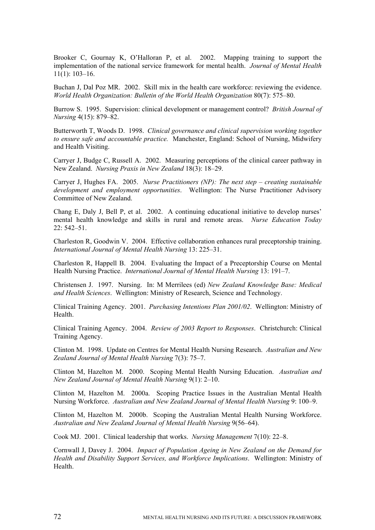Brooker C, Gournay K, O'Halloran P, et al. 2002. Mapping training to support the implementation of the national service framework for mental health. *Journal of Mental Health* 11(1): 103–16.

Buchan J, Dal Poz MR. 2002. Skill mix in the health care workforce: reviewing the evidence. *World Health Organization: Bulletin of the World Health Organization* 80(7): 575–80.

Burrow S. 1995. Supervision: clinical development or management control? *British Journal of Nursing* 4(15): 879–82.

Butterworth T, Woods D. 1998. *Clinical governance and clinical supervision working together to ensure safe and accountable practice.* Manchester, England: School of Nursing, Midwifery and Health Visiting.

Carryer J, Budge C, Russell A. 2002. Measuring perceptions of the clinical career pathway in New Zealand. *Nursing Praxis in New Zealand* 18(3): 18–29.

Carryer J, Hughes FA. 2005. *Nurse Practitioners (NP): The next step – creating sustainable development and employment opportunities*. Wellington: The Nurse Practitioner Advisory Committee of New Zealand.

Chang E, Daly J, Bell P, et al. 2002. A continuing educational initiative to develop nurses' mental health knowledge and skills in rural and remote areas. *Nurse Education Today* 22: 542–51.

Charleston R, Goodwin V. 2004. Effective collaboration enhances rural preceptorship training. *International Journal of Mental Health Nursing* 13: 225–31.

Charleston R, Happell B. 2004. Evaluating the Impact of a Preceptorship Course on Mental Health Nursing Practice. *International Journal of Mental Health Nursing* 13: 191–7.

Christensen J. 1997. Nursing. In: M Merrilees (ed) *New Zealand Knowledge Base: Medical and Health Sciences*. Wellington: Ministry of Research, Science and Technology.

Clinical Training Agency. 2001. *Purchasing Intentions Plan 2001/02*. Wellington: Ministry of **Health** 

Clinical Training Agency. 2004. *Review of 2003 Report to Responses*. Christchurch: Clinical Training Agency.

Clinton M. 1998. Update on Centres for Mental Health Nursing Research. *Australian and New Zealand Journal of Mental Health Nursing* 7(3): 75–7.

Clinton M, Hazelton M. 2000. Scoping Mental Health Nursing Education. *Australian and New Zealand Journal of Mental Health Nursing* 9(1): 2–10.

Clinton M, Hazelton M. 2000a. Scoping Practice Issues in the Australian Mental Health Nursing Workforce. *Australian and New Zealand Journal of Mental Health Nursing* 9: 100–9.

Clinton M, Hazelton M. 2000b. Scoping the Australian Mental Health Nursing Workforce. *Australian and New Zealand Journal of Mental Health Nursing* 9(56–64).

Cook MJ. 2001. Clinical leadership that works. *Nursing Management* 7(10): 22–8.

Cornwall J, Davey J. 2004. *Impact of Population Ageing in New Zealand on the Demand for Health and Disability Support Services, and Workforce Implications*. Wellington: Ministry of Health.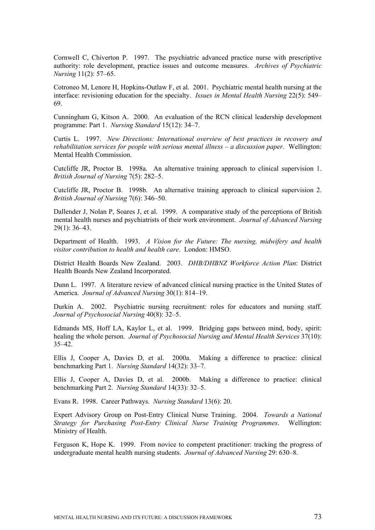Cornwell C, Chiverton P. 1997. The psychiatric advanced practice nurse with prescriptive authority: role development, practice issues and outcome measures. *Archives of Psychiatric Nursing* 11(2): 57–65.

Cotroneo M, Lenore H, Hopkins-Outlaw F, et al. 2001. Psychiatric mental health nursing at the interface: revisioning education for the specialty. *Issues in Mental Health Nursing* 22(5): 549– 69.

Cunningham G, Kitson A. 2000. An evaluation of the RCN clinical leadership development programme: Part 1. *Nursing Standard* 15(12): 34–7.

Curtis L. 1997. *New Directions: International overview of best practices in recovery and rehabilitation services for people with serious mental illness – a discussion paper*. Wellington: Mental Health Commission.

Cutcliffe JR, Proctor B. 1998a. An alternative training approach to clinical supervision 1. *British Journal of Nursing* 7(5): 282–5.

Cutcliffe JR, Proctor B. 1998b. An alternative training approach to clinical supervision 2. *British Journal of Nursing* 7(6): 346–50.

Dallender J, Nolan P, Soares J, et al. 1999. A comparative study of the perceptions of British mental health nurses and psychiatrists of their work environment. *Journal of Advanced Nursing* 29(1): 36–43.

Department of Health. 1993. *A Vision for the Future: The nursing, midwifery and health visitor contribution to health and health care*. London: HMSO.

District Health Boards New Zealand. 2003. *DHB/DHBNZ Workforce Action Plan*: District Health Boards New Zealand Incorporated.

Dunn L. 1997. A literature review of advanced clinical nursing practice in the United States of America. *Journal of Advanced Nursing* 30(1): 814–19.

Durkin A. 2002. Psychiatric nursing recruitment: roles for educators and nursing staff. *Journal of Psychosocial Nursing* 40(8): 32–5.

Edmands MS, Hoff LA, Kaylor L, et al. 1999. Bridging gaps between mind, body, spirit: healing the whole person. *Journal of Psychosocial Nursing and Mental Health Services* 37(10): 35–42.

Ellis J, Cooper A, Davies D, et al. 2000a. Making a difference to practice: clinical benchmarking Part 1. *Nursing Standard* 14(32): 33–7.

Ellis J, Cooper A, Davies D, et al. 2000b. Making a difference to practice: clinical benchmarking Part 2. *Nursing Standard* 14(33): 32–5.

Evans R. 1998. Career Pathways. *Nursing Standard* 13(6): 20.

Expert Advisory Group on Post-Entry Clinical Nurse Training. 2004. *Towards a National Strategy for Purchasing Post-Entry Clinical Nurse Training Programmes*. Wellington: Ministry of Health.

Ferguson K, Hope K. 1999. From novice to competent practitioner: tracking the progress of undergraduate mental health nursing students. *Journal of Advanced Nursing* 29: 630–8.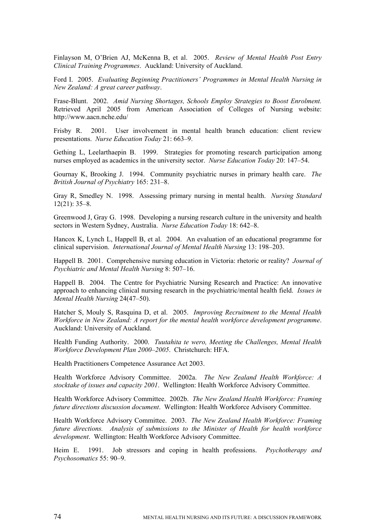Finlayson M, O'Brien AJ, McKenna B, et al. 2005. *Review of Mental Health Post Entry Clinical Training Programmes*. Auckland: University of Auckland.

Ford I. 2005. *Evaluating Beginning Practitioners' Programmes in Mental Health Nursing in New Zealand: A great career pathway*.

Frase-Blunt. 2002. *Amid Nursing Shortages, Schools Employ Strategies to Boost Enrolment.*  Retrieved April 2005 from American Association of Colleges of Nursing website: http://www.aacn.nche.edu/

Frisby R. 2001. User involvement in mental health branch education: client review presentations. *Nurse Education Today* 21: 663–9.

Gething L, Leelarthaepin B. 1999. Strategies for promoting research participation among nurses employed as academics in the university sector. *Nurse Education Today* 20: 147–54.

Gournay K, Brooking J. 1994. Community psychiatric nurses in primary health care. *The British Journal of Psychiatry* 165: 231–8.

Gray R, Smedley N. 1998. Assessing primary nursing in mental health. *Nursing Standard* 12(21): 35–8.

Greenwood J, Gray G. 1998. Developing a nursing research culture in the university and health sectors in Western Sydney, Australia. *Nurse Education Today* 18: 642–8.

Hancox K, Lynch L, Happell B, et al. 2004. An evaluation of an educational programme for clinical supervision. *International Journal of Mental Health Nursing* 13: 198–203.

Happell B. 2001. Comprehensive nursing education in Victoria: rhetoric or reality? *Journal of Psychiatric and Mental Health Nursing* 8: 507–16.

Happell B. 2004. The Centre for Psychiatric Nursing Research and Practice: An innovative approach to enhancing clinical nursing research in the psychiatric/mental health field. *Issues in Mental Health Nursing* 24(47–50).

Hatcher S, Mouly S, Rasquina D, et al. 2005. *Improving Recruitment to the Mental Health Workforce in New Zealand: A report for the mental health workforce development programme*. Auckland: University of Auckland.

Health Funding Authority. 2000. *Tuutahita te wero, Meeting the Challenges, Mental Health Workforce Development Plan 2000–2005*. Christchurch: HFA.

Health Practitioners Competence Assurance Act 2003.

Health Workforce Advisory Committee. 2002a. *The New Zealand Health Workforce: A stocktake of issues and capacity 2001*. Wellington: Health Workforce Advisory Committee.

Health Workforce Advisory Committee. 2002b. *The New Zealand Health Workforce: Framing future directions discussion document*. Wellington: Health Workforce Advisory Committee.

Health Workforce Advisory Committee. 2003. *The New Zealand Health Workforce: Framing future directions. Analysis of submissions to the Minister of Health for health workforce development*. Wellington: Health Workforce Advisory Committee.

Heim E. 1991. Job stressors and coping in health professions. *Psychotherapy and Psychosomatics* 55: 90–9.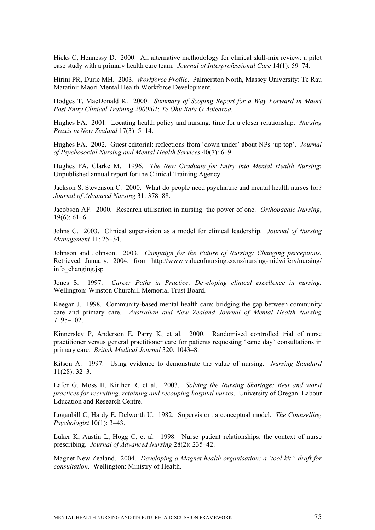Hicks C, Hennessy D. 2000. An alternative methodology for clinical skill-mix review: a pilot case study with a primary health care team. *Journal of Interprofessional Care* 14(1): 59–74.

Hirini PR, Durie MH. 2003. *Workforce Profile*. Palmerston North, Massey University: Te Rau Matatini: Maori Mental Health Workforce Development.

Hodges T, MacDonald K. 2000. *Summary of Scoping Report for a Way Forward in Maori Post Entry Clinical Training 2000/01*: *Te Ohu Rata O Aotearoa.* 

Hughes FA. 2001. Locating health policy and nursing: time for a closer relationship. *Nursing Praxis in New Zealand* 17(3): 5–14.

Hughes FA. 2002. Guest editorial: reflections from 'down under' about NPs 'up top'. *Journal of Psychosocial Nursing and Mental Health Services* 40(7): 6–9.

Hughes FA, Clarke M. 1996. *The New Graduate for Entry into Mental Health Nursing*: Unpublished annual report for the Clinical Training Agency.

Jackson S, Stevenson C. 2000. What do people need psychiatric and mental health nurses for? *Journal of Advanced Nursing* 31: 378–88.

Jacobson AF. 2000. Research utilisation in nursing: the power of one. *Orthopaedic Nursing*, 19(6): 61–6.

Johns C. 2003. Clinical supervision as a model for clinical leadership. *Journal of Nursing Management* 11: 25–34.

Johnson and Johnson. 2003. *Campaign for the Future of Nursing: Changing perceptions.*  Retrieved January, 2004, from http://www.valueofnursing.co.nz/nursing-midwifery/nursing/ info\_changing.jsp

Jones S. 1997. *Career Paths in Practice: Developing clinical excellence in nursing.* Wellington: Winston Churchill Memorial Trust Board.

Keegan J. 1998. Community-based mental health care: bridging the gap between community care and primary care. *Australian and New Zealand Journal of Mental Health Nursing*   $7.95 - 102$ 

Kinnersley P, Anderson E, Parry K, et al. 2000. Randomised controlled trial of nurse practitioner versus general practitioner care for patients requesting 'same day' consultations in primary care. *British Medical Journal* 320: 1043–8.

Kitson A. 1997. Using evidence to demonstrate the value of nursing. *Nursing Standard* 11(28): 32–3.

Lafer G, Moss H, Kirther R, et al. 2003. *Solving the Nursing Shortage: Best and worst practices for recruiting, retaining and recouping hospital nurses*. University of Oregan: Labour Education and Research Centre.

Loganbill C, Hardy E, Delworth U. 1982. Supervision: a conceptual model. *The Counselling Psychologist* 10(1): 3–43.

Luker K, Austin L, Hogg C, et al. 1998. Nurse–patient relationships: the context of nurse prescribing. *Journal of Advanced Nursing* 28(2): 235–42.

Magnet New Zealand. 2004. *Developing a Magnet health organisation: a 'tool kit': draft for consultation*. Wellington: Ministry of Health.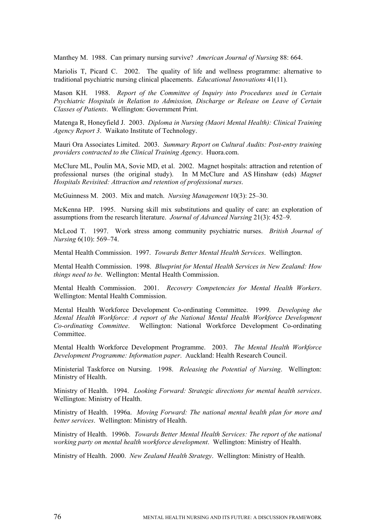Manthey M. 1988. Can primary nursing survive? *American Journal of Nursing* 88: 664.

Mariolis T, Picard C. 2002. The quality of life and wellness programme: alternative to traditional psychiatric nursing clinical placements. *Educational Innovations* 41(11).

Mason KH. 1988. *Report of the Committee of Inquiry into Procedures used in Certain Psychiatric Hospitals in Relation to Admission, Discharge or Release on Leave of Certain Classes of Patients*. Wellington: Government Print.

Matenga R, Honeyfield J. 2003. *Diploma in Nursing (Maori Mental Health): Clinical Training Agency Report 3*. Waikato Institute of Technology.

Mauri Ora Associates Limited. 2003. *Summary Report on Cultural Audits: Post-entry training providers contracted to the Clinical Training Agency*. Huora.com.

McClure ML, Poulin MA, Sovie MD, et al. 2002. Magnet hospitals: attraction and retention of professional nurses (the original study). In M McClure and AS Hinshaw (eds) *Magnet Hospitals Revisited: Attraction and retention of professional nurses*.

McGuinness M. 2003. Mix and match. *Nursing Management* 10(3): 25–30.

McKenna HP. 1995. Nursing skill mix substitutions and quality of care: an exploration of assumptions from the research literature. *Journal of Advanced Nursing* 21(3): 452–9.

McLeod T. 1997. Work stress among community psychiatric nurses. *British Journal of Nursing* 6(10): 569–74.

Mental Health Commission. 1997. *Towards Better Mental Health Services*. Wellington.

Mental Health Commission. 1998. *Blueprint for Mental Health Services in New Zealand: How things need to be*. Wellington: Mental Health Commission.

Mental Health Commission. 2001. *Recovery Competencies for Mental Health Workers*. Wellington: Mental Health Commission.

Mental Health Workforce Development Co-ordinating Committee. 1999. *Developing the Mental Health Workforce: A report of the National Mental Health Workforce Development Co-ordinating Committee*. Wellington: National Workforce Development Co-ordinating Committee.

Mental Health Workforce Development Programme. 2003. *The Mental Health Workforce Development Programme: Information paper*. Auckland: Health Research Council.

Ministerial Taskforce on Nursing. 1998. *Releasing the Potential of Nursing*. Wellington: Ministry of Health.

Ministry of Health. 1994. *Looking Forward: Strategic directions for mental health services*. Wellington: Ministry of Health.

Ministry of Health. 1996a. *Moving Forward: The national mental health plan for more and better services*. Wellington: Ministry of Health.

Ministry of Health. 1996b. *Towards Better Mental Health Services: The report of the national working party on mental health workforce development*. Wellington: Ministry of Health.

Ministry of Health. 2000. *New Zealand Health Strategy*. Wellington: Ministry of Health.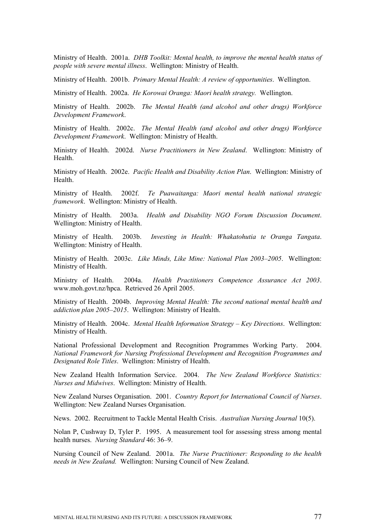Ministry of Health. 2001a. *DHB Toolkit: Mental health, to improve the mental health status of people with severe mental illness*. Wellington: Ministry of Health.

Ministry of Health. 2001b. *Primary Mental Health: A review of opportunities*. Wellington.

Ministry of Health. 2002a. *He Korowai Oranga: Maori health strategy.* Wellington.

Ministry of Health. 2002b. *The Mental Health (and alcohol and other drugs) Workforce Development Framework*.

Ministry of Health. 2002c. *The Mental Health (and alcohol and other drugs) Workforce Development Framework*. Wellington: Ministry of Health.

Ministry of Health. 2002d. *Nurse Practitioners in New Zealand*. Wellington: Ministry of Health.

Ministry of Health. 2002e. *Pacific Health and Disability Action Plan*. Wellington: Ministry of Health.

Ministry of Health. 2002f. *Te Puawaitanga: Maori mental health national strategic framework*. Wellington: Ministry of Health.

Ministry of Health. 2003a. *Health and Disability NGO Forum Discussion Document*. Wellington: Ministry of Health.

Ministry of Health. 2003b. *Investing in Health: Whakatohutia te Oranga Tangata*. Wellington: Ministry of Health.

Ministry of Health. 2003c. *Like Minds, Like Mine: National Plan 2003–2005*. Wellington: Ministry of Health.

Ministry of Health. 2004a. *Health Practitioners Competence Assurance Act 2003*. www.moh.govt.nz/hpca. Retrieved 26 April 2005.

Ministry of Health. 2004b. *Improving Mental Health: The second national mental health and addiction plan 2005–2015*. Wellington: Ministry of Health.

Ministry of Health. 2004c. *Mental Health Information Strategy – Key Directions*. Wellington: Ministry of Health.

National Professional Development and Recognition Programmes Working Party. 2004. *National Framework for Nursing Professional Development and Recognition Programmes and Designated Role Titles*. Wellington: Ministry of Health.

New Zealand Health Information Service. 2004. *The New Zealand Workforce Statistics: Nurses and Midwives*. Wellington: Ministry of Health.

New Zealand Nurses Organisation. 2001. *Country Report for International Council of Nurses*. Wellington: New Zealand Nurses Organisation.

News. 2002. Recruitment to Tackle Mental Health Crisis. *Australian Nursing Journal* 10(5).

Nolan P, Cushway D, Tyler P. 1995. A measurement tool for assessing stress among mental health nurses. *Nursing Standard* 46: 36–9.

Nursing Council of New Zealand. 2001a. *The Nurse Practitioner: Responding to the health needs in New Zealand.* Wellington: Nursing Council of New Zealand.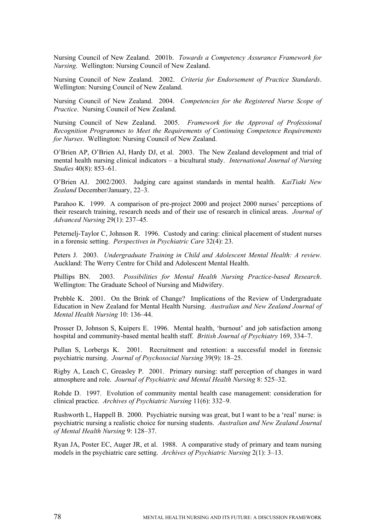Nursing Council of New Zealand. 2001b. *Towards a Competency Assurance Framework for Nursing*. Wellington: Nursing Council of New Zealand.

Nursing Council of New Zealand. 2002. *Criteria for Endorsement of Practice Standards*. Wellington: Nursing Council of New Zealand.

Nursing Council of New Zealand. 2004. *Competencies for the Registered Nurse Scope of Practice*. Nursing Council of New Zealand.

Nursing Council of New Zealand. 2005. *Framework for the Approval of Professional Recognition Programmes to Meet the Requirements of Continuing Competence Requirements for Nurses*. Wellington: Nursing Council of New Zealand.

O'Brien AP, O'Brien AJ, Hardy DJ, et al. 2003. The New Zealand development and trial of mental health nursing clinical indicators – a bicultural study. *International Journal of Nursing Studies* 40(8): 853–61.

O'Brien AJ. 2002/2003. Judging care against standards in mental health. *KaiTiaki New Zealand* December/January, 22–3.

Parahoo K. 1999. A comparison of pre-project 2000 and project 2000 nurses' perceptions of their research training, research needs and of their use of research in clinical areas. *Journal of Advanced Nursing* 29(1): 237–45.

Peternelj-Taylor C, Johnson R. 1996. Custody and caring: clinical placement of student nurses in a forensic setting. *Perspectives in Psychiatric Care* 32(4): 23.

Peters J. 2003. *Undergraduate Training in Child and Adolescent Mental Health: A review.*  Auckland: The Werry Centre for Child and Adolescent Mental Health.

Phillips BN. 2003. *Possibilities for Mental Health Nursing Practice-based Research*. Wellington: The Graduate School of Nursing and Midwifery.

Prebble K. 2001. On the Brink of Change? Implications of the Review of Undergraduate Education in New Zealand for Mental Health Nursing. *Australian and New Zealand Journal of Mental Health Nursing* 10: 136–44.

Prosser D, Johnson S, Kuipers E. 1996. Mental health, 'burnout' and job satisfaction among hospital and community-based mental health staff. *British Journal of Psychiatry* 169, 334–7.

Pullan S, Lorbergs K. 2001. Recruitment and retention: a successful model in forensic psychiatric nursing. *Journal of Psychosocial Nursing* 39(9): 18–25.

Rigby A, Leach C, Greasley P. 2001. Primary nursing: staff perception of changes in ward atmosphere and role. *Journal of Psychiatric and Mental Health Nursing* 8: 525–32.

Rohde D. 1997. Evolution of community mental health case management: consideration for clinical practice. *Archives of Psychiatric Nursing* 11(6): 332–9.

Rushworth L, Happell B. 2000. Psychiatric nursing was great, but I want to be a 'real' nurse: is psychiatric nursing a realistic choice for nursing students. *Australian and New Zealand Journal of Mental Health Nursing* 9: 128–37.

Ryan JA, Poster EC, Auger JR, et al. 1988. A comparative study of primary and team nursing models in the psychiatric care setting. *Archives of Psychiatric Nursing* 2(1): 3–13.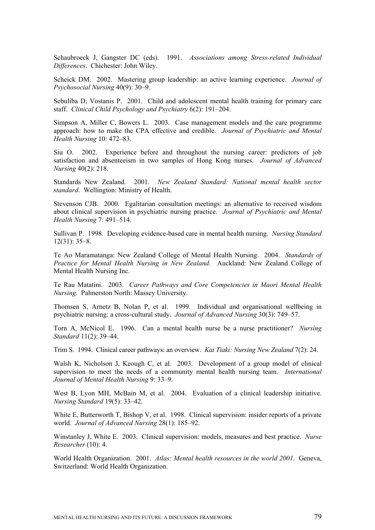Schaubroeck J, Gangster DC (eds). 1991. *Associations among Stress-related Individual Differences*. Chichester: John Wiley.

Scheick DM. 2002. Mastering group leadership: an active learning experience. *Journal of Psychosocial Nursing* 40(9): 30–9.

Sebuliba D, Vostanis P. 2001. Child and adolescent mental health training for primary care staff. *Clinical Child Psychology and Psychiatry* 6(2): 191–204.

Simpson A, Miller C, Bowers L. 2003. Case management models and the care programme approach: how to make the CPA effective and credible. *Journal of Psychiatric and Mental Health Nursing* 10: 472–83.

Siu O. 2002. Experience before and throughout the nursing career: predictors of job satisfaction and absenteeism in two samples of Hong Kong nurses. *Journal of Advanced Nursing* 40(2): 218.

Standards New Zealand. 2001. *New Zealand Standard: National mental health sector standard*. Wellington: Ministry of Health.

Stevenson CJB. 2000. Egalitarian consultation meetings: an alternative to received wisdom about clinical supervision in psychiatric nursing practice. *Journal of Psychiatric and Mental Health Nursing* 7: 491–514.

Sullivan P. 1998. Developing evidence-based care in mental health nursing. *Nursing Standard* 12(31): 35–8.

Te Ao Maramatanga: New Zealand College of Mental Health Nursing. 2004. *Standards of Practice for Mental Health Nursing in New Zealand*. Auckland: New Zealand College of Mental Health Nursing Inc.

Te Rau Matatini. 2003. *Career Pathways and Core Competencies in Maori Mental Health Nursing*. Palmerston North: Massey University.

Thomsen S, Arnetz B, Nolan P, et al. 1999. Individual and organisational wellbeing in psychiatric nursing: a cross-cultural study. *Journal of Advanced Nursing* 30(3): 749–57.

Torn A, McNicol E. 1996. Can a mental health nurse be a nurse practitioner? *Nursing Standard* 11(2): 39–44.

Trim S. 1994. Clinical career pathways: an overview. *Kai Tiaki: Nursing New Zealand* 7(2): 24.

Walsh K, Nicholson J, Keough C, et al. 2003. Development of a group model of clinical supervision to meet the needs of a community mental health nursing team. *International Journal of Mental Health Nursing* 9: 33–9.

West B, Lyon MH, McBain M, et al. 2004. Evaluation of a clinical leadership initiative. *Nursing Standard* 19(5): 33–42.

White E, Butterworth T, Bishop V, et al. 1998. Clinical supervision: insider reports of a private world. *Journal of Advanced Nursing* 28(1): 185–92.

Winstanley J, White E. 2003. Clinical supervision: models, measures and best practice. *Nurse Researcher* (10): 4.

World Health Organization. 2001. *Atlas: Mental health resources in the world 2001*. Geneva, Switzerland: World Health Organization.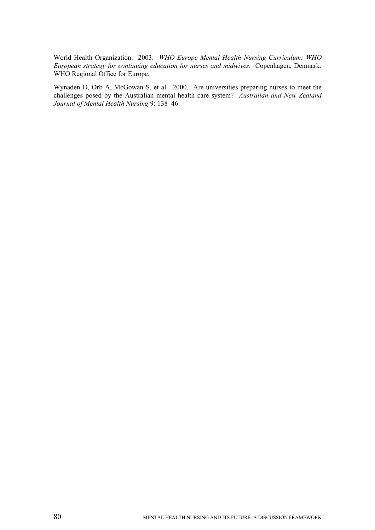World Health Organization. 2003. *WHO Europe Mental Health Nursing Curriculum: WHO European strategy for continuing education for nurses and midwives*. Copenhagen, Denmark: WHO Regional Office for Europe.

Wynaden D, Orb A, McGowan S, et al. 2000. Are universities preparing nurses to meet the challenges posed by the Australian mental health care system? *Australian and New Zealand Journal of Mental Health Nursing* 9: 138–46.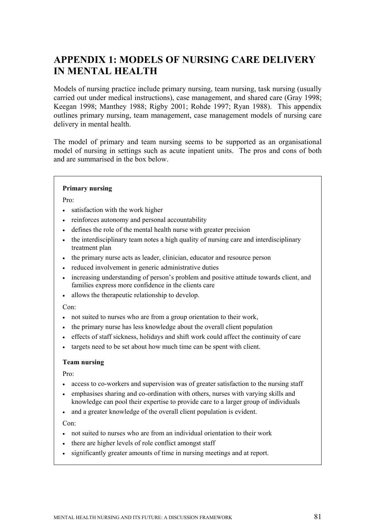# **APPENDIX 1: MODELS OF NURSING CARE DELIVERY IN MENTAL HEALTH**

Models of nursing practice include primary nursing, team nursing, task nursing (usually carried out under medical instructions), case management, and shared care (Gray 1998; Keegan 1998; Manthey 1988; Rigby 2001; Rohde 1997; Ryan 1988). This appendix outlines primary nursing, team management, case management models of nursing care delivery in mental health.

The model of primary and team nursing seems to be supported as an organisational model of nursing in settings such as acute inpatient units. The pros and cons of both and are summarised in the box below.

#### **Primary nursing**

Pro:

- satisfaction with the work higher
- reinforces autonomy and personal accountability
- defines the role of the mental health nurse with greater precision
- the interdisciplinary team notes a high quality of nursing care and interdisciplinary treatment plan
- the primary nurse acts as leader, clinician, educator and resource person
- reduced involvement in generic administrative duties
- increasing understanding of person's problem and positive attitude towards client, and families express more confidence in the clients care
- allows the therapeutic relationship to develop.

Con:

- not suited to nurses who are from a group orientation to their work,
- the primary nurse has less knowledge about the overall client population
- effects of staff sickness, holidays and shift work could affect the continuity of care
- targets need to be set about how much time can be spent with client.

#### **Team nursing**

Pro:

- access to co-workers and supervision was of greater satisfaction to the nursing staff
- emphasises sharing and co-ordination with others, nurses with varying skills and knowledge can pool their expertise to provide care to a larger group of individuals
- and a greater knowledge of the overall client population is evident.

Con:

- not suited to nurses who are from an individual orientation to their work
- there are higher levels of role conflict amongst staff
- significantly greater amounts of time in nursing meetings and at report.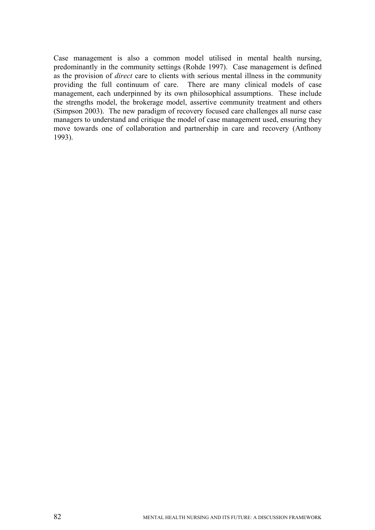Case management is also a common model utilised in mental health nursing, predominantly in the community settings (Rohde 1997). Case management is defined as the provision of *direct* care to clients with serious mental illness in the community providing the full continuum of care. There are many clinical models of case management, each underpinned by its own philosophical assumptions. These include the strengths model, the brokerage model, assertive community treatment and others (Simpson 2003). The new paradigm of recovery focused care challenges all nurse case managers to understand and critique the model of case management used, ensuring they move towards one of collaboration and partnership in care and recovery (Anthony 1993).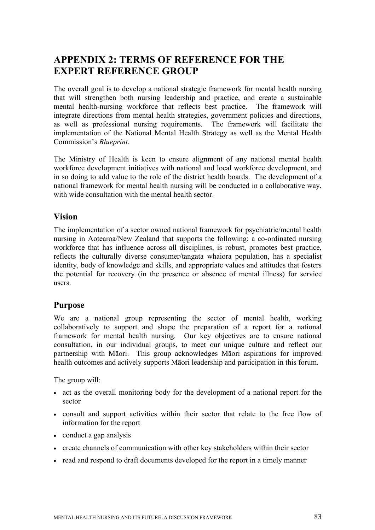## **APPENDIX 2: TERMS OF REFERENCE FOR THE EXPERT REFERENCE GROUP**

The overall goal is to develop a national strategic framework for mental health nursing that will strengthen both nursing leadership and practice, and create a sustainable mental health-nursing workforce that reflects best practice. The framework will integrate directions from mental health strategies, government policies and directions, as well as professional nursing requirements. The framework will facilitate the implementation of the National Mental Health Strategy as well as the Mental Health Commission's *Blueprint*.

The Ministry of Health is keen to ensure alignment of any national mental health workforce development initiatives with national and local workforce development, and in so doing to add value to the role of the district health boards. The development of a national framework for mental health nursing will be conducted in a collaborative way, with wide consultation with the mental health sector.

### **Vision**

The implementation of a sector owned national framework for psychiatric/mental health nursing in Aotearoa/New Zealand that supports the following: a co-ordinated nursing workforce that has influence across all disciplines, is robust, promotes best practice, reflects the culturally diverse consumer/tangata whaiora population, has a specialist identity, body of knowledge and skills, and appropriate values and attitudes that fosters the potential for recovery (in the presence or absence of mental illness) for service users.

### **Purpose**

We are a national group representing the sector of mental health, working collaboratively to support and shape the preparation of a report for a national framework for mental health nursing. Our key objectives are to ensure national consultation, in our individual groups, to meet our unique culture and reflect our partnership with Māori. This group acknowledges Māori aspirations for improved health outcomes and actively supports Māori leadership and participation in this forum.

The group will:

- act as the overall monitoring body for the development of a national report for the sector
- consult and support activities within their sector that relate to the free flow of information for the report
- conduct a gap analysis
- create channels of communication with other key stakeholders within their sector
- read and respond to draft documents developed for the report in a timely manner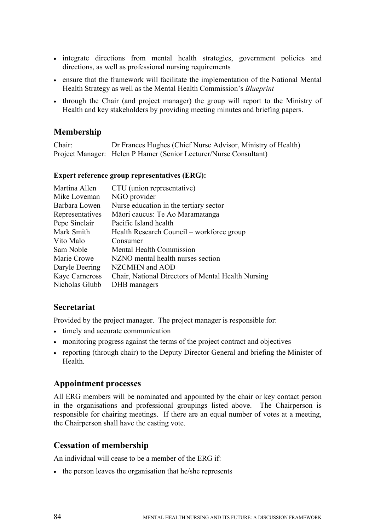- integrate directions from mental health strategies, government policies and directions, as well as professional nursing requirements
- ensure that the framework will facilitate the implementation of the National Mental Health Strategy as well as the Mental Health Commission's *Blueprint*
- through the Chair (and project manager) the group will report to the Ministry of Health and key stakeholders by providing meeting minutes and briefing papers.

### **Membership**

Chair: Dr Frances Hughes (Chief Nurse Advisor, Ministry of Health) Project Manager: Helen P Hamer (Senior Lecturer/Nurse Consultant)

#### **Expert reference group representatives (ERG):**

| Martina Allen   | CTU (union representative)                         |
|-----------------|----------------------------------------------------|
| Mike Loveman    | NGO provider                                       |
| Barbara Lowen   | Nurse education in the tertiary sector             |
| Representatives | Māori caucus: Te Ao Maramatanga                    |
| Pepe Sinclair   | Pacific Island health                              |
| Mark Smith      | Health Research Council – workforce group          |
| Vito Malo       | Consumer                                           |
| Sam Noble       | Mental Health Commission                           |
| Marie Crowe     | NZNO mental health nurses section                  |
| Daryle Deering  | NZCMHN and AOD                                     |
| Kaye Carncross  | Chair, National Directors of Mental Health Nursing |
| Nicholas Glubb  | DHB managers                                       |
|                 |                                                    |

### **Secretariat**

Provided by the project manager. The project manager is responsible for:

- timely and accurate communication
- monitoring progress against the terms of the project contract and objectives
- reporting (through chair) to the Deputy Director General and briefing the Minister of Health.

### **Appointment processes**

All ERG members will be nominated and appointed by the chair or key contact person in the organisations and professional groupings listed above. The Chairperson is responsible for chairing meetings. If there are an equal number of votes at a meeting, the Chairperson shall have the casting vote.

### **Cessation of membership**

An individual will cease to be a member of the ERG if:

• the person leaves the organisation that he/she represents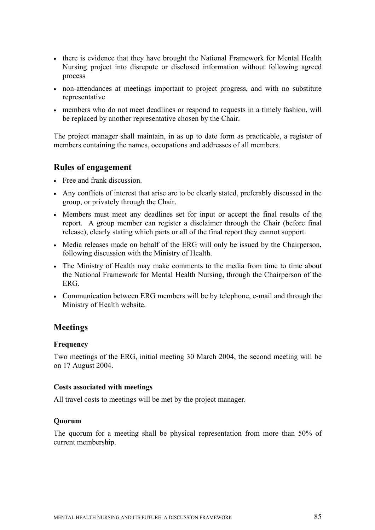- there is evidence that they have brought the National Framework for Mental Health Nursing project into disrepute or disclosed information without following agreed process
- non-attendances at meetings important to project progress, and with no substitute representative
- members who do not meet deadlines or respond to requests in a timely fashion, will be replaced by another representative chosen by the Chair.

The project manager shall maintain, in as up to date form as practicable, a register of members containing the names, occupations and addresses of all members.

### **Rules of engagement**

- Free and frank discussion.
- Any conflicts of interest that arise are to be clearly stated, preferably discussed in the group, or privately through the Chair.
- Members must meet any deadlines set for input or accept the final results of the report. A group member can register a disclaimer through the Chair (before final release), clearly stating which parts or all of the final report they cannot support.
- Media releases made on behalf of the ERG will only be issued by the Chairperson, following discussion with the Ministry of Health.
- The Ministry of Health may make comments to the media from time to time about the National Framework for Mental Health Nursing, through the Chairperson of the ERG.
- Communication between ERG members will be by telephone, e-mail and through the Ministry of Health website.

### **Meetings**

#### **Frequency**

Two meetings of the ERG, initial meeting 30 March 2004, the second meeting will be on 17 August 2004.

#### **Costs associated with meetings**

All travel costs to meetings will be met by the project manager.

#### **Quorum**

The quorum for a meeting shall be physical representation from more than 50% of current membership.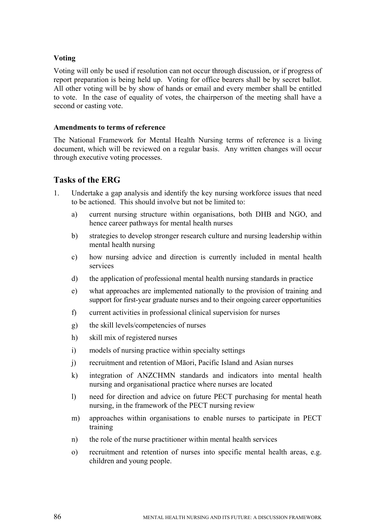#### **Voting**

Voting will only be used if resolution can not occur through discussion, or if progress of report preparation is being held up. Voting for office bearers shall be by secret ballot. All other voting will be by show of hands or email and every member shall be entitled to vote. In the case of equality of votes, the chairperson of the meeting shall have a second or casting vote.

#### **Amendments to terms of reference**

The National Framework for Mental Health Nursing terms of reference is a living document, which will be reviewed on a regular basis. Any written changes will occur through executive voting processes.

### **Tasks of the ERG**

- 1. Undertake a gap analysis and identify the key nursing workforce issues that need to be actioned. This should involve but not be limited to:
	- a) current nursing structure within organisations, both DHB and NGO, and hence career pathways for mental health nurses
	- b) strategies to develop stronger research culture and nursing leadership within mental health nursing
	- c) how nursing advice and direction is currently included in mental health services
	- d) the application of professional mental health nursing standards in practice
	- e) what approaches are implemented nationally to the provision of training and support for first-year graduate nurses and to their ongoing career opportunities
	- f) current activities in professional clinical supervision for nurses
	- g) the skill levels/competencies of nurses
	- h) skill mix of registered nurses
	- i) models of nursing practice within specialty settings
	- j) recruitment and retention of Māori, Pacific Island and Asian nurses
	- k) integration of ANZCHMN standards and indicators into mental health nursing and organisational practice where nurses are located
	- l) need for direction and advice on future PECT purchasing for mental heath nursing, in the framework of the PECT nursing review
	- m) approaches within organisations to enable nurses to participate in PECT training
	- n) the role of the nurse practitioner within mental health services
	- o) recruitment and retention of nurses into specific mental health areas, e.g. children and young people.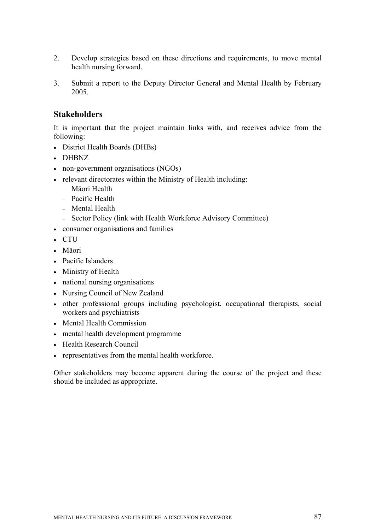- 2. Develop strategies based on these directions and requirements, to move mental health nursing forward.
- 3. Submit a report to the Deputy Director General and Mental Health by February 2005.

### **Stakeholders**

It is important that the project maintain links with, and receives advice from the following:

- District Health Boards (DHBs)
- DHBNZ
- non-government organisations (NGOs)
- relevant directorates within the Ministry of Health including:
	- Māori Health
	- Pacific Health
	- Mental Health
	- Sector Policy (link with Health Workforce Advisory Committee)
- consumer organisations and families
- CTU
- Māori
- Pacific Islanders
- Ministry of Health
- national nursing organisations
- Nursing Council of New Zealand
- other professional groups including psychologist, occupational therapists, social workers and psychiatrists
- Mental Health Commission
- mental health development programme
- Health Research Council
- representatives from the mental health workforce.

Other stakeholders may become apparent during the course of the project and these should be included as appropriate.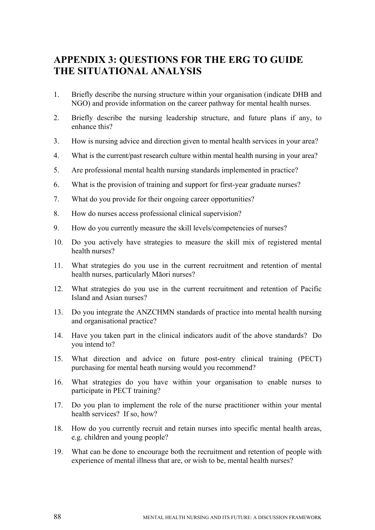## **APPENDIX 3: QUESTIONS FOR THE ERG TO GUIDE THE SITUATIONAL ANALYSIS**

- 1. Briefly describe the nursing structure within your organisation (indicate DHB and NGO) and provide information on the career pathway for mental health nurses.
- 2. Briefly describe the nursing leadership structure, and future plans if any, to enhance this?
- 3. How is nursing advice and direction given to mental health services in your area?
- 4. What is the current/past research culture within mental health nursing in your area?
- 5. Are professional mental health nursing standards implemented in practice?
- 6. What is the provision of training and support for first-year graduate nurses?
- 7. What do you provide for their ongoing career opportunities?
- 8. How do nurses access professional clinical supervision?
- 9. How do you currently measure the skill levels/competencies of nurses?
- 10. Do you actively have strategies to measure the skill mix of registered mental health nurses?
- 11. What strategies do you use in the current recruitment and retention of mental health nurses, particularly Māori nurses?
- 12. What strategies do you use in the current recruitment and retention of Pacific Island and Asian nurses?
- 13. Do you integrate the ANZCHMN standards of practice into mental health nursing and organisational practice?
- 14. Have you taken part in the clinical indicators audit of the above standards? Do you intend to?
- 15. What direction and advice on future post-entry clinical training (PECT) purchasing for mental heath nursing would you recommend?
- 16. What strategies do you have within your organisation to enable nurses to participate in PECT training?
- 17. Do you plan to implement the role of the nurse practitioner within your mental health services? If so, how?
- 18. How do you currently recruit and retain nurses into specific mental health areas, e.g. children and young people?
- 19. What can be done to encourage both the recruitment and retention of people with experience of mental illness that are, or wish to be, mental health nurses?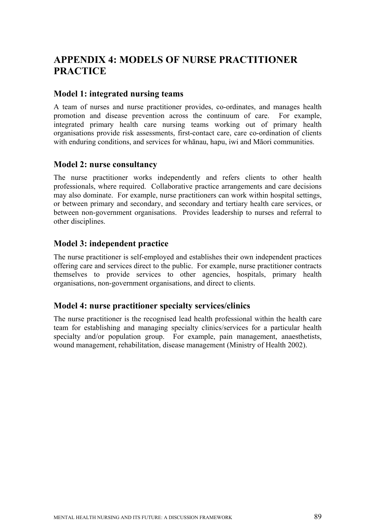# **APPENDIX 4: MODELS OF NURSE PRACTITIONER PRACTICE**

### **Model 1: integrated nursing teams**

A team of nurses and nurse practitioner provides, co-ordinates, and manages health promotion and disease prevention across the continuum of care. For example, integrated primary health care nursing teams working out of primary health organisations provide risk assessments, first-contact care, care co-ordination of clients with enduring conditions, and services for whanau, hapu, iwi and Māori communities.

### **Model 2: nurse consultancy**

The nurse practitioner works independently and refers clients to other health professionals, where required. Collaborative practice arrangements and care decisions may also dominate. For example, nurse practitioners can work within hospital settings, or between primary and secondary, and secondary and tertiary health care services, or between non-government organisations. Provides leadership to nurses and referral to other disciplines.

### **Model 3: independent practice**

The nurse practitioner is self-employed and establishes their own independent practices offering care and services direct to the public. For example, nurse practitioner contracts themselves to provide services to other agencies, hospitals, primary health organisations, non-government organisations, and direct to clients.

### **Model 4: nurse practitioner specialty services/clinics**

The nurse practitioner is the recognised lead health professional within the health care team for establishing and managing specialty clinics/services for a particular health specialty and/or population group. For example, pain management, anaesthetists, wound management, rehabilitation, disease management (Ministry of Health 2002).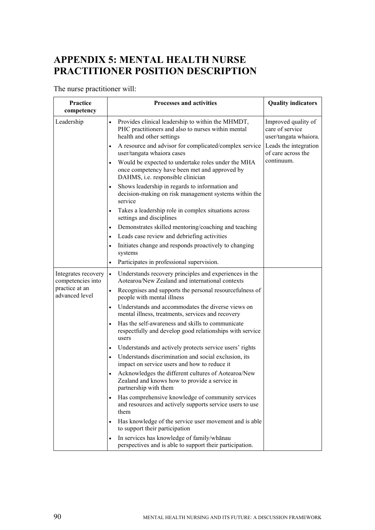# **APPENDIX 5: MENTAL HEALTH NURSE PRACTITIONER POSITION DESCRIPTION**

## The nurse practitioner will:

| Practice<br>competency                                                       | <b>Processes and activities</b>                                                                                                                       | <b>Quality indicators</b>                                       |
|------------------------------------------------------------------------------|-------------------------------------------------------------------------------------------------------------------------------------------------------|-----------------------------------------------------------------|
| Leadership                                                                   | Provides clinical leadership to within the MHMDT,<br>$\bullet$<br>PHC practitioners and also to nurses within mental<br>health and other settings     | Improved quality of<br>care of service<br>user/tangata whaiora. |
|                                                                              | A resource and advisor for complicated/complex service<br>$\bullet$<br>user/tangata whaiora cases                                                     | Leads the integration<br>of care across the                     |
|                                                                              | Would be expected to undertake roles under the MHA<br>$\bullet$<br>once competency have been met and approved by<br>DAHMS, i.e. responsible clinician | continuum.                                                      |
|                                                                              | Shows leadership in regards to information and<br>decision-making on risk management systems within the<br>service                                    |                                                                 |
|                                                                              | Takes a leadership role in complex situations across<br>$\bullet$<br>settings and disciplines                                                         |                                                                 |
|                                                                              | Demonstrates skilled mentoring/coaching and teaching<br>$\bullet$                                                                                     |                                                                 |
|                                                                              | Leads case review and debriefing activities                                                                                                           |                                                                 |
|                                                                              | Initiates change and responds proactively to changing<br>$\bullet$<br>systems                                                                         |                                                                 |
|                                                                              | Participates in professional supervision.                                                                                                             |                                                                 |
| Integrates recovery<br>competencies into<br>practice at an<br>advanced level | Understands recovery principles and experiences in the<br>$\bullet$<br>Aotearoa/New Zealand and international contexts                                |                                                                 |
|                                                                              | Recognises and supports the personal resourcefulness of<br>$\bullet$<br>people with mental illness                                                    |                                                                 |
|                                                                              | Understands and accommodates the diverse views on<br>$\bullet$<br>mental illness, treatments, services and recovery                                   |                                                                 |
|                                                                              | Has the self-awareness and skills to communicate<br>respectfully and develop good relationships with service<br>users                                 |                                                                 |
|                                                                              | Understands and actively protects service users' rights<br>$\bullet$                                                                                  |                                                                 |
|                                                                              | Understands discrimination and social exclusion, its<br>impact on service users and how to reduce it                                                  |                                                                 |
|                                                                              | Acknowledges the different cultures of Aotearoa/New<br>Zealand and knows how to provide a service in<br>partnership with them                         |                                                                 |
|                                                                              | Has comprehensive knowledge of community services<br>and resources and actively supports service users to use<br>them                                 |                                                                 |
|                                                                              | Has knowledge of the service user movement and is able<br>to support their participation                                                              |                                                                 |
|                                                                              | In services has knowledge of family/whanau<br>$\bullet$<br>perspectives and is able to support their participation.                                   |                                                                 |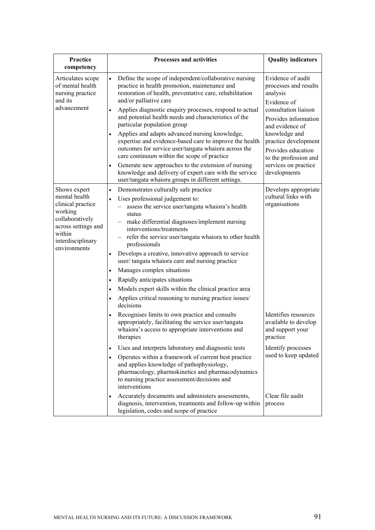| Practice<br>competency                                                                                                                                 | <b>Processes and activities</b>                                                                                                                                                                                                                                                                                                                                           | <b>Quality indicators</b>                                                                                             |
|--------------------------------------------------------------------------------------------------------------------------------------------------------|---------------------------------------------------------------------------------------------------------------------------------------------------------------------------------------------------------------------------------------------------------------------------------------------------------------------------------------------------------------------------|-----------------------------------------------------------------------------------------------------------------------|
| Articulates scope<br>of mental health<br>nursing practice<br>and its<br>advancement                                                                    | Define the scope of independent/collaborative nursing<br>$\bullet$<br>practice in health promotion, maintenance and<br>restoration of health, preventative care, rehabilitation<br>and/or palliative care<br>Applies diagnostic enquiry processes, respond to actual<br>$\bullet$<br>and potential health needs and characteristics of the<br>particular population group | Evidence of audit<br>processes and results<br>analysis<br>Evidence of<br>consultation liaison<br>Provides information |
|                                                                                                                                                        | Applies and adapts advanced nursing knowledge,<br>expertise and evidence-based care to improve the health<br>outcomes for service user/tangata whaiora across the<br>care continuum within the scope of practice                                                                                                                                                          | and evidence of<br>knowledge and<br>practice development<br>Provides education<br>to the profession and               |
|                                                                                                                                                        | Generate new approaches to the extension of nursing<br>$\bullet$<br>knowledge and delivery of expert care with the service<br>user/tangata whaiora groups in different settings.                                                                                                                                                                                          | services on practice<br>developments                                                                                  |
| Shows expert<br>mental health<br>clinical practice<br>working<br>collaboratively<br>across settings and<br>within<br>interdisciplinary<br>environments | Demonstrates culturally safe practice<br>$\bullet$<br>Uses professional judgement to:<br>assess the service user/tangata whaiora's health<br>status<br>make differential diagnoses/implement nursing<br>interventions/treatments<br>refer the service user/tangata whaiora to other health<br>$\qquad \qquad -$<br>professionals                                          | Develops appropriate<br>cultural links with<br>organisations                                                          |
|                                                                                                                                                        | Develops a creative, innovative approach to service<br>user/tangata whaiora care and nursing practice<br>Manages complex situations                                                                                                                                                                                                                                       |                                                                                                                       |
|                                                                                                                                                        | Rapidly anticipates situations<br>$\bullet$<br>Models expert skills within the clinical practice area<br>Applies critical reasoning to nursing practice issues/<br>decisions                                                                                                                                                                                              |                                                                                                                       |
|                                                                                                                                                        | Recognises limits to own practice and consults<br>appropriately, facilitating the service user/tangata<br>whaiora's access to appropriate interventions and<br>therapies                                                                                                                                                                                                  | Identifies resources<br>available to develop<br>and support your<br>practice                                          |
|                                                                                                                                                        | Uses and interprets laboratory and diagnostic tests<br>$\bullet$<br>Operates within a framework of current best practice<br>$\bullet$<br>and applies knowledge of pathophysiology,<br>pharmacology, pharmokinetics and pharmacodynamics<br>to nursing practice assessment/decisions and<br>interventions                                                                  | Identify processes<br>used to keep updated                                                                            |
|                                                                                                                                                        | Accurately documents and administers assessments,<br>diagnosis, intervention, treatments and follow-up within<br>legislation, codes and scope of practice                                                                                                                                                                                                                 | Clear file audit<br>process                                                                                           |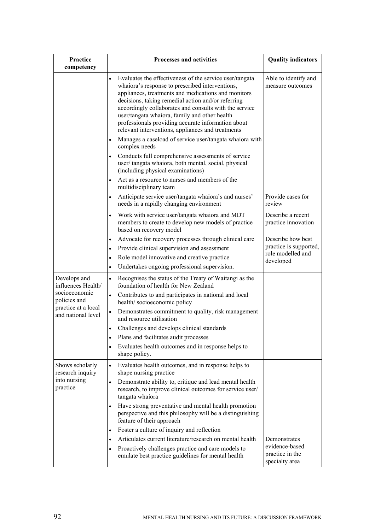| Practice<br>competency                                          | <b>Processes and activities</b>                                                                                                                                                                                                                                                                                                                                                                                                                                                                                           | <b>Quality indicators</b>                                                     |
|-----------------------------------------------------------------|---------------------------------------------------------------------------------------------------------------------------------------------------------------------------------------------------------------------------------------------------------------------------------------------------------------------------------------------------------------------------------------------------------------------------------------------------------------------------------------------------------------------------|-------------------------------------------------------------------------------|
|                                                                 | Evaluates the effectiveness of the service user/tangata<br>whaiora's response to prescribed interventions,<br>appliances, treatments and medications and monitors<br>decisions, taking remedial action and/or referring<br>accordingly collaborates and consults with the service<br>user/tangata whaiora, family and other health<br>professionals providing accurate information about<br>relevant interventions, appliances and treatments<br>Manages a caseload of service user/tangata whaiora with<br>complex needs | Able to identify and<br>measure outcomes                                      |
|                                                                 | Conducts full comprehensive assessments of service<br>user/tangata whaiora, both mental, social, physical<br>(including physical examinations)                                                                                                                                                                                                                                                                                                                                                                            |                                                                               |
|                                                                 | Act as a resource to nurses and members of the<br>multidisciplinary team                                                                                                                                                                                                                                                                                                                                                                                                                                                  |                                                                               |
|                                                                 | Anticipate service user/tangata whaiora's and nurses'<br>$\bullet$<br>needs in a rapidly changing environment                                                                                                                                                                                                                                                                                                                                                                                                             | Provide cases for<br>review                                                   |
|                                                                 | Work with service user/tangata whaiora and MDT<br>members to create to develop new models of practice<br>based on recovery model                                                                                                                                                                                                                                                                                                                                                                                          | Describe a recent<br>practice innovation                                      |
|                                                                 | Advocate for recovery processes through clinical care<br>Provide clinical supervision and assessment<br>$\bullet$<br>Role model innovative and creative practice<br>$\bullet$<br>Undertakes ongoing professional supervision.                                                                                                                                                                                                                                                                                             | Describe how best<br>practice is supported,<br>role modelled and<br>developed |
| Develops and<br>influences Health/                              | Recognises the status of the Treaty of Waitangi as the<br>foundation of health for New Zealand                                                                                                                                                                                                                                                                                                                                                                                                                            |                                                                               |
| socioeconomic<br>policies and                                   | Contributes to and participates in national and local<br>$\bullet$<br>health/socioeconomic policy                                                                                                                                                                                                                                                                                                                                                                                                                         |                                                                               |
| practice at a local<br>and national level                       | Demonstrates commitment to quality, risk management<br>and resource utilisation                                                                                                                                                                                                                                                                                                                                                                                                                                           |                                                                               |
|                                                                 | Challenges and develops clinical standards<br>$\bullet$                                                                                                                                                                                                                                                                                                                                                                                                                                                                   |                                                                               |
|                                                                 | Plans and facilitates audit processes                                                                                                                                                                                                                                                                                                                                                                                                                                                                                     |                                                                               |
|                                                                 | Evaluates health outcomes and in response helps to<br>shape policy.                                                                                                                                                                                                                                                                                                                                                                                                                                                       |                                                                               |
| Shows scholarly<br>research inquiry<br>into nursing<br>practice | Evaluates health outcomes, and in response helps to<br>$\bullet$<br>shape nursing practice                                                                                                                                                                                                                                                                                                                                                                                                                                |                                                                               |
|                                                                 | Demonstrate ability to, critique and lead mental health<br>$\bullet$<br>research, to improve clinical outcomes for service user/<br>tangata whaiora                                                                                                                                                                                                                                                                                                                                                                       |                                                                               |
|                                                                 | Have strong preventative and mental health promotion<br>perspective and this philosophy will be a distinguishing<br>feature of their approach                                                                                                                                                                                                                                                                                                                                                                             |                                                                               |
|                                                                 | Foster a culture of inquiry and reflection<br>$\bullet$                                                                                                                                                                                                                                                                                                                                                                                                                                                                   |                                                                               |
|                                                                 | Articulates current literature/research on mental health<br>$\bullet$                                                                                                                                                                                                                                                                                                                                                                                                                                                     | Demonstrates                                                                  |
|                                                                 | Proactively challenges practice and care models to<br>emulate best practice guidelines for mental health                                                                                                                                                                                                                                                                                                                                                                                                                  | evidence-based<br>practice in the<br>specialty area                           |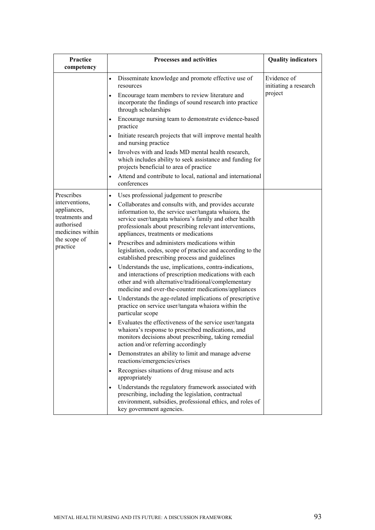| Practice<br>competency                                                                                                      | <b>Processes and activities</b>                                                                                                                                                                                                                                                                                                                                                                                                                                                                                                                                                                                                                                                                                                                                                                                                                                                                                                                                                                                                                                                                                                                                                                                                                                                                                                                                                                                                                                                                             | <b>Quality indicators</b>                       |
|-----------------------------------------------------------------------------------------------------------------------------|-------------------------------------------------------------------------------------------------------------------------------------------------------------------------------------------------------------------------------------------------------------------------------------------------------------------------------------------------------------------------------------------------------------------------------------------------------------------------------------------------------------------------------------------------------------------------------------------------------------------------------------------------------------------------------------------------------------------------------------------------------------------------------------------------------------------------------------------------------------------------------------------------------------------------------------------------------------------------------------------------------------------------------------------------------------------------------------------------------------------------------------------------------------------------------------------------------------------------------------------------------------------------------------------------------------------------------------------------------------------------------------------------------------------------------------------------------------------------------------------------------------|-------------------------------------------------|
|                                                                                                                             | Disseminate knowledge and promote effective use of<br>resources<br>Encourage team members to review literature and<br>incorporate the findings of sound research into practice<br>through scholarships<br>Encourage nursing team to demonstrate evidence-based<br>practice<br>Initiate research projects that will improve mental health<br>$\bullet$<br>and nursing practice<br>Involves with and leads MD mental health research,<br>which includes ability to seek assistance and funding for<br>projects beneficial to area of practice<br>Attend and contribute to local, national and international                                                                                                                                                                                                                                                                                                                                                                                                                                                                                                                                                                                                                                                                                                                                                                                                                                                                                                   | Evidence of<br>initiating a research<br>project |
| Prescribes<br>interventions,<br>appliances,<br>treatments and<br>authorised<br>medicines within<br>the scope of<br>practice | conferences<br>Uses professional judgement to prescribe<br>$\bullet$<br>Collaborates and consults with, and provides accurate<br>$\bullet$<br>information to, the service user/tangata whaiora, the<br>service user/tangata whaiora's family and other health<br>professionals about prescribing relevant interventions,<br>appliances, treatments or medications<br>Prescribes and administers medications within<br>legislation, codes, scope of practice and according to the<br>established prescribing process and guidelines<br>Understands the use, implications, contra-indications,<br>and interactions of prescription medications with each<br>other and with alternative/traditional/complementary<br>medicine and over-the-counter medications/appliances<br>Understands the age-related implications of prescriptive<br>$\bullet$<br>practice on service user/tangata whaiora within the<br>particular scope<br>Evaluates the effectiveness of the service user/tangata<br>whaiora's response to prescribed medications, and<br>monitors decisions about prescribing, taking remedial<br>action and/or referring accordingly<br>Demonstrates an ability to limit and manage adverse<br>reactions/emergencies/crises<br>Recognises situations of drug misuse and acts<br>appropriately<br>Understands the regulatory framework associated with<br>prescribing, including the legislation, contractual<br>environment, subsidies, professional ethics, and roles of<br>key government agencies. |                                                 |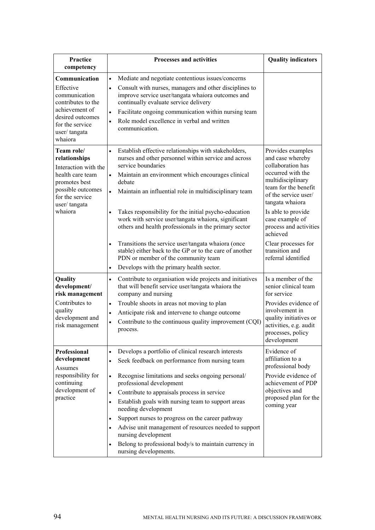| Practice<br>competency                                                                                                                                      | <b>Processes and activities</b>                                                                                                                                                                                                                                                                                                                                                                                                                                                                                                                                                                                             | <b>Quality indicators</b>                                                                                                                                                                                                                              |
|-------------------------------------------------------------------------------------------------------------------------------------------------------------|-----------------------------------------------------------------------------------------------------------------------------------------------------------------------------------------------------------------------------------------------------------------------------------------------------------------------------------------------------------------------------------------------------------------------------------------------------------------------------------------------------------------------------------------------------------------------------------------------------------------------------|--------------------------------------------------------------------------------------------------------------------------------------------------------------------------------------------------------------------------------------------------------|
| Communication<br>Effective<br>communication<br>contributes to the<br>achievement of<br>desired outcomes<br>for the service<br>user/tangata<br>whaiora       | Mediate and negotiate contentious issues/concerns<br>$\bullet$<br>Consult with nurses, managers and other disciplines to<br>$\bullet$<br>improve service user/tangata whaiora outcomes and<br>continually evaluate service delivery<br>Facilitate ongoing communication within nursing team<br>$\bullet$<br>Role model excellence in verbal and written<br>$\bullet$<br>communication.                                                                                                                                                                                                                                      |                                                                                                                                                                                                                                                        |
| Team role/<br>relationships<br>Interaction with the<br>health care team<br>promotes best<br>possible outcomes<br>for the service<br>user/tangata<br>whaiora | Establish effective relationships with stakeholders,<br>$\bullet$<br>nurses and other personnel within service and across<br>service boundaries<br>Maintain an environment which encourages clinical<br>$\bullet$<br>debate<br>Maintain an influential role in multidisciplinary team<br>Takes responsibility for the initial psycho-education<br>$\bullet$<br>work with service user/tangata whaiora, significant<br>others and health professionals in the primary sector                                                                                                                                                 | Provides examples<br>and case whereby<br>collaboration has<br>occurred with the<br>multidisciplinary<br>team for the benefit<br>of the service user/<br>tangata whaiora<br>Is able to provide<br>case example of<br>process and activities<br>achieved |
|                                                                                                                                                             | Transitions the service user/tangata whaiora (once<br>stable) either back to the GP or to the care of another<br>PDN or member of the community team<br>Develops with the primary health sector.<br>$\bullet$                                                                                                                                                                                                                                                                                                                                                                                                               | Clear processes for<br>transition and<br>referral identified                                                                                                                                                                                           |
| Quality<br>development/<br>risk management<br>Contributes to<br>quality<br>development and<br>risk management                                               | Contribute to organisation wide projects and initiatives<br>$\bullet$<br>that will benefit service user/tangata whaiora the<br>company and nursing<br>Trouble shoots in areas not moving to plan<br>$\bullet$<br>Anticipate risk and intervene to change outcome<br>$\bullet$<br>Contribute to the continuous quality improvement (CQI)<br>$\bullet$<br>process.                                                                                                                                                                                                                                                            | Is a member of the<br>senior clinical team<br>for service<br>Provides evidence of<br>involvement in<br>quality initiatives or<br>activities, e.g. audit<br>processes, policy<br>development                                                            |
| Professional<br>development<br>Assumes<br>responsibility for<br>continuing<br>development of<br>practice                                                    | Develops a portfolio of clinical research interests<br>$\bullet$<br>Seek feedback on performance from nursing team<br>$\bullet$<br>Recognise limitations and seeks ongoing personal/<br>$\bullet$<br>professional development<br>Contribute to appraisals process in service<br>$\bullet$<br>Establish goals with nursing team to support areas<br>$\bullet$<br>needing development<br>Support nurses to progress on the career pathway<br>٠<br>Advise unit management of resources needed to support<br>$\bullet$<br>nursing development<br>Belong to professional body/s to maintain currency in<br>nursing developments. | Evidence of<br>affiliation to a<br>professional body<br>Provide evidence of<br>achievement of PDP<br>objectives and<br>proposed plan for the<br>coming year                                                                                            |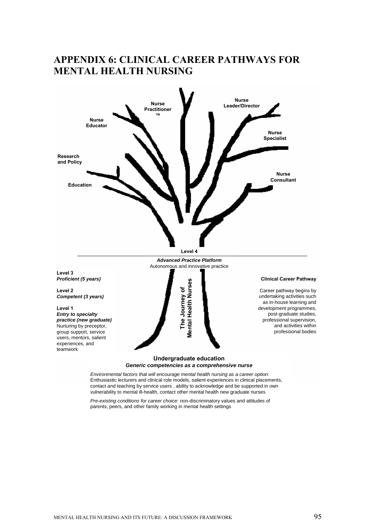## **APPENDIX 6: CLINICAL CAREER PATHWAYS FOR MENTAL HEALTH NURSING**



*Environmental factors that will encourage mental health nursing as a career option*: Enthusiastic lecturers and clinical role models, salient experiences in clinical placements, contact and teaching by service users , ability to acknowledge and be supported in own vulnerability to mental ill-health, contact other mental health new graduate nurses

*Pre-existing conditions for career choice*: non-discriminatory values and attitudes of parents, peers, and other family working in mental health settings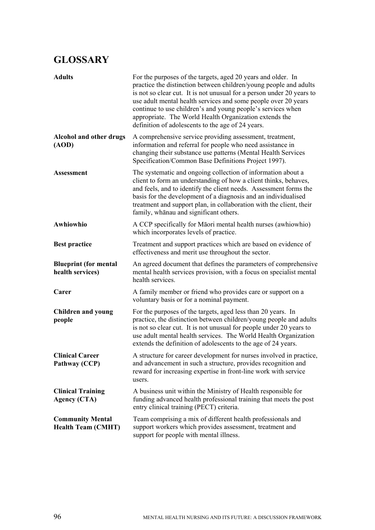# **GLOSSARY**

| <b>Adults</b>                                        | For the purposes of the targets, aged 20 years and older. In<br>practice the distinction between children/young people and adults<br>is not so clear cut. It is not unusual for a person under 20 years to<br>use adult mental health services and some people over 20 years<br>continue to use children's and young people's services when<br>appropriate. The World Health Organization extends the<br>definition of adolescents to the age of 24 years. |
|------------------------------------------------------|------------------------------------------------------------------------------------------------------------------------------------------------------------------------------------------------------------------------------------------------------------------------------------------------------------------------------------------------------------------------------------------------------------------------------------------------------------|
| <b>Alcohol and other drugs</b><br>(AOD)              | A comprehensive service providing assessment, treatment,<br>information and referral for people who need assistance in<br>changing their substance use patterns (Mental Health Services<br>Specification/Common Base Definitions Project 1997).                                                                                                                                                                                                            |
| <b>Assessment</b>                                    | The systematic and ongoing collection of information about a<br>client to form an understanding of how a client thinks, behaves,<br>and feels, and to identify the client needs. Assessment forms the<br>basis for the development of a diagnosis and an individualised<br>treatment and support plan, in collaboration with the client, their<br>family, whanau and significant others.                                                                   |
| Awhiowhio                                            | A CCP specifically for Maori mental health nurses (awhiowhio)<br>which incorporates levels of practice.                                                                                                                                                                                                                                                                                                                                                    |
| <b>Best practice</b>                                 | Treatment and support practices which are based on evidence of<br>effectiveness and merit use throughout the sector.                                                                                                                                                                                                                                                                                                                                       |
| <b>Blueprint (for mental</b><br>health services)     | An agreed document that defines the parameters of comprehensive<br>mental health services provision, with a focus on specialist mental<br>health services.                                                                                                                                                                                                                                                                                                 |
| Carer                                                | A family member or friend who provides care or support on a<br>voluntary basis or for a nominal payment.                                                                                                                                                                                                                                                                                                                                                   |
| <b>Children and young</b><br>people                  | For the purposes of the targets, aged less than 20 years. In<br>practice, the distinction between children/young people and adults<br>is not so clear cut. It is not unusual for people under 20 years to<br>use adult mental health services. The World Health Organization<br>extends the definition of adolescents to the age of 24 years.                                                                                                              |
| <b>Clinical Career</b><br>Pathway (CCP)              | A structure for career development for nurses involved in practice,<br>and advancement in such a structure, provides recognition and<br>reward for increasing expertise in front-line work with service<br>users.                                                                                                                                                                                                                                          |
| <b>Clinical Training</b><br><b>Agency (CTA)</b>      | A business unit within the Ministry of Health responsible for<br>funding advanced health professional training that meets the post<br>entry clinical training (PECT) criteria.                                                                                                                                                                                                                                                                             |
| <b>Community Mental</b><br><b>Health Team (CMHT)</b> | Team comprising a mix of different health professionals and<br>support workers which provides assessment, treatment and<br>support for people with mental illness.                                                                                                                                                                                                                                                                                         |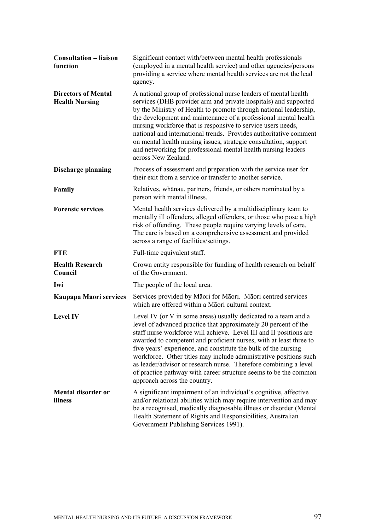| <b>Consultation - liaison</b><br>function           | Significant contact with/between mental health professionals<br>(employed in a mental health service) and other agencies/persons<br>providing a service where mental health services are not the lead<br>agency.                                                                                                                                                                                                                                                                                                                                                                              |
|-----------------------------------------------------|-----------------------------------------------------------------------------------------------------------------------------------------------------------------------------------------------------------------------------------------------------------------------------------------------------------------------------------------------------------------------------------------------------------------------------------------------------------------------------------------------------------------------------------------------------------------------------------------------|
| <b>Directors of Mental</b><br><b>Health Nursing</b> | A national group of professional nurse leaders of mental health<br>services (DHB provider arm and private hospitals) and supported<br>by the Ministry of Health to promote through national leadership,<br>the development and maintenance of a professional mental health<br>nursing workforce that is responsive to service users needs,<br>national and international trends. Provides authoritative comment<br>on mental health nursing issues, strategic consultation, support<br>and networking for professional mental health nursing leaders<br>across New Zealand.                   |
| <b>Discharge planning</b>                           | Process of assessment and preparation with the service user for<br>their exit from a service or transfer to another service.                                                                                                                                                                                                                                                                                                                                                                                                                                                                  |
| Family                                              | Relatives, whanau, partners, friends, or others nominated by a<br>person with mental illness.                                                                                                                                                                                                                                                                                                                                                                                                                                                                                                 |
| <b>Forensic services</b>                            | Mental health services delivered by a multidisciplinary team to<br>mentally ill offenders, alleged offenders, or those who pose a high<br>risk of offending. These people require varying levels of care.<br>The care is based on a comprehensive assessment and provided<br>across a range of facilities/settings.                                                                                                                                                                                                                                                                           |
| <b>FTE</b>                                          | Full-time equivalent staff.                                                                                                                                                                                                                                                                                                                                                                                                                                                                                                                                                                   |
| <b>Health Research</b><br>Council                   | Crown entity responsible for funding of health research on behalf<br>of the Government.                                                                                                                                                                                                                                                                                                                                                                                                                                                                                                       |
| Iwi                                                 | The people of the local area.                                                                                                                                                                                                                                                                                                                                                                                                                                                                                                                                                                 |
| Kaupapa Māori services                              | Services provided by Māori for Māori. Māori centred services<br>which are offered within a Māori cultural context.                                                                                                                                                                                                                                                                                                                                                                                                                                                                            |
| <b>Level IV</b>                                     | Level IV (or V in some areas) usually dedicated to a team and a<br>level of advanced practice that approximately 20 percent of the<br>staff nurse workforce will achieve. Level III and II positions are<br>awarded to competent and proficient nurses, with at least three to<br>five years' experience, and constitute the bulk of the nursing<br>workforce. Other titles may include administrative positions such<br>as leader/advisor or research nurse. Therefore combining a level<br>of practice pathway with career structure seems to be the common<br>approach across the country. |
| <b>Mental disorder or</b><br>illness                | A significant impairment of an individual's cognitive, affective<br>and/or relational abilities which may require intervention and may<br>be a recognised, medically diagnosable illness or disorder (Mental<br>Health Statement of Rights and Responsibilities, Australian<br>Government Publishing Services 1991).                                                                                                                                                                                                                                                                          |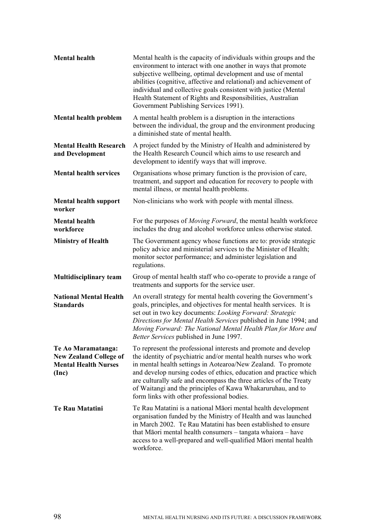| <b>Mental health</b>                                                                        | Mental health is the capacity of individuals within groups and the<br>environment to interact with one another in ways that promote<br>subjective wellbeing, optimal development and use of mental<br>abilities (cognitive, affective and relational) and achievement of<br>individual and collective goals consistent with justice (Mental<br>Health Statement of Rights and Responsibilities, Australian<br>Government Publishing Services 1991).          |
|---------------------------------------------------------------------------------------------|--------------------------------------------------------------------------------------------------------------------------------------------------------------------------------------------------------------------------------------------------------------------------------------------------------------------------------------------------------------------------------------------------------------------------------------------------------------|
| <b>Mental health problem</b>                                                                | A mental health problem is a disruption in the interactions<br>between the individual, the group and the environment producing<br>a diminished state of mental health.                                                                                                                                                                                                                                                                                       |
| <b>Mental Health Research</b><br>and Development                                            | A project funded by the Ministry of Health and administered by<br>the Health Research Council which aims to use research and<br>development to identify ways that will improve.                                                                                                                                                                                                                                                                              |
| <b>Mental health services</b>                                                               | Organisations whose primary function is the provision of care,<br>treatment, and support and education for recovery to people with<br>mental illness, or mental health problems.                                                                                                                                                                                                                                                                             |
| <b>Mental health support</b><br>worker                                                      | Non-clinicians who work with people with mental illness.                                                                                                                                                                                                                                                                                                                                                                                                     |
| <b>Mental health</b><br>workforce                                                           | For the purposes of <i>Moving Forward</i> , the mental health workforce<br>includes the drug and alcohol workforce unless otherwise stated.                                                                                                                                                                                                                                                                                                                  |
| <b>Ministry of Health</b>                                                                   | The Government agency whose functions are to: provide strategic<br>policy advice and ministerial services to the Minister of Health;<br>monitor sector performance; and administer legislation and<br>regulations.                                                                                                                                                                                                                                           |
| <b>Multidisciplinary team</b>                                                               | Group of mental health staff who co-operate to provide a range of<br>treatments and supports for the service user.                                                                                                                                                                                                                                                                                                                                           |
| <b>National Mental Health</b><br><b>Standards</b>                                           | An overall strategy for mental health covering the Government's<br>goals, principles, and objectives for mental health services. It is<br>set out in two key documents: Looking Forward: Strategic<br>Directions for Mental Health Services published in June 1994; and<br>Moving Forward: The National Mental Health Plan for More and<br>Better Services published in June 1997.                                                                           |
| Te Ao Maramatanga:<br><b>New Zealand College of</b><br><b>Mental Health Nurses</b><br>(Inc) | To represent the professional interests and promote and develop<br>the identity of psychiatric and/or mental health nurses who work<br>in mental health settings in Aotearoa/New Zealand. To promote<br>and develop nursing codes of ethics, education and practice which<br>are culturally safe and encompass the three articles of the Treaty<br>of Waitangi and the principles of Kawa Whakaruruhau, and to<br>form links with other professional bodies. |
| <b>Te Rau Matatini</b>                                                                      | Te Rau Matatini is a national Māori mental health development<br>organisation funded by the Ministry of Health and was launched<br>in March 2002. Te Rau Matatini has been established to ensure<br>that Māori mental health consumers – tangata whaiora – have<br>access to a well-prepared and well-qualified Māori mental health<br>workforce.                                                                                                            |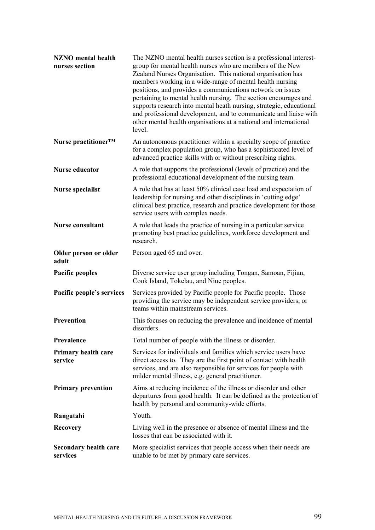| <b>NZNO</b> mental health<br>nurses section | The NZNO mental health nurses section is a professional interest-<br>group for mental health nurses who are members of the New<br>Zealand Nurses Organisation. This national organisation has<br>members working in a wide-range of mental health nursing<br>positions, and provides a communications network on issues<br>pertaining to mental health nursing. The section encourages and<br>supports research into mental heath nursing, strategic, educational<br>and professional development, and to communicate and liaise with<br>other mental health organisations at a national and international<br>level. |
|---------------------------------------------|----------------------------------------------------------------------------------------------------------------------------------------------------------------------------------------------------------------------------------------------------------------------------------------------------------------------------------------------------------------------------------------------------------------------------------------------------------------------------------------------------------------------------------------------------------------------------------------------------------------------|
| Nurse practitioner <sup>TM</sup>            | An autonomous practitioner within a specialty scope of practice<br>for a complex population group, who has a sophisticated level of<br>advanced practice skills with or without prescribing rights.                                                                                                                                                                                                                                                                                                                                                                                                                  |
| <b>Nurse educator</b>                       | A role that supports the professional (levels of practice) and the<br>professional educational development of the nursing team.                                                                                                                                                                                                                                                                                                                                                                                                                                                                                      |
| Nurse specialist                            | A role that has at least 50% clinical case load and expectation of<br>leadership for nursing and other disciplines in 'cutting edge'<br>clinical best practice, research and practice development for those<br>service users with complex needs.                                                                                                                                                                                                                                                                                                                                                                     |
| <b>Nurse consultant</b>                     | A role that leads the practice of nursing in a particular service<br>promoting best practice guidelines, workforce development and<br>research.                                                                                                                                                                                                                                                                                                                                                                                                                                                                      |
| Older person or older<br>adult              | Person aged 65 and over.                                                                                                                                                                                                                                                                                                                                                                                                                                                                                                                                                                                             |
| <b>Pacific peoples</b>                      | Diverse service user group including Tongan, Samoan, Fijian,<br>Cook Island, Tokelau, and Niue peoples.                                                                                                                                                                                                                                                                                                                                                                                                                                                                                                              |
| Pacific people's services                   | Services provided by Pacific people for Pacific people. Those<br>providing the service may be independent service providers, or<br>teams within mainstream services.                                                                                                                                                                                                                                                                                                                                                                                                                                                 |
| Prevention                                  | This focuses on reducing the prevalence and incidence of mental<br>disorders.                                                                                                                                                                                                                                                                                                                                                                                                                                                                                                                                        |
| Prevalence                                  | Total number of people with the illness or disorder.                                                                                                                                                                                                                                                                                                                                                                                                                                                                                                                                                                 |
| Primary health care<br>service              | Services for individuals and families which service users have<br>direct access to. They are the first point of contact with health<br>services, and are also responsible for services for people with<br>milder mental illness, e.g. general practitioner.                                                                                                                                                                                                                                                                                                                                                          |
| <b>Primary prevention</b>                   | Aims at reducing incidence of the illness or disorder and other<br>departures from good health. It can be defined as the protection of<br>health by personal and community-wide efforts.                                                                                                                                                                                                                                                                                                                                                                                                                             |
| Rangatahi                                   | Youth.                                                                                                                                                                                                                                                                                                                                                                                                                                                                                                                                                                                                               |
| <b>Recovery</b>                             | Living well in the presence or absence of mental illness and the<br>losses that can be associated with it.                                                                                                                                                                                                                                                                                                                                                                                                                                                                                                           |
| <b>Secondary health care</b><br>services    | More specialist services that people access when their needs are<br>unable to be met by primary care services.                                                                                                                                                                                                                                                                                                                                                                                                                                                                                                       |